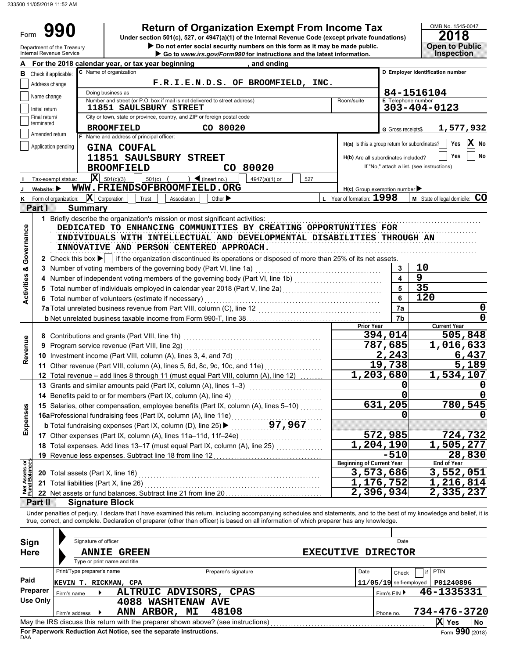Form 990

# **Return of Organization Exempt From Income Tax**

**b** Do not enter social security numbers on this form as it may be made public. **Open to Public Under section 501(c), 527, or 4947(a)(1) of the Internal Revenue Code (except private foundations)**

OMB No. 1545-0047

|                                | Department of the Treasury<br>Internal Revenue Service | $\blacktriangleright$ Do not enter social security numbers on this form as it may be made public.<br>Go to www.irs.gov/Form990 for instructions and the latest information.                                                          |                                     | <u>Construction and items of the Le</u><br>Inspection |
|--------------------------------|--------------------------------------------------------|--------------------------------------------------------------------------------------------------------------------------------------------------------------------------------------------------------------------------------------|-------------------------------------|-------------------------------------------------------|
|                                |                                                        | For the 2018 calendar year, or tax year beginning<br>, and ending                                                                                                                                                                    |                                     |                                                       |
|                                | <b>B</b> Check if applicable:                          | C Name of organization                                                                                                                                                                                                               |                                     | D Employer identification number                      |
|                                | Address change                                         | F.R.I.E.N.D.S. OF BROOMFIELD, INC.                                                                                                                                                                                                   |                                     |                                                       |
|                                |                                                        | Doing business as                                                                                                                                                                                                                    |                                     | 84-1516104                                            |
|                                | Name change                                            | Number and street (or P.O. box if mail is not delivered to street address)<br>Room/suite                                                                                                                                             |                                     | E Telephone number                                    |
|                                | Initial return                                         | <b>11851 SAULSBURY STREET</b>                                                                                                                                                                                                        |                                     | $303 - 404 - 0123$                                    |
|                                | Final return/<br>terminated                            | City or town, state or province, country, and ZIP or foreign postal code                                                                                                                                                             |                                     |                                                       |
|                                |                                                        | CO 80020<br><b>BROOMFIELD</b>                                                                                                                                                                                                        |                                     | 1,577,932<br>G Gross receipts\$                       |
|                                | Amended return                                         | F Name and address of principal officer:                                                                                                                                                                                             |                                     | X No                                                  |
|                                | Application pending                                    | <b>GINA COUFAL</b>                                                                                                                                                                                                                   |                                     | H(a) Is this a group return for subordinates?<br>Yes  |
|                                |                                                        | 11851 SAULSBURY STREET                                                                                                                                                                                                               | H(b) Are all subordinates included? | No<br>Yes                                             |
|                                |                                                        | <b>BROOMFIELD</b><br>CO 80020                                                                                                                                                                                                        |                                     | If "No," attach a list. (see instructions)            |
|                                | Tax-exempt status:                                     | $ \mathbf{X} $ 501(c)(3)<br>$\big)$ (insert no.)<br>$501(c)$ (<br>4947(a)(1) or<br>527                                                                                                                                               |                                     |                                                       |
|                                | Website:                                               | WWW.FRIENDSOFBROOMFIELD.ORG                                                                                                                                                                                                          | $H(c)$ Group exemption number       |                                                       |
| Κ                              | Form of organization:                                  | $ \mathbf{X} $ Corporation<br>Other $\blacktriangleright$<br>Trust<br>Association                                                                                                                                                    | L Year of formation: 1998           | M State of legal domicile: CO                         |
|                                | Partil                                                 | <b>Summary</b>                                                                                                                                                                                                                       |                                     |                                                       |
|                                |                                                        | 1 Briefly describe the organization's mission or most significant activities:                                                                                                                                                        |                                     |                                                       |
|                                |                                                        | DEDICATED TO ENHANCING COMMUNITIES BY CREATING OPPORTUNITIES FOR                                                                                                                                                                     |                                     |                                                       |
|                                |                                                        | INDIVIDUALS WITH INTELLECTUAL AND DEVELOPMENTAL DISABILITIES THROUGH AN                                                                                                                                                              |                                     |                                                       |
| Governance                     |                                                        | INNOVATIVE AND PERSON CENTERED APPROACH.                                                                                                                                                                                             |                                     |                                                       |
|                                |                                                        | 2 Check this box $\blacktriangleright$ if the organization discontinued its operations or disposed of more than 25% of its net assets.                                                                                               |                                     |                                                       |
|                                |                                                        | 3 Number of voting members of the governing body (Part VI, line 1a)                                                                                                                                                                  |                                     | 10<br>3                                               |
|                                |                                                        | 4 Number of independent voting members of the governing body (Part VI, line 1b) [[[[[[[[[[[[[[[[[[[[[[[[[[[[[                                                                                                                        |                                     | 9<br>4                                                |
|                                |                                                        |                                                                                                                                                                                                                                      |                                     | 35<br>5                                               |
| <b>Activities &amp;</b>        |                                                        | 6 Total number of volunteers (estimate if necessary)                                                                                                                                                                                 |                                     | 120<br>6                                              |
|                                |                                                        |                                                                                                                                                                                                                                      |                                     | 0<br>7a                                               |
|                                |                                                        |                                                                                                                                                                                                                                      |                                     | 7b                                                    |
|                                |                                                        |                                                                                                                                                                                                                                      | <b>Prior Year</b>                   | <b>Current Year</b>                                   |
|                                |                                                        | 8 Contributions and grants (Part VIII, line 1h)                                                                                                                                                                                      | 394,014                             | 505,848                                               |
| Revenue                        |                                                        | 9 Program service revenue (Part VIII, line 2g)                                                                                                                                                                                       | 787,685                             | 1,016,633                                             |
|                                |                                                        | 10 Investment income (Part VIII, column (A), lines 3, 4, and 7d)                                                                                                                                                                     | 2,243                               | 6,437                                                 |
|                                |                                                        | 11 Other revenue (Part VIII, column (A), lines 5, 6d, 8c, 9c, 10c, and 11e)                                                                                                                                                          | 19,738                              | 5,189                                                 |
|                                |                                                        | 12 Total revenue - add lines 8 through 11 (must equal Part VIII, column (A), line 12)                                                                                                                                                | $\overline{1,}$ 203,680             | $\overline{1}$ , 534, 107                             |
|                                |                                                        | 13 Grants and similar amounts paid (Part IX, column (A), lines 1-3)                                                                                                                                                                  |                                     | 0                                                     |
|                                |                                                        | 14 Benefits paid to or for members (Part IX, column (A), line 4)                                                                                                                                                                     |                                     |                                                       |
|                                |                                                        | 15 Salaries, other compensation, employee benefits (Part IX, column (A), lines 5-10)                                                                                                                                                 | 631,205                             | 780,545                                               |
| nses                           |                                                        | 16aProfessional fundraising fees (Part IX, column (A), line 11e)                                                                                                                                                                     |                                     | 0<br>0                                                |
| Exper                          |                                                        | 97,967<br><b>b</b> Total fundraising expenses (Part IX, column (D), line 25) ▶                                                                                                                                                       |                                     |                                                       |
|                                |                                                        | 17 Other expenses (Part IX, column (A), lines 11a-11d, 11f-24e)                                                                                                                                                                      | 572,985                             | <u>724,732</u>                                        |
|                                |                                                        | 18 Total expenses. Add lines 13-17 (must equal Part IX, column (A), line 25) [11, 12, 12, 12, 12, 12, 12, 12, 1                                                                                                                      | 1,204,190                           | 1,505,277                                             |
|                                |                                                        | 19 Revenue less expenses. Subtract line 18 from line 12                                                                                                                                                                              | $-510$                              | 28,830                                                |
|                                |                                                        |                                                                                                                                                                                                                                      | <b>Beginning of Current Year</b>    | End of Year                                           |
|                                |                                                        | 20 Total assets (Part X, line 16) <b>Constant Constant Constant Constant Constant Constant Constant Constant Constant Constant Constant Constant Constant Constant Constant Constant Constant Constant Constant Constant Constan</b> | 3,573,686                           | 3,552,051                                             |
| Net Assets or<br>Fund Balances |                                                        | 21 Total liabilities (Part X, line 26)                                                                                                                                                                                               | 1,176,752                           | 1,216,814                                             |
|                                |                                                        | 22 Net assets or fund balances. Subtract line 21 from line 20                                                                                                                                                                        | 2,396,934                           | 2,335,237                                             |
|                                | Part II                                                | <b>Signature Block</b>                                                                                                                                                                                                               |                                     |                                                       |
|                                |                                                        | Under penalties of perjury, I declare that I have examined this return, including accompanying schedules and statements, and to the best of my knowledge and belief, it is                                                           |                                     |                                                       |
|                                |                                                        | true, correct, and complete. Declaration of preparer (other than officer) is based on all information of which preparer has any knowledge.                                                                                           |                                     |                                                       |
|                                |                                                        |                                                                                                                                                                                                                                      |                                     |                                                       |
| Sign                           |                                                        | Signature of officer                                                                                                                                                                                                                 |                                     | Date                                                  |
| <b>Here</b>                    |                                                        | <b>ANNIE GREEN</b><br><b>EXECUTIVE DIRECTOR</b>                                                                                                                                                                                      |                                     |                                                       |
|                                |                                                        | Type or print name and title                                                                                                                                                                                                         |                                     |                                                       |
|                                |                                                        | Print/Type preparer's name<br>Preparer's signature                                                                                                                                                                                   | Date                                | <b>PTIN</b><br>if<br>Check                            |
| Paid                           |                                                        | KEVIN T. RICKMAN, CPA                                                                                                                                                                                                                | $11/05/19$ self-employed            | P01240896                                             |
|                                | Preparer<br>Firm's name                                | ALTRUIC ADVISORS, CPAS                                                                                                                                                                                                               | Firm's EIN ▶                        | 46-1335331                                            |
|                                | <b>Use Only</b>                                        | <b>4088 WASHTENAW AVE</b>                                                                                                                                                                                                            |                                     |                                                       |
|                                | Firm's address                                         | ANN ARBOR, MI<br>48108                                                                                                                                                                                                               | Phone no.                           | 734-476-3720                                          |
|                                |                                                        |                                                                                                                                                                                                                                      |                                     | $ X $ Yes<br>No                                       |

| Sign        |                          | Signature of officer                                         |  |                                                                    |                            |                                                                                   |                           |                          | Date         |                              |                 |  |
|-------------|--------------------------|--------------------------------------------------------------|--|--------------------------------------------------------------------|----------------------------|-----------------------------------------------------------------------------------|---------------------------|--------------------------|--------------|------------------------------|-----------------|--|
| <b>Here</b> |                          | <b>GREEN</b><br><b>ANNIE</b><br>Type or print name and title |  |                                                                    |                            |                                                                                   | <b>EXECUTIVE DIRECTOR</b> |                          |              |                              |                 |  |
|             |                          | Print/Type preparer's name                                   |  |                                                                    |                            | Preparer's signature                                                              |                           | Date                     | Check        | <b>PTIN</b>                  |                 |  |
| Paid        | RICKMAN, CPA<br>KEVIN T. |                                                              |  |                                                                    |                            |                                                                                   |                           | $11/05/19$ self-employed | P01240896    |                              |                 |  |
| Preparer    | Firm's name              |                                                              |  |                                                                    |                            | ALTRUIC ADVISORS, CPAS                                                            |                           |                          | Firm's $EIN$ | 46-1335331                   |                 |  |
| Use Only    | Firm's address           |                                                              |  | 4088<br>ANN ARBOR,                                                 | <b>WASHTENAW AVE</b><br>MI | 48108                                                                             |                           | Phone no.                |              | 734-476-3720                 |                 |  |
|             |                          |                                                              |  |                                                                    |                            | May the IRS discuss this return with the preparer shown above? (see instructions) |                           |                          |              | $ \mathbf{X} $<br><b>Yes</b> | <b>No</b>       |  |
| DAA         |                          |                                                              |  | For Paperwork Reduction Act Notice, see the separate instructions. |                            |                                                                                   |                           |                          |              |                              | Form 990 (2018) |  |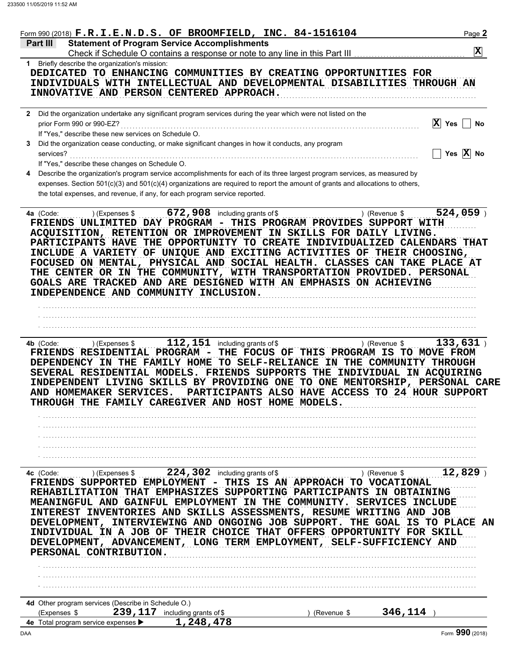| Form 990 (2018) $F.R.I.E.N.D.S.$ OF BROOMFIELD, INC. 84-1516104                                                                                                                                                                                                                                                                                                                                                                                       | Page 2                  |
|-------------------------------------------------------------------------------------------------------------------------------------------------------------------------------------------------------------------------------------------------------------------------------------------------------------------------------------------------------------------------------------------------------------------------------------------------------|-------------------------|
| <b>Statement of Program Service Accomplishments</b><br>Part III                                                                                                                                                                                                                                                                                                                                                                                       | $\overline{\mathbf{x}}$ |
| Check if Schedule O contains a response or note to any line in this Part III<br>1                                                                                                                                                                                                                                                                                                                                                                     |                         |
| Briefly describe the organization's mission:<br>DEDICATED TO ENHANCING COMMUNITIES BY CREATING OPPORTUNITIES FOR<br>INDIVIDUALS WITH INTELLECTUAL AND DEVELOPMENTAL DISABILITIES THROUGH AN<br>INNOVATIVE AND PERSON CENTERED APPROACH.                                                                                                                                                                                                               |                         |
|                                                                                                                                                                                                                                                                                                                                                                                                                                                       |                         |
| 2 Did the organization undertake any significant program services during the year which were not listed on the<br>prior Form 990 or 990-EZ?                                                                                                                                                                                                                                                                                                           | $ X $ Yes<br>No         |
| If "Yes," describe these new services on Schedule O.                                                                                                                                                                                                                                                                                                                                                                                                  |                         |
| Did the organization cease conducting, or make significant changes in how it conducts, any program<br>3<br>services?                                                                                                                                                                                                                                                                                                                                  | Yes $\overline{X}$ No   |
| If "Yes," describe these changes on Schedule O.                                                                                                                                                                                                                                                                                                                                                                                                       |                         |
| Describe the organization's program service accomplishments for each of its three largest program services, as measured by<br>expenses. Section 501(c)(3) and 501(c)(4) organizations are required to report the amount of grants and allocations to others,<br>the total expenses, and revenue, if any, for each program service reported.                                                                                                           |                         |
| $672$ , $908$ including grants of \$<br>) (Expenses \$<br>4a (Code:<br>) (Revenue \$<br>FRIENDS UNLIMITED DAY PROGRAM - THIS PROGRAM PROVIDES SUPPORT WITH<br>ACQUISITION, RETENTION OR IMPROVEMENT IN SKILLS FOR DAILY LIVING.<br>PARTICIPANTS HAVE THE OPPORTUNITY TO CREATE INDIVIDUALIZED CALENDARS THAT                                                                                                                                          | $524,059$ )             |
| INCLUDE A VARIETY OF UNIQUE AND EXCITING ACTIVITIES OF THEIR CHOOSING,<br>FOCUSED ON MENTAL, PHYSICAL AND SOCIAL HEALTH. CLASSES CAN TAKE PLACE AT<br>THE CENTER OR IN THE COMMUNITY, WITH TRANSPORTATION PROVIDED. PERSONAL<br>GOALS ARE TRACKED AND ARE DESIGNED WITH AN EMPHASIS ON ACHIEVING<br>INDEPENDENCE AND COMMUNITY INCLUSION.                                                                                                             |                         |
|                                                                                                                                                                                                                                                                                                                                                                                                                                                       |                         |
|                                                                                                                                                                                                                                                                                                                                                                                                                                                       |                         |
|                                                                                                                                                                                                                                                                                                                                                                                                                                                       |                         |
| FRIENDS RESIDENTIAL PROGRAM -<br>THE FOCUS OF THIS PROGRAM IS TO MOVE FROM<br>DEPENDENCY IN THE FAMILY HOME TO SELF-RELIANCE IN THE COMMUNITY THROUGH<br>SEVERAL RESIDENTIAL MODELS. FRIENDS SUPPORTS THE INDIVIDUAL IN ACQUIRING<br>INDEPENDENT LIVING SKILLS BY PROVIDING ONE TO ONE MENTORSHIP, PERSONAL CARE<br>PARTICIPANTS ALSO HAVE ACCESS TO 24 HOUR SUPPORT<br>AND HOMEMAKER SERVICES.<br>THROUGH THE FAMILY CAREGIVER AND HOST HOME MODELS. |                         |
|                                                                                                                                                                                                                                                                                                                                                                                                                                                       |                         |
|                                                                                                                                                                                                                                                                                                                                                                                                                                                       |                         |
|                                                                                                                                                                                                                                                                                                                                                                                                                                                       |                         |
|                                                                                                                                                                                                                                                                                                                                                                                                                                                       |                         |
| $224$ , $302$ including grants of \$<br>) (Revenue \$<br>4c (Code:<br>) (Expenses \$                                                                                                                                                                                                                                                                                                                                                                  | 12,829                  |
| - THIS IS AN APPROACH TO VOCATIONAL<br>FRIENDS SUPPORTED EMPLOYMENT<br>REHABILITATION THAT EMPHASIZES SUPPORTING PARTICIPANTS IN OBTAINING<br>MEANINGFUL AND GAINFUL EMPLOYMENT IN THE COMMUNITY. SERVICES INCLUDE<br>INTEREST INVENTORIES AND SKILLS ASSESSMENTS, RESUME WRITING AND JOB<br>DEVELOPMENT, INTERVIEWING AND ONGOING JOB SUPPORT. THE GOAL IS TO PLACE AN<br>INDIVIDUAL IN A JOB OF THEIR CHOICE THAT OFFERS OPPORTUNITY FOR SKILL      |                         |
|                                                                                                                                                                                                                                                                                                                                                                                                                                                       |                         |
|                                                                                                                                                                                                                                                                                                                                                                                                                                                       |                         |
|                                                                                                                                                                                                                                                                                                                                                                                                                                                       |                         |
|                                                                                                                                                                                                                                                                                                                                                                                                                                                       |                         |
| DEVELOPMENT, ADVANCEMENT, LONG TERM EMPLOYMENT, SELF-SUFFICIENCY AND<br>PERSONAL CONTRIBUTION.<br>4d Other program services (Describe in Schedule O.)<br>346,114<br>$239,117$ including grants of \$<br>(Expenses \$<br>(Revenue \$                                                                                                                                                                                                                   |                         |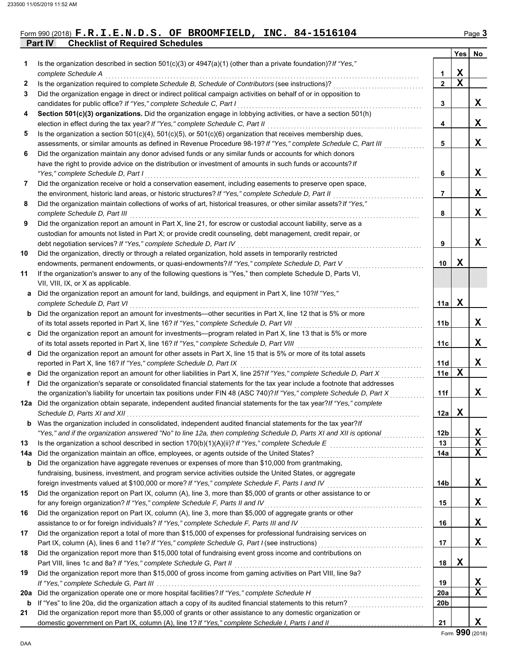#### Form 990 (2018) Page **3 F.R.I.E.N.D.S. OF BROOMFIELD, INC. 84-1516104**

**Part IV Checklist of Required Schedules**

|--|

|     |                                                                                                                                                                                                         |              | <b>Yes</b> | No |
|-----|---------------------------------------------------------------------------------------------------------------------------------------------------------------------------------------------------------|--------------|------------|----|
| 1   | Is the organization described in section $501(c)(3)$ or $4947(a)(1)$ (other than a private foundation)? If "Yes,"                                                                                       |              |            |    |
|     | complete Schedule A                                                                                                                                                                                     | 1            | х          |    |
| 2   | Is the organization required to complete Schedule B, Schedule of Contributors (see instructions)?                                                                                                       | $\mathbf{2}$ | X          |    |
| 3   | Did the organization engage in direct or indirect political campaign activities on behalf of or in opposition to                                                                                        |              |            |    |
|     | candidates for public office? If "Yes," complete Schedule C, Part I                                                                                                                                     | 3            |            | X. |
| 4   | Section 501(c)(3) organizations. Did the organization engage in lobbying activities, or have a section 501(h)                                                                                           |              |            |    |
|     | election in effect during the tax year? If "Yes," complete Schedule C, Part II                                                                                                                          | 4            |            | x  |
| 5   | Is the organization a section $501(c)(4)$ , $501(c)(5)$ , or $501(c)(6)$ organization that receives membership dues,                                                                                    |              |            |    |
|     | assessments, or similar amounts as defined in Revenue Procedure 98-19? If "Yes," complete Schedule C, Part III                                                                                          | 5            |            | X  |
| 6   | Did the organization maintain any donor advised funds or any similar funds or accounts for which donors                                                                                                 |              |            |    |
|     | have the right to provide advice on the distribution or investment of amounts in such funds or accounts? If                                                                                             |              |            |    |
|     | "Yes," complete Schedule D, Part I                                                                                                                                                                      | 6            |            | X. |
| 7   | Did the organization receive or hold a conservation easement, including easements to preserve open space,                                                                                               |              |            |    |
|     | the environment, historic land areas, or historic structures? If "Yes," complete Schedule D, Part II                                                                                                    | 7            |            | X. |
| 8   | Did the organization maintain collections of works of art, historical treasures, or other similar assets? If "Yes,"                                                                                     |              |            |    |
|     | complete Schedule D, Part III                                                                                                                                                                           | 8            |            | X  |
| 9   | Did the organization report an amount in Part X, line 21, for escrow or custodial account liability, serve as a                                                                                         |              |            |    |
|     | custodian for amounts not listed in Part X; or provide credit counseling, debt management, credit repair, or                                                                                            |              |            |    |
|     | debt negotiation services? If "Yes," complete Schedule D, Part IV                                                                                                                                       | 9            |            | X. |
| 10  | Did the organization, directly or through a related organization, hold assets in temporarily restricted                                                                                                 |              |            |    |
|     | endowments, permanent endowments, or quasi-endowments? If "Yes," complete Schedule D, Part V                                                                                                            | 10           | x          |    |
| 11  | If the organization's answer to any of the following questions is "Yes," then complete Schedule D, Parts VI,                                                                                            |              |            |    |
|     | VII, VIII, IX, or X as applicable.                                                                                                                                                                      |              |            |    |
| a   | Did the organization report an amount for land, buildings, and equipment in Part X, line 10? If "Yes,"                                                                                                  |              | x          |    |
|     | complete Schedule D, Part VI                                                                                                                                                                            | 11a          |            |    |
|     | <b>b</b> Did the organization report an amount for investments—other securities in Part X, line 12 that is 5% or more                                                                                   | 11b          |            | X. |
|     | of its total assets reported in Part X, line 16? If "Yes," complete Schedule D, Part VII<br>Did the organization report an amount for investments—program related in Part X, line 13 that is 5% or more |              |            |    |
|     | of its total assets reported in Part X, line 16? If "Yes," complete Schedule D, Part VIII [[[[[[[[[[[[[[[[[[[                                                                                           | 11c          |            | X. |
| d   | Did the organization report an amount for other assets in Part X, line 15 that is 5% or more of its total assets                                                                                        |              |            |    |
|     | reported in Part X, line 16? If "Yes," complete Schedule D, Part IX                                                                                                                                     | 11d          |            | X  |
|     | Did the organization report an amount for other liabilities in Part X, line 25? If "Yes," complete Schedule D, Part X                                                                                   | 11e          | X          |    |
| f   | Did the organization's separate or consolidated financial statements for the tax year include a footnote that addresses                                                                                 |              |            |    |
|     | the organization's liability for uncertain tax positions under FIN 48 (ASC 740)? If "Yes," complete Schedule D, Part X                                                                                  | 11f          |            | X  |
|     | 12a Did the organization obtain separate, independent audited financial statements for the tax year? If "Yes," complete                                                                                 |              |            |    |
|     | Schedule D, Parts XI and XII [11] [12] Schedule D, Parts XI and XII [12] And XII [12] And XII [12] And XII [12                                                                                          | 12a          | X          |    |
| b   | Was the organization included in consolidated, independent audited financial statements for the tax year? If                                                                                            |              |            |    |
|     | "Yes," and if the organization answered "No" to line 12a, then completing Schedule D, Parts XI and XII is optional                                                                                      | 12b          |            | X  |
| 13  |                                                                                                                                                                                                         | 13           |            | X  |
| 14a |                                                                                                                                                                                                         | 14a          |            | х  |
| b   | Did the organization have aggregate revenues or expenses of more than \$10,000 from grantmaking,                                                                                                        |              |            |    |
|     | fundraising, business, investment, and program service activities outside the United States, or aggregate                                                                                               |              |            |    |
|     | foreign investments valued at \$100,000 or more? If "Yes," complete Schedule F, Parts I and IV                                                                                                          | 14b          |            | X  |
| 15  | Did the organization report on Part IX, column (A), line 3, more than \$5,000 of grants or other assistance to or                                                                                       |              |            |    |
|     | for any foreign organization? If "Yes," complete Schedule F, Parts II and IV                                                                                                                            | 15           |            | X  |
| 16  | Did the organization report on Part IX, column (A), line 3, more than \$5,000 of aggregate grants or other                                                                                              |              |            |    |
|     | assistance to or for foreign individuals? If "Yes," complete Schedule F, Parts III and IV                                                                                                               | 16           |            | X  |
| 17  | Did the organization report a total of more than \$15,000 of expenses for professional fundraising services on                                                                                          |              |            |    |
|     |                                                                                                                                                                                                         | 17           |            | X  |
| 18  | Did the organization report more than \$15,000 total of fundraising event gross income and contributions on                                                                                             |              |            |    |
|     | Part VIII, lines 1c and 8a? If "Yes," complete Schedule G, Part II                                                                                                                                      | 18           | Х          |    |
| 19  | Did the organization report more than \$15,000 of gross income from gaming activities on Part VIII, line 9a?                                                                                            |              |            |    |
|     |                                                                                                                                                                                                         | 19           |            | X  |
| 20a |                                                                                                                                                                                                         | 20a          |            | x  |
| b   |                                                                                                                                                                                                         | 20b          |            |    |
| 21  | Did the organization report more than \$5,000 of grants or other assistance to any domestic organization or                                                                                             |              |            |    |
|     |                                                                                                                                                                                                         | 21           |            | X  |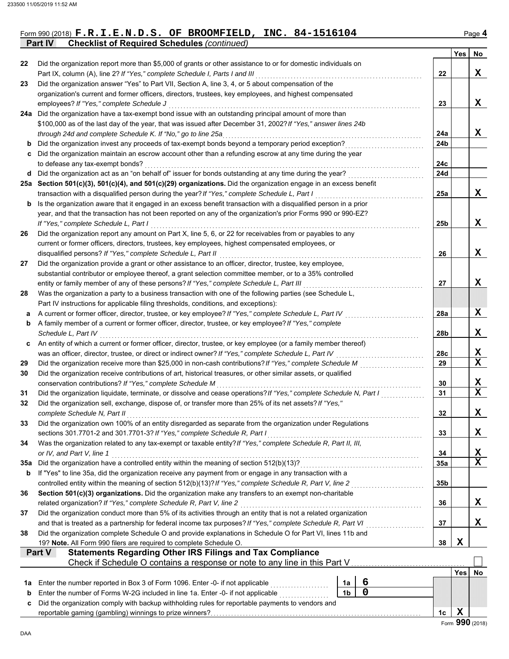#### Form 990 (2018)  $\mathbf{F} \cdot \mathbf{R} \cdot \mathbf{I} \cdot \mathbf{E} \cdot \mathbf{N} \cdot \mathbf{D} \cdot \mathbf{S}$  **OF BROOMFIELD, INC. 84-1516104** Page 4 **F.R.I.E.N.D.S. OF BROOMFIELD, INC. 84-1516104**

|          | Part IV<br><b>Checklist of Required Schedules (continued)</b>                                                                                                                                                      |                 |            |        |
|----------|--------------------------------------------------------------------------------------------------------------------------------------------------------------------------------------------------------------------|-----------------|------------|--------|
|          |                                                                                                                                                                                                                    |                 | Yes        | No     |
| 22       | Did the organization report more than \$5,000 of grants or other assistance to or for domestic individuals on                                                                                                      |                 |            |        |
|          | Part IX, column (A), line 2? If "Yes," complete Schedule I, Parts I and III                                                                                                                                        | 22              |            | X      |
| 23       | Did the organization answer "Yes" to Part VII, Section A, line 3, 4, or 5 about compensation of the                                                                                                                |                 |            |        |
|          | organization's current and former officers, directors, trustees, key employees, and highest compensated                                                                                                            |                 |            |        |
|          | employees? If "Yes," complete Schedule J                                                                                                                                                                           | 23              |            | X      |
| 24a      | Did the organization have a tax-exempt bond issue with an outstanding principal amount of more than                                                                                                                |                 |            |        |
|          | \$100,000 as of the last day of the year, that was issued after December 31, 2002? If "Yes," answer lines 24b                                                                                                      |                 |            | X      |
| b        | through 24d and complete Schedule K. If "No," go to line 25a<br>Did the organization invest any proceeds of tax-exempt bonds beyond a temporary period exception?                                                  | 24a<br>24b      |            |        |
|          | Did the organization maintain an escrow account other than a refunding escrow at any time during the year                                                                                                          |                 |            |        |
|          | to defease any tax-exempt bonds?                                                                                                                                                                                   | 24c             |            |        |
| d        | Did the organization act as an "on behalf of" issuer for bonds outstanding at any time during the year?                                                                                                            | 24d             |            |        |
|          | 25a Section 501(c)(3), 501(c)(4), and 501(c)(29) organizations. Did the organization engage in an excess benefit                                                                                                   |                 |            |        |
|          | transaction with a disqualified person during the year? If "Yes," complete Schedule L, Part I                                                                                                                      | 25a             |            | X      |
| b        | Is the organization aware that it engaged in an excess benefit transaction with a disqualified person in a prior                                                                                                   |                 |            |        |
|          | year, and that the transaction has not been reported on any of the organization's prior Forms 990 or 990-EZ?                                                                                                       |                 |            |        |
|          | If "Yes," complete Schedule L, Part I                                                                                                                                                                              | 25b             |            | X      |
| 26       | Did the organization report any amount on Part X, line 5, 6, or 22 for receivables from or payables to any                                                                                                         |                 |            |        |
|          | current or former officers, directors, trustees, key employees, highest compensated employees, or                                                                                                                  |                 |            |        |
|          | disqualified persons? If "Yes," complete Schedule L, Part II                                                                                                                                                       | 26              |            | X      |
| 27       | Did the organization provide a grant or other assistance to an officer, director, trustee, key employee,                                                                                                           |                 |            |        |
|          | substantial contributor or employee thereof, a grant selection committee member, or to a 35% controlled                                                                                                            |                 |            |        |
|          | entity or family member of any of these persons? If "Yes," complete Schedule L, Part III                                                                                                                           | 27              |            | X      |
| 28       | Was the organization a party to a business transaction with one of the following parties (see Schedule L,                                                                                                          |                 |            |        |
|          | Part IV instructions for applicable filing thresholds, conditions, and exceptions):                                                                                                                                |                 |            |        |
| а        | A current or former officer, director, trustee, or key employee? If "Yes," complete Schedule L, Part IV                                                                                                            | 28a             |            | X      |
| b        | A family member of a current or former officer, director, trustee, or key employee? If "Yes," complete                                                                                                             |                 |            |        |
|          | Schedule L, Part IV                                                                                                                                                                                                | 28b             |            | X      |
| С        | An entity of which a current or former officer, director, trustee, or key employee (or a family member thereof)                                                                                                    |                 |            |        |
|          | was an officer, director, trustee, or direct or indirect owner? If "Yes," complete Schedule L, Part IV<br>Did the organization receive more than \$25,000 in non-cash contributions? If "Yes," complete Schedule M | 28c<br>29       |            | X<br>X |
| 29<br>30 | Did the organization receive contributions of art, historical treasures, or other similar assets, or qualified                                                                                                     |                 |            |        |
|          | conservation contributions? If "Yes," complete Schedule M                                                                                                                                                          | 30              |            | X      |
| 31       | Did the organization liquidate, terminate, or dissolve and cease operations? If "Yes," complete Schedule N, Part I                                                                                                 | 31              |            | X      |
| 32       | Did the organization sell, exchange, dispose of, or transfer more than 25% of its net assets? If "Yes,"                                                                                                            |                 |            |        |
|          | complete Schedule N, Part II                                                                                                                                                                                       | 32              |            | X      |
| 33       | Did the organization own 100% of an entity disregarded as separate from the organization under Regulations                                                                                                         |                 |            |        |
|          | sections 301.7701-2 and 301.7701-3? If "Yes," complete Schedule R, Part I                                                                                                                                          | 33              |            | X      |
| 34       | Was the organization related to any tax-exempt or taxable entity? If "Yes," complete Schedule R, Part II, III,                                                                                                     |                 |            |        |
|          | or IV, and Part V, line 1                                                                                                                                                                                          | 34              |            | Х      |
| 35а      | Did the organization have a controlled entity within the meaning of section 512(b)(13)?                                                                                                                            | 35a             |            | X      |
| b        | If "Yes" to line 35a, did the organization receive any payment from or engage in any transaction with a                                                                                                            |                 |            |        |
|          | controlled entity within the meaning of section 512(b)(13)? If "Yes," complete Schedule R, Part V, line 2                                                                                                          | 35 <sub>b</sub> |            |        |
| 36       | Section 501(c)(3) organizations. Did the organization make any transfers to an exempt non-charitable                                                                                                               |                 |            |        |
|          | related organization? If "Yes," complete Schedule R, Part V, line 2                                                                                                                                                | 36              |            | X      |
| 37       | Did the organization conduct more than 5% of its activities through an entity that is not a related organization                                                                                                   |                 |            |        |
|          | and that is treated as a partnership for federal income tax purposes? If "Yes," complete Schedule R, Part VI                                                                                                       | 37              |            | X      |
| 38       | Did the organization complete Schedule O and provide explanations in Schedule O for Part VI, lines 11b and                                                                                                         |                 |            |        |
|          | 19? Note. All Form 990 filers are required to complete Schedule O.                                                                                                                                                 | 38              | X          |        |
|          | <b>Statements Regarding Other IRS Filings and Tax Compliance</b><br>Part V                                                                                                                                         |                 |            |        |
|          | Check if Schedule O contains a response or note to any line in this Part V                                                                                                                                         |                 |            |        |
|          |                                                                                                                                                                                                                    |                 | <b>Yes</b> | No     |
| 1a       | 6<br>Enter the number reported in Box 3 of Form 1096. Enter -0- if not applicable<br>1a<br>$\mathbf 0$<br>1 <sub>b</sub>                                                                                           |                 |            |        |
| b<br>c   | Enter the number of Forms W-2G included in line 1a. Enter -0- if not applicable<br>Did the organization comply with backup withholding rules for reportable payments to vendors and                                |                 |            |        |
|          |                                                                                                                                                                                                                    | 1c              | X          |        |
|          |                                                                                                                                                                                                                    |                 |            |        |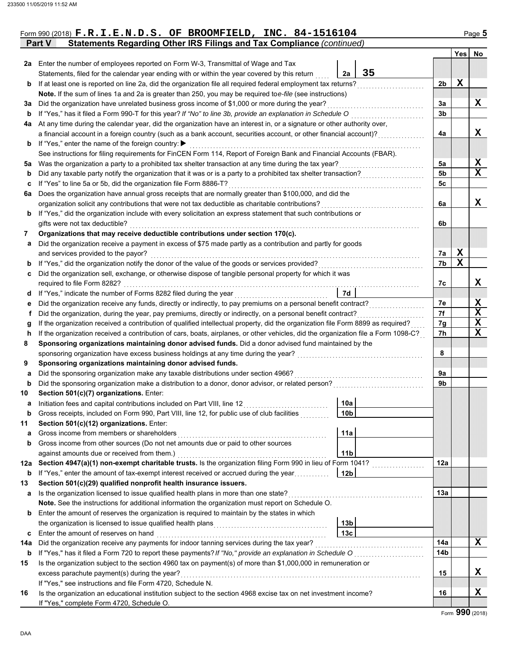|     | Form 990 (2018) $F.R.I.E.N.D.S.$ OF BROOMFIELD, INC. 84-1516104                                                                    |                 |    |                |             | Page 5           |  |  |  |
|-----|------------------------------------------------------------------------------------------------------------------------------------|-----------------|----|----------------|-------------|------------------|--|--|--|
|     | Statements Regarding Other IRS Filings and Tax Compliance (continued)<br>Part V                                                    |                 |    |                |             |                  |  |  |  |
|     |                                                                                                                                    |                 |    |                |             | Yes No           |  |  |  |
| 2a  | Enter the number of employees reported on Form W-3, Transmittal of Wage and Tax                                                    |                 |    |                |             |                  |  |  |  |
|     | Statements, filed for the calendar year ending with or within the year covered by this return                                      | 2a              | 35 |                |             |                  |  |  |  |
| b   | If at least one is reported on line 2a, did the organization file all required federal employment tax returns?                     |                 |    | 2b             | X           |                  |  |  |  |
|     | Note. If the sum of lines 1a and 2a is greater than 250, you may be required to e-file (see instructions)                          |                 |    |                |             |                  |  |  |  |
| За  | Did the organization have unrelated business gross income of \$1,000 or more during the year?                                      |                 |    | 3a             |             | X                |  |  |  |
| b   | If "Yes," has it filed a Form 990-T for this year? If "No" to line 3b, provide an explanation in Schedule O                        |                 |    | 3 <sub>b</sub> |             |                  |  |  |  |
| 4a  | At any time during the calendar year, did the organization have an interest in, or a signature or other authority over,            |                 |    |                |             |                  |  |  |  |
|     | a financial account in a foreign country (such as a bank account, securities account, or other financial account)?                 |                 |    |                |             |                  |  |  |  |
| b   | If "Yes," enter the name of the foreign country: ▶                                                                                 |                 |    |                |             |                  |  |  |  |
|     | See instructions for filing requirements for FinCEN Form 114, Report of Foreign Bank and Financial Accounts (FBAR).                |                 |    |                |             |                  |  |  |  |
| 5a  | Was the organization a party to a prohibited tax shelter transaction at any time during the tax year?                              |                 |    | 5a             |             | <u>x</u>         |  |  |  |
| b   | Did any taxable party notify the organization that it was or is a party to a prohibited tax shelter transaction?                   |                 |    | 5b             |             | $\mathbf x$      |  |  |  |
| с   | If "Yes" to line 5a or 5b, did the organization file Form 8886-T?                                                                  |                 | .  | 5c             |             |                  |  |  |  |
| 6а  | Does the organization have annual gross receipts that are normally greater than \$100,000, and did the                             |                 |    |                |             |                  |  |  |  |
|     | organization solicit any contributions that were not tax deductible as charitable contributions?                                   |                 |    | 6a             |             | X                |  |  |  |
| b   | If "Yes," did the organization include with every solicitation an express statement that such contributions or                     |                 |    |                |             |                  |  |  |  |
|     | gifts were not tax deductible?                                                                                                     |                 |    | 6b             |             |                  |  |  |  |
| 7   | Organizations that may receive deductible contributions under section 170(c).                                                      |                 |    |                |             |                  |  |  |  |
| а   | Did the organization receive a payment in excess of \$75 made partly as a contribution and partly for goods                        |                 |    |                |             |                  |  |  |  |
|     | and services provided to the payor?                                                                                                |                 |    | 7a             | X           |                  |  |  |  |
| b   | If "Yes," did the organization notify the donor of the value of the goods or services provided?                                    |                 |    | 7b             | $\mathbf X$ |                  |  |  |  |
| c   | Did the organization sell, exchange, or otherwise dispose of tangible personal property for which it was                           |                 |    |                |             |                  |  |  |  |
|     | required to file Form 8282?                                                                                                        |                 |    | 7с             |             | X                |  |  |  |
| d   | If "Yes," indicate the number of Forms 8282 filed during the year                                                                  | 7d              |    |                |             |                  |  |  |  |
| е   | Did the organization receive any funds, directly or indirectly, to pay premiums on a personal benefit contract?                    |                 |    | 7e             |             | X                |  |  |  |
| f   | Did the organization, during the year, pay premiums, directly or indirectly, on a personal benefit contract?                       |                 |    | 7f             |             | X                |  |  |  |
| g   | If the organization received a contribution of qualified intellectual property, did the organization file Form 8899 as required?   |                 |    |                |             |                  |  |  |  |
| h   | If the organization received a contribution of cars, boats, airplanes, or other vehicles, did the organization file a Form 1098-C? |                 |    | 7g<br>7h       |             | X<br>$\mathbf x$ |  |  |  |
| 8   | Sponsoring organizations maintaining donor advised funds. Did a donor advised fund maintained by the                               |                 |    |                |             |                  |  |  |  |
|     | sponsoring organization have excess business holdings at any time during the year?                                                 |                 |    | 8              |             |                  |  |  |  |
| 9   | Sponsoring organizations maintaining donor advised funds.                                                                          |                 |    |                |             |                  |  |  |  |
| а   | Did the sponsoring organization make any taxable distributions under section 4966?                                                 |                 |    | 9а             |             |                  |  |  |  |
| b   | Did the sponsoring organization make a distribution to a donor, donor advisor, or related person?                                  |                 |    | 9b             |             |                  |  |  |  |
| 10  | Section 501(c)(7) organizations. Enter:                                                                                            |                 |    |                |             |                  |  |  |  |
|     | Initiation fees and capital contributions included on Part VIII, line 12                                                           | <b>10a</b>      |    |                |             |                  |  |  |  |
| b   | Gross receipts, included on Form 990, Part VIII, line 12, for public use of club facilities                                        | 10 <sub>b</sub> |    |                |             |                  |  |  |  |
| 11  | Section 501(c)(12) organizations. Enter:                                                                                           |                 |    |                |             |                  |  |  |  |
|     | Gross income from members or shareholders                                                                                          | 11a             |    |                |             |                  |  |  |  |
| a   | Gross income from other sources (Do not net amounts due or paid to other sources                                                   |                 |    |                |             |                  |  |  |  |
| b   |                                                                                                                                    | 11 <sub>b</sub> |    |                |             |                  |  |  |  |
|     | against amounts due or received from them.)                                                                                        |                 |    |                |             |                  |  |  |  |
| 12a | Section 4947(a)(1) non-exempt charitable trusts. Is the organization filing Form 990 in lieu of Form 1041?                         |                 |    | 12a            |             |                  |  |  |  |
| b   | If "Yes," enter the amount of tax-exempt interest received or accrued during the year                                              | 12 <sub>b</sub> |    |                |             |                  |  |  |  |
| 13  | Section 501(c)(29) qualified nonprofit health insurance issuers.                                                                   |                 |    |                |             |                  |  |  |  |
| a   | Is the organization licensed to issue qualified health plans in more than one state?                                               |                 |    | 13а            |             |                  |  |  |  |
|     | Note. See the instructions for additional information the organization must report on Schedule O.                                  |                 |    |                |             |                  |  |  |  |
| b   | Enter the amount of reserves the organization is required to maintain by the states in which                                       |                 |    |                |             |                  |  |  |  |
|     | the organization is licensed to issue qualified health plans                                                                       | 13 <sub>b</sub> |    |                |             |                  |  |  |  |
| c   | Enter the amount of reserves on hand                                                                                               | 13 <sub>c</sub> |    |                |             |                  |  |  |  |
| 14a | Did the organization receive any payments for indoor tanning services during the tax year?                                         |                 |    | 14a            |             | X                |  |  |  |
| b   | If "Yes," has it filed a Form 720 to report these payments? If "No," provide an explanation in Schedule O                          |                 |    | 14b            |             |                  |  |  |  |
| 15  | Is the organization subject to the section 4960 tax on payment(s) of more than \$1,000,000 in remuneration or                      |                 |    |                |             |                  |  |  |  |
|     | excess parachute payment(s) during the year?                                                                                       |                 |    | 15             |             | x                |  |  |  |
|     | If "Yes," see instructions and file Form 4720, Schedule N.                                                                         |                 |    |                |             |                  |  |  |  |
| 16  | Is the organization an educational institution subject to the section 4968 excise tax on net investment income?                    |                 |    | 16             |             | х                |  |  |  |
|     | If "Yes," complete Form 4720, Schedule O.                                                                                          |                 |    |                |             |                  |  |  |  |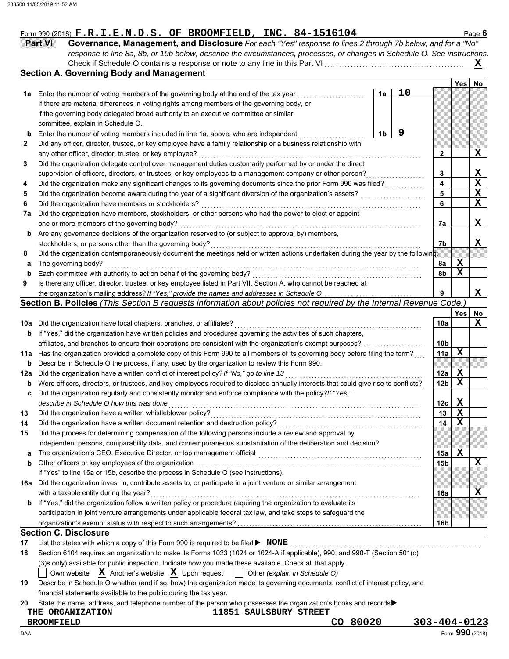|              | 500 11/05/2019 11:52 AM                                                                                                           |                |    |              |            |                         |
|--------------|-----------------------------------------------------------------------------------------------------------------------------------|----------------|----|--------------|------------|-------------------------|
|              | Form 990 (2018) F.R.I.E.N.D.S. OF BROOMFIELD, INC. 84-1516104                                                                     |                |    |              |            | Page 6                  |
|              | Part VI<br>Governance, Management, and Disclosure For each "Yes" response to lines 2 through 7b below, and for a "No"             |                |    |              |            |                         |
|              | response to line 8a, 8b, or 10b below, describe the circumstances, processes, or changes in Schedule O. See instructions.         |                |    |              |            |                         |
|              |                                                                                                                                   |                |    |              |            | X                       |
|              | <b>Section A. Governing Body and Management</b>                                                                                   |                |    |              |            |                         |
|              |                                                                                                                                   |                |    |              | <b>Yes</b> | No                      |
| 1a           | Enter the number of voting members of the governing body at the end of the tax year                                               | 1a             | 10 |              |            |                         |
|              | If there are material differences in voting rights among members of the governing body, or                                        |                |    |              |            |                         |
|              | if the governing body delegated broad authority to an executive committee or similar                                              |                |    |              |            |                         |
|              | committee, explain in Schedule O.                                                                                                 |                |    |              |            |                         |
| b            | Enter the number of voting members included in line 1a, above, who are independent                                                | 1 <sub>b</sub> | 9  |              |            |                         |
| $\mathbf{2}$ | Did any officer, director, trustee, or key employee have a family relationship or a business relationship with                    |                |    |              |            |                         |
|              | any other officer, director, trustee, or key employee?                                                                            |                |    | $\mathbf{2}$ |            | x                       |
| 3            | Did the organization delegate control over management duties customarily performed by or under the direct                         |                |    |              |            |                         |
|              | supervision of officers, directors, or trustees, or key employees to a management company or other person?                        |                |    | 3            |            | X                       |
| 4            |                                                                                                                                   |                |    | 4            |            | $\overline{\mathbf{x}}$ |
| 5            |                                                                                                                                   |                |    | 5            |            | $\mathbf x$             |
| 6            | Did the organization have members or stockholders?                                                                                |                |    | 6            |            | $\mathbf x$             |
| 7a           | Did the organization have members, stockholders, or other persons who had the power to elect or appoint                           |                |    |              |            |                         |
|              | one or more members of the governing body?                                                                                        |                |    | 7a           |            | x                       |
| b            | Are any governance decisions of the organization reserved to (or subject to approval by) members,                                 |                |    |              |            |                         |
|              | stockholders, or persons other than the governing body?                                                                           |                |    | 7b           |            | x                       |
| 8            | Did the organization contemporaneously document the meetings held or written actions undertaken during the year by the following: |                |    |              |            |                         |
| a            | The governing body?                                                                                                               |                |    | 8a           | X          |                         |
| b            | Each committee with authority to act on behalf of the governing body?                                                             |                |    | 8b           | X          |                         |
| 9            | Is there any officer, director, trustee, or key employee listed in Part VII, Section A, who cannot be reached at                  |                |    |              |            |                         |
|              |                                                                                                                                   |                |    | 9            |            | X                       |
|              | Section B. Policies (This Section B requests information about policies not required by the Internal Revenue Code.)               |                |    |              |            |                         |

|       |                                                                                                                                     |                 | <b>Yes</b>  | No          |
|-------|-------------------------------------------------------------------------------------------------------------------------------------|-----------------|-------------|-------------|
| 10a l | Did the organization have local chapters, branches, or affiliates?                                                                  | 10a             |             | X           |
| b     | If "Yes," did the organization have written policies and procedures governing the activities of such chapters,                      |                 |             |             |
|       | affiliates, and branches to ensure their operations are consistent with the organization's exempt purposes?                         | 10 <sub>b</sub> |             |             |
| 11a   | Has the organization provided a complete copy of this Form 990 to all members of its governing body before filing the form?         | 11a             | $\mathbf X$ |             |
| b     | Describe in Schedule O the process, if any, used by the organization to review this Form 990.                                       |                 |             |             |
| 12a   | Did the organization have a written conflict of interest policy? If "No," go to line 13                                             | 12a             | Х           |             |
| b     | Were officers, directors, or trustees, and key employees required to disclose annually interests that could give rise to conflicts? | 12 <sub>b</sub> | X           |             |
| c     | Did the organization regularly and consistently monitor and enforce compliance with the policy? If "Yes,"                           |                 |             |             |
|       | describe in Schedule O how this was done                                                                                            | 12 <sub>c</sub> | х           |             |
| 13    | Did the organization have a written whistleblower policy?                                                                           | 13              | X           |             |
| 14    | Did the organization have a written document retention and destruction policy?                                                      | 14              | X           |             |
| 15    | Did the process for determining compensation of the following persons include a review and approval by                              |                 |             |             |
|       | independent persons, comparability data, and contemporaneous substantiation of the deliberation and decision?                       |                 |             |             |
| a     | The organization's CEO, Executive Director, or top management official                                                              | 15a             | х           |             |
| b     | Other officers or key employees of the organization                                                                                 | 15 <sub>b</sub> |             | $\mathbf x$ |
|       | If "Yes" to line 15a or 15b, describe the process in Schedule O (see instructions).                                                 |                 |             |             |
| 16а   | Did the organization invest in, contribute assets to, or participate in a joint venture or similar arrangement                      |                 |             |             |
|       | with a taxable entity during the year?                                                                                              | 16a             |             | x           |
| b     | If "Yes," did the organization follow a written policy or procedure requiring the organization to evaluate its                      |                 |             |             |
|       | participation in joint venture arrangements under applicable federal tax law, and take steps to safeguard the                       |                 |             |             |
|       |                                                                                                                                     | 16b             |             |             |
|       | <b>Section C. Disclosure</b>                                                                                                        |                 |             |             |

| 17 | List the states with which a copy of this Form 990 is required to be filed $\triangleright$ NONE                                                  |
|----|---------------------------------------------------------------------------------------------------------------------------------------------------|
| 18 | Section 6104 requires an organization to make its Forms 1023 (1024 or 1024-A if applicable), 990, and 990-T (Section 501(c)                       |
|    | (3) sonly) available for public inspection. Indicate how you made these available. Check all that apply.                                          |
|    | Own website $\boxed{\mathbf{X}}$ Another's website $\boxed{\mathbf{X}}$ Upon request $\boxed{\phantom{\mathbf{X}}}$ Other (explain in Schedule O) |
| 19 | Describe in Schedule O whether (and if so, how) the organization made its governing documents, conflict of interest policy, and                   |
|    | financial statements available to the public during the tax year.                                                                                 |
| 20 | State the name, address, and telephone number of the person who possesses the organization's books and records                                    |
|    |                                                                                                                                                   |

#### THE ORGANIZATION 11851 SAULSBURY STREET<br>BROOMFIELD CO 80020 **BROOMFIELD CO 80020 303-404-0123**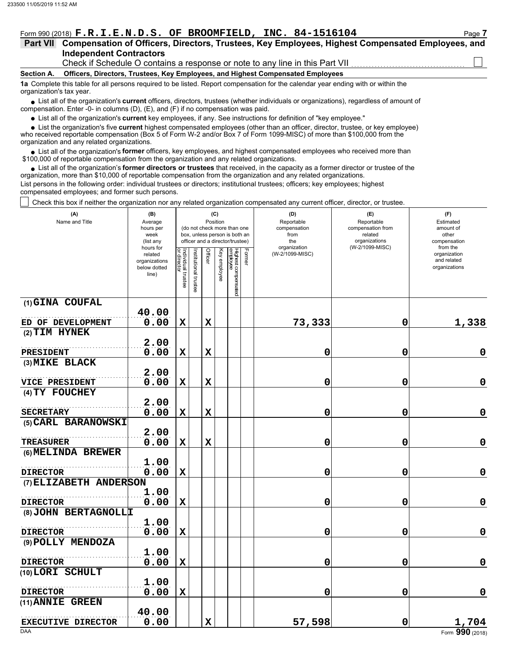## Form 990 (2018) Page **7 F.R.I.E.N.D.S. OF BROOMFIELD, INC. 84-1516104**

| Part VII Compensation of Officers, Directors, Trustees, Key Employees, Highest Compensated Employees, and |  |
|-----------------------------------------------------------------------------------------------------------|--|
| <b>Independent Contractors</b>                                                                            |  |
| Check if Schedule O contains a response or note to any line in this Part VII                              |  |

**Section A. Officers, Directors, Trustees, Key Employees, and Highest Compensated Employees**

**1a** Complete this table for all persons required to be listed. Report compensation for the calendar year ending with or within the organization's tax year.

 $\bullet$  List all of the organization's **current** officers, directors, trustees (whether individuals or organizations), regardless of amount of compensation. Enter -0- in columns (D), (E), and (F) if no compensation was paid.

List all of the organization's **current** key employees, if any. See instructions for definition of "key employee."

■ List all of the organization's **current** key employees, if any. See instructions for definition of "key employee."<br>■ List the organization's five **current** highest compensated employees (other than an officer, director,

who received reportable compensation (Box 5 of Form W-2 and/or Box 7 of Form 1099-MISC) of more than \$100,000 from the organization and any related organizations.

• List all of the organization's **former** officers, key employees, and highest compensated employees who received more than<br>00,000 of reportable compensation from the erganization and any related erganizations. \$100,000 of reportable compensation from the organization and any related organizations.

• List all of the organization's **former directors or trustees** that received, in the capacity as a former director or trustee of the principle compared in the cropical and any related errorizations. organization, more than \$10,000 of reportable compensation from the organization and any related organizations. List persons in the following order: individual trustees or directors; institutional trustees; officers; key employees; highest

compensated employees; and former such persons.

Check this box if neither the organization nor any related organization compensated any current officer, director, or trustee.

| (A)<br>Name and Title                   | (B)<br>Average<br>hours per<br>week<br>(list any<br>hours for |                                   | (C)<br>Position<br>(do not check more than one<br>box, unless person is both an<br>officer and a director/trustee) |             |              |                                 |        | (D)<br>Reportable<br>compensation<br>from<br>the<br>organization | (E)<br>Reportable<br>compensation from<br>related<br>organizations<br>(W-2/1099-MISC) | (F)<br>Estimated<br>amount of<br>other<br>compensation<br>from the |  |
|-----------------------------------------|---------------------------------------------------------------|-----------------------------------|--------------------------------------------------------------------------------------------------------------------|-------------|--------------|---------------------------------|--------|------------------------------------------------------------------|---------------------------------------------------------------------------------------|--------------------------------------------------------------------|--|
|                                         | related<br>organizations<br>below dotted<br>line)             | Individual trustee<br>or director | Institutional trustee                                                                                              | Officer     | Key employee | Highest compensated<br>employee | Former | (W-2/1099-MISC)                                                  |                                                                                       | organization<br>and related<br>organizations                       |  |
| (1) GINA COUFAL                         |                                                               |                                   |                                                                                                                    |             |              |                                 |        |                                                                  |                                                                                       |                                                                    |  |
| ED OF DEVELOPMENT                       | 40.00<br>0.00                                                 | $\mathbf x$                       |                                                                                                                    | $\mathbf x$ |              |                                 |        | 73,333                                                           | 0                                                                                     | 1,338                                                              |  |
| $\overline{(2)}$ TIM HYNEK              |                                                               |                                   |                                                                                                                    |             |              |                                 |        |                                                                  |                                                                                       |                                                                    |  |
| <b>PRESIDENT</b>                        | 2.00<br>0.00                                                  | X                                 |                                                                                                                    | $\mathbf x$ |              |                                 |        | 0                                                                | 0                                                                                     | $\mathbf 0$                                                        |  |
| (3) MIKE BLACK                          |                                                               |                                   |                                                                                                                    |             |              |                                 |        |                                                                  |                                                                                       |                                                                    |  |
|                                         | 2.00                                                          |                                   |                                                                                                                    |             |              |                                 |        |                                                                  |                                                                                       |                                                                    |  |
| <b>VICE PRESIDENT</b>                   | 0.00                                                          | $\mathbf x$                       |                                                                                                                    | $\mathbf x$ |              |                                 |        | 0                                                                | 0                                                                                     | $\mathbf 0$                                                        |  |
| (4) TY FOUCHEY                          | 2.00                                                          |                                   |                                                                                                                    |             |              |                                 |        |                                                                  |                                                                                       |                                                                    |  |
| <b>SECRETARY</b>                        | 0.00                                                          | $\mathbf x$                       |                                                                                                                    | $\mathbf x$ |              |                                 |        | 0                                                                | 0                                                                                     | $\mathbf 0$                                                        |  |
| (5) CARL BARANOWSKI                     |                                                               |                                   |                                                                                                                    |             |              |                                 |        |                                                                  |                                                                                       |                                                                    |  |
| <b>TREASURER</b>                        | 2.00<br>0.00                                                  | $\mathbf x$                       |                                                                                                                    | $\mathbf x$ |              |                                 |        | 0                                                                | 0                                                                                     | $\mathbf 0$                                                        |  |
| (6) MELINDA BREWER                      |                                                               |                                   |                                                                                                                    |             |              |                                 |        |                                                                  |                                                                                       |                                                                    |  |
|                                         | 1.00                                                          |                                   |                                                                                                                    |             |              |                                 |        |                                                                  |                                                                                       |                                                                    |  |
| <b>DIRECTOR</b>                         | 0.00                                                          | $\mathbf x$                       |                                                                                                                    |             |              |                                 |        | 0                                                                | 0                                                                                     | $\mathbf 0$                                                        |  |
| (7) ELIZABETH ANDERSON                  |                                                               |                                   |                                                                                                                    |             |              |                                 |        |                                                                  |                                                                                       |                                                                    |  |
|                                         | 1.00                                                          |                                   |                                                                                                                    |             |              |                                 |        |                                                                  |                                                                                       |                                                                    |  |
| <b>DIRECTOR</b><br>(8) JOHN BERTAGNOLLI | 0.00                                                          | $\mathbf x$                       |                                                                                                                    |             |              |                                 |        | 0                                                                | 0                                                                                     | $\mathbf 0$                                                        |  |
|                                         | 1.00                                                          |                                   |                                                                                                                    |             |              |                                 |        |                                                                  |                                                                                       |                                                                    |  |
| <b>DIRECTOR</b>                         | 0.00                                                          | $\mathbf x$                       |                                                                                                                    |             |              |                                 |        | 0                                                                | 0                                                                                     | $\mathbf 0$                                                        |  |
| (9) POLLY MENDOZA                       |                                                               |                                   |                                                                                                                    |             |              |                                 |        |                                                                  |                                                                                       |                                                                    |  |
|                                         | 1.00                                                          |                                   |                                                                                                                    |             |              |                                 |        |                                                                  |                                                                                       |                                                                    |  |
| <b>DIRECTOR</b>                         | 0.00                                                          | $\mathbf x$                       |                                                                                                                    |             |              |                                 |        | 0                                                                | 0                                                                                     | $\mathbf 0$                                                        |  |
| (10) LORI SCHULT                        |                                                               |                                   |                                                                                                                    |             |              |                                 |        |                                                                  |                                                                                       |                                                                    |  |
|                                         | 1.00                                                          |                                   |                                                                                                                    |             |              |                                 |        |                                                                  |                                                                                       |                                                                    |  |
| <b>DIRECTOR</b><br>(11) ANNIE GREEN     | 0.00                                                          | $\mathbf x$                       |                                                                                                                    |             |              |                                 |        | 0                                                                | 0                                                                                     | $\mathbf 0$                                                        |  |
|                                         | 40.00                                                         |                                   |                                                                                                                    |             |              |                                 |        |                                                                  |                                                                                       |                                                                    |  |
| <b>EXECUTIVE DIRECTOR</b>               | 0.00                                                          |                                   |                                                                                                                    | X           |              |                                 |        | 57,598                                                           | 0                                                                                     | 1,704                                                              |  |
| <b>DAA</b>                              |                                                               |                                   |                                                                                                                    |             |              |                                 |        |                                                                  |                                                                                       | Form 990 (2018)                                                    |  |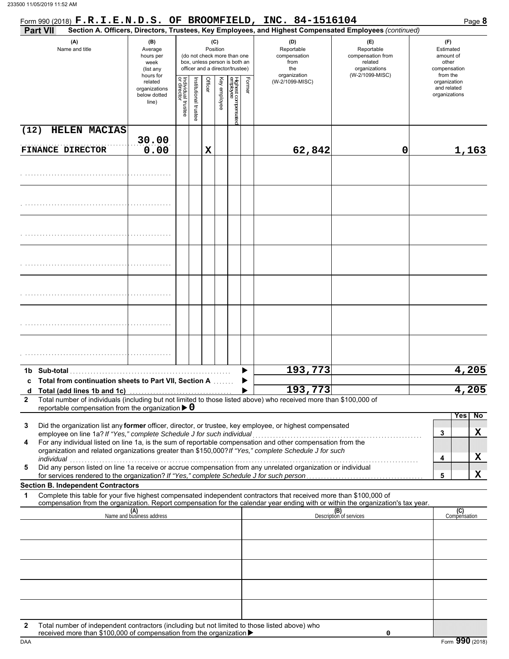|                  | Form 990 (2018) F.R.I.E.N.D.S. OF BROOMFIELD, INC. 84-1516104                                                                                                                                                                                                                                                                                                                                                            |                                                               |                                                                                                                    |                     |         |              |                                 |                                                                  |                                                                                                        |                                                                                       | Page 8                                                             |
|------------------|--------------------------------------------------------------------------------------------------------------------------------------------------------------------------------------------------------------------------------------------------------------------------------------------------------------------------------------------------------------------------------------------------------------------------|---------------------------------------------------------------|--------------------------------------------------------------------------------------------------------------------|---------------------|---------|--------------|---------------------------------|------------------------------------------------------------------|--------------------------------------------------------------------------------------------------------|---------------------------------------------------------------------------------------|--------------------------------------------------------------------|
| <b>Part VIII</b> |                                                                                                                                                                                                                                                                                                                                                                                                                          |                                                               |                                                                                                                    |                     |         |              |                                 |                                                                  | Section A. Officers, Directors, Trustees, Key Employees, and Highest Compensated Employees (continued) |                                                                                       |                                                                    |
|                  | (A)<br>Name and title                                                                                                                                                                                                                                                                                                                                                                                                    | (B)<br>Average<br>hours per<br>week<br>(list any<br>hours for | (C)<br>Position<br>(do not check more than one<br>box, unless person is both an<br>officer and a director/trustee) |                     |         |              |                                 | (D)<br>Reportable<br>compensation<br>from<br>the<br>organization |                                                                                                        | (E)<br>Reportable<br>compensation from<br>related<br>organizations<br>(W-2/1099-MISC) | (F)<br>Estimated<br>amount of<br>other<br>compensation<br>from the |
|                  |                                                                                                                                                                                                                                                                                                                                                                                                                          | related<br>organizations<br>below dotted<br>line)             | Individual trustee<br>or director                                                                                  | nstitutional truste | Officer | Key employee | Highest compensated<br>employee | Former                                                           | (W-2/1099-MISC)                                                                                        |                                                                                       | organization<br>and related<br>organizations                       |
| (12)             | <b>HELEN MACIAS</b>                                                                                                                                                                                                                                                                                                                                                                                                      | 30.00                                                         |                                                                                                                    |                     |         |              |                                 |                                                                  |                                                                                                        |                                                                                       |                                                                    |
|                  | <b>FINANCE DIRECTOR</b>                                                                                                                                                                                                                                                                                                                                                                                                  | 0.00                                                          |                                                                                                                    |                     | Х       |              |                                 |                                                                  | 62,842                                                                                                 | 0                                                                                     | <u>1,163</u>                                                       |
|                  |                                                                                                                                                                                                                                                                                                                                                                                                                          |                                                               |                                                                                                                    |                     |         |              |                                 |                                                                  |                                                                                                        |                                                                                       |                                                                    |
|                  |                                                                                                                                                                                                                                                                                                                                                                                                                          |                                                               |                                                                                                                    |                     |         |              |                                 |                                                                  |                                                                                                        |                                                                                       |                                                                    |
|                  |                                                                                                                                                                                                                                                                                                                                                                                                                          |                                                               |                                                                                                                    |                     |         |              |                                 |                                                                  |                                                                                                        |                                                                                       |                                                                    |
|                  |                                                                                                                                                                                                                                                                                                                                                                                                                          |                                                               |                                                                                                                    |                     |         |              |                                 |                                                                  |                                                                                                        |                                                                                       |                                                                    |
|                  |                                                                                                                                                                                                                                                                                                                                                                                                                          |                                                               |                                                                                                                    |                     |         |              |                                 |                                                                  |                                                                                                        |                                                                                       |                                                                    |
|                  |                                                                                                                                                                                                                                                                                                                                                                                                                          |                                                               |                                                                                                                    |                     |         |              |                                 |                                                                  |                                                                                                        |                                                                                       |                                                                    |
|                  |                                                                                                                                                                                                                                                                                                                                                                                                                          |                                                               |                                                                                                                    |                     |         |              |                                 |                                                                  |                                                                                                        |                                                                                       |                                                                    |
|                  | c Total from continuation sheets to Part VII, Section A                                                                                                                                                                                                                                                                                                                                                                  |                                                               |                                                                                                                    |                     |         |              |                                 |                                                                  | 193,773                                                                                                |                                                                                       | 4,205                                                              |
| $\mathbf{2}$     | Total number of individuals (including but not limited to those listed above) who received more than \$100,000 of                                                                                                                                                                                                                                                                                                        |                                                               |                                                                                                                    |                     |         |              |                                 |                                                                  | 193,773                                                                                                |                                                                                       | 4,205                                                              |
|                  | reportable compensation from the organization $\triangleright$ 0                                                                                                                                                                                                                                                                                                                                                         |                                                               |                                                                                                                    |                     |         |              |                                 |                                                                  |                                                                                                        |                                                                                       | Yes<br>$\overline{N}$                                              |
| 3<br>4           | Did the organization list any former officer, director, or trustee, key employee, or highest compensated<br>employee on line 1a? If "Yes," complete Schedule J for such individual<br>For any individual listed on line 1a, is the sum of reportable compensation and other compensation from the<br>organization and related organizations greater than \$150,000? If "Yes," complete Schedule J for such<br>individual |                                                               |                                                                                                                    |                     |         |              |                                 |                                                                  |                                                                                                        |                                                                                       | X<br>3<br>x<br>4                                                   |
| 5                | Did any person listed on line 1a receive or accrue compensation from any unrelated organization or individual                                                                                                                                                                                                                                                                                                            |                                                               |                                                                                                                    |                     |         |              |                                 |                                                                  |                                                                                                        |                                                                                       | X<br>5                                                             |
|                  | <b>Section B. Independent Contractors</b>                                                                                                                                                                                                                                                                                                                                                                                |                                                               |                                                                                                                    |                     |         |              |                                 |                                                                  |                                                                                                        |                                                                                       |                                                                    |
| 1                | Complete this table for your five highest compensated independent contractors that received more than \$100,000 of<br>compensation from the organization. Report compensation for the calendar year ending with or within the organization's tax year.                                                                                                                                                                   |                                                               |                                                                                                                    |                     |         |              |                                 |                                                                  |                                                                                                        |                                                                                       |                                                                    |
|                  |                                                                                                                                                                                                                                                                                                                                                                                                                          | (A)<br>Name and business address                              |                                                                                                                    |                     |         |              |                                 |                                                                  |                                                                                                        | (B)<br>Description of services                                                        | (C)<br>Compensation                                                |
|                  |                                                                                                                                                                                                                                                                                                                                                                                                                          |                                                               |                                                                                                                    |                     |         |              |                                 |                                                                  |                                                                                                        |                                                                                       |                                                                    |
|                  |                                                                                                                                                                                                                                                                                                                                                                                                                          |                                                               |                                                                                                                    |                     |         |              |                                 |                                                                  |                                                                                                        |                                                                                       |                                                                    |
|                  |                                                                                                                                                                                                                                                                                                                                                                                                                          |                                                               |                                                                                                                    |                     |         |              |                                 |                                                                  |                                                                                                        |                                                                                       |                                                                    |
|                  |                                                                                                                                                                                                                                                                                                                                                                                                                          |                                                               |                                                                                                                    |                     |         |              |                                 |                                                                  |                                                                                                        |                                                                                       |                                                                    |
| 2                | Total number of independent contractors (including but not limited to those listed above) who<br>received more than \$100,000 of compensation from the organization ▶                                                                                                                                                                                                                                                    |                                                               |                                                                                                                    |                     |         |              |                                 |                                                                  |                                                                                                        | 0                                                                                     |                                                                    |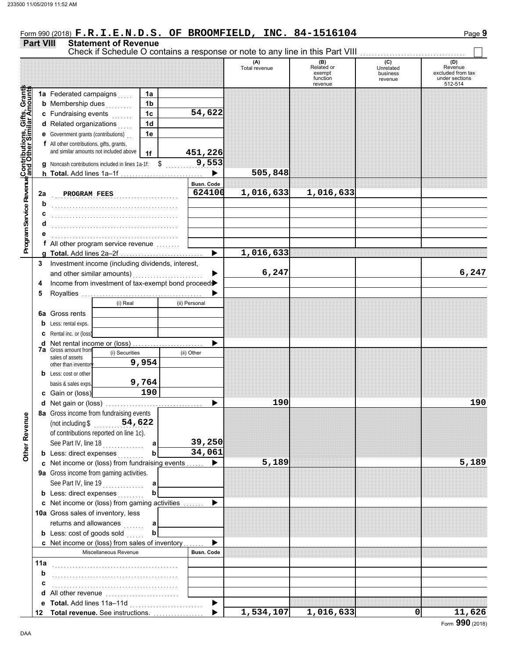#### Form 990 (2018) Page **9 F.R.I.E.N.D.S. OF BROOMFIELD, INC. 84-1516104**

#### **Part VIII Statement of Revenue**

|                                                                                                                                         |     | Check if Schedule O contains a response or note to any line in this Part VIII             |                |                   |               |                                                    |                                         |                                                                  |
|-----------------------------------------------------------------------------------------------------------------------------------------|-----|-------------------------------------------------------------------------------------------|----------------|-------------------|---------------|----------------------------------------------------|-----------------------------------------|------------------------------------------------------------------|
|                                                                                                                                         |     |                                                                                           |                |                   | Total revenue | (B)<br>Related or<br>exempt<br>function<br>revenue | (C)<br>Unrelated<br>business<br>revenue | (D)<br>Revenue<br>excluded from tax<br>under sections<br>512-514 |
| Program Service Revenue <mark>l Contributions, Gifts, Grants</mark><br>Program Service Revenue <mark>l and Other Similar Amounts</mark> |     | 1a Federated campaigns                                                                    | 1a             |                   |               |                                                    |                                         |                                                                  |
|                                                                                                                                         |     | <b>b</b> Membership dues                                                                  | 1 <sub>b</sub> |                   |               |                                                    |                                         |                                                                  |
|                                                                                                                                         |     | c Fundraising events                                                                      | 1 <sub>c</sub> | 54,622            |               |                                                    |                                         |                                                                  |
|                                                                                                                                         |     | d Related organizations                                                                   | 1 <sub>d</sub> |                   |               |                                                    |                                         |                                                                  |
|                                                                                                                                         |     | <b>e</b> Government grants (contributions)                                                | 1e             |                   |               |                                                    |                                         |                                                                  |
|                                                                                                                                         |     | f All other contributions, gifts, grants,                                                 |                |                   |               |                                                    |                                         |                                                                  |
|                                                                                                                                         |     | and similar amounts not included above                                                    | 1f             | 451,226           |               |                                                    |                                         |                                                                  |
|                                                                                                                                         |     | <b>q</b> Noncash contributions included in lines 1a-1f: \$                                |                | 9,553             |               |                                                    |                                         |                                                                  |
|                                                                                                                                         |     | h Total. Add lines 1a-1f                                                                  |                |                   | 505,848       |                                                    |                                         |                                                                  |
|                                                                                                                                         |     |                                                                                           |                | Busn. Code        |               |                                                    |                                         |                                                                  |
|                                                                                                                                         | 2a  | PROGRAM FEES                                                                              |                | 624100            | 1,016,633     | 1,016,633                                          |                                         |                                                                  |
|                                                                                                                                         | b   |                                                                                           |                |                   |               |                                                    |                                         |                                                                  |
|                                                                                                                                         | с   |                                                                                           |                |                   |               |                                                    |                                         |                                                                  |
|                                                                                                                                         | d   |                                                                                           |                |                   |               |                                                    |                                         |                                                                  |
|                                                                                                                                         |     |                                                                                           |                |                   |               |                                                    |                                         |                                                                  |
|                                                                                                                                         |     | <b>f</b> All other program service revenue $\ldots$                                       |                |                   |               |                                                    |                                         |                                                                  |
|                                                                                                                                         |     |                                                                                           |                | ▶                 | 1,016,633     |                                                    |                                         |                                                                  |
|                                                                                                                                         | 3   | Investment income (including dividends, interest,                                         |                |                   |               |                                                    |                                         |                                                                  |
|                                                                                                                                         |     | and other similar amounts)                                                                |                |                   | 6,247         |                                                    |                                         | 6, 247                                                           |
|                                                                                                                                         | 4   | Income from investment of tax-exempt bond proceed                                         |                |                   |               |                                                    |                                         |                                                                  |
|                                                                                                                                         | 5   |                                                                                           |                |                   |               |                                                    |                                         |                                                                  |
|                                                                                                                                         |     | (i) Real                                                                                  |                | (ii) Personal     |               |                                                    |                                         |                                                                  |
|                                                                                                                                         | 6a  | Gross rents                                                                               |                |                   |               |                                                    |                                         |                                                                  |
|                                                                                                                                         | b   | Less: rental exps.                                                                        |                |                   |               |                                                    |                                         |                                                                  |
|                                                                                                                                         | С   | Rental inc. or (loss)                                                                     |                |                   |               |                                                    |                                         |                                                                  |
|                                                                                                                                         | d   | Net rental income or (loss)<br><b>7a</b> Gross amount from                                |                |                   |               |                                                    |                                         |                                                                  |
|                                                                                                                                         |     | (i) Securities<br>sales of assets                                                         |                | (ii) Other        |               |                                                    |                                         |                                                                  |
|                                                                                                                                         |     | other than inventory                                                                      | 9,954          |                   |               |                                                    |                                         |                                                                  |
|                                                                                                                                         |     | Less: cost or other                                                                       |                |                   |               |                                                    |                                         |                                                                  |
|                                                                                                                                         |     | basis & sales exps.                                                                       | 9,764          |                   |               |                                                    |                                         |                                                                  |
|                                                                                                                                         |     | c Gain or (loss)                                                                          | 190            |                   |               |                                                    |                                         |                                                                  |
|                                                                                                                                         |     |                                                                                           |                |                   | 190           |                                                    |                                         | 190                                                              |
| ٩                                                                                                                                       |     | 8a Gross income from fundraising events                                                   |                |                   |               |                                                    |                                         |                                                                  |
|                                                                                                                                         |     | (not including \$ $54,622$                                                                |                |                   |               |                                                    |                                         |                                                                  |
|                                                                                                                                         |     | of contributions reported on line 1c).                                                    |                | 39,250            |               |                                                    |                                         |                                                                  |
| Other Reven                                                                                                                             |     | See Part IV, line 18<br>.                                                                 | a<br>b         | 34,061            |               |                                                    |                                         |                                                                  |
|                                                                                                                                         |     | <b>b</b> Less: direct expenses [[1][1][1]                                                 |                |                   | 5,189         |                                                    |                                         | 5,189                                                            |
|                                                                                                                                         |     | c Net income or (loss) from fundraising events<br>9a Gross income from gaming activities. |                |                   |               |                                                    |                                         |                                                                  |
|                                                                                                                                         |     | See Part IV, line 19                                                                      | a              |                   |               |                                                    |                                         |                                                                  |
|                                                                                                                                         |     | <b>b</b> Less: direct expenses                                                            | b              |                   |               |                                                    |                                         |                                                                  |
|                                                                                                                                         |     | c Net income or (loss) from gaming activities                                             |                |                   |               |                                                    |                                         |                                                                  |
|                                                                                                                                         |     | 10a Gross sales of inventory, less                                                        |                |                   |               |                                                    |                                         |                                                                  |
|                                                                                                                                         |     | returns and allowances                                                                    | a              |                   |               |                                                    |                                         |                                                                  |
|                                                                                                                                         |     | .<br><b>b</b> Less: cost of goods sold                                                    | b              |                   |               |                                                    |                                         |                                                                  |
|                                                                                                                                         |     | c Net income or (loss) from sales of inventory                                            |                |                   |               |                                                    |                                         |                                                                  |
|                                                                                                                                         |     | Miscellaneous Revenue                                                                     |                | <b>Busn. Code</b> |               |                                                    |                                         |                                                                  |
|                                                                                                                                         | 11a |                                                                                           |                |                   |               |                                                    |                                         |                                                                  |
|                                                                                                                                         | b   |                                                                                           |                |                   |               |                                                    |                                         |                                                                  |
|                                                                                                                                         | c   |                                                                                           |                |                   |               |                                                    |                                         |                                                                  |
|                                                                                                                                         | d   | All other revenue                                                                         |                |                   |               |                                                    |                                         |                                                                  |
|                                                                                                                                         | е   | Total. Add lines 11a-11d                                                                  |                |                   |               |                                                    |                                         |                                                                  |
|                                                                                                                                         | 12  | Total revenue. See instructions.                                                          |                |                   | 1,534,107     | 1,016,633                                          | 0                                       | 11,626                                                           |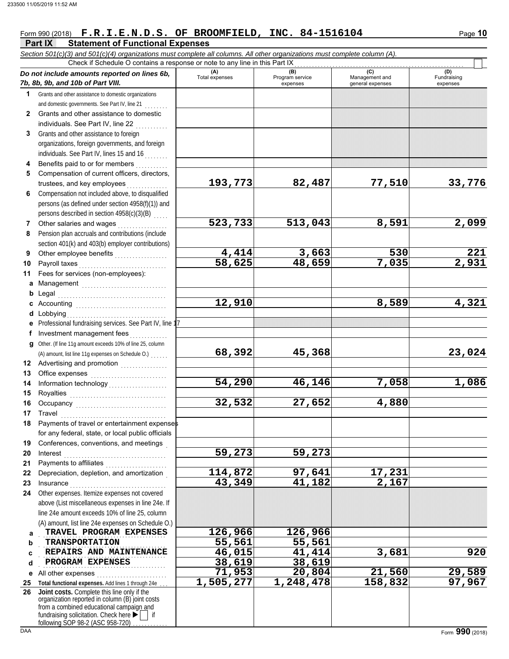## Form 990 (2018) Page **10 F.R.I.E.N.D.S. OF BROOMFIELD, INC. 84-1516104**

**Part IX Statement of Functional Expenses** *Section 501(c)(3) and 501(c)(4) organizations must complete all columns. All other organizations must complete column (A). Do not include amounts reported on lines 6b, 7b, 8b, 9b, and 10b of Part VIII.* **1 2 3 4 5 6 7 8 9 10 11 a** Management ............................. **b c** Accounting . . . . . . . . . . . . . . . . . . . . . . . . . . . . . . . **d** Lobbying **e** Professional fundraising services. See Part IV, line 17 **f g** Other. (If line 11g amount exceeds 10% of line 25, column **12** Advertising and promotion . . . . . . . . . . . . . . **13 14 15 16 17 18 19 20 21 22 23 24 a b c d e** All other expenses . . . . . . . . . . . . . . . . . . . . . . . . **25 Total functional expenses.** Add lines 1 through 24e . . . **26** Grants and other assistance to domestic organizations and domestic governments. See Part IV, line 21 Grants and other assistance to domestic individuals. See Part IV, line 22 Grants and other assistance to foreign organizations, foreign governments, and foreign individuals. See Part IV, lines 15 and 16 . . . . . . . . Benefits paid to or for members . . . . . . . . . . Compensation of current officers, directors, trustees, and key employees Compensation not included above, to disqualified persons (as defined under section 4958(f)(1)) and persons described in section 4958(c)(3)(B) Other salaries and wages . . . . . . . . . . . . . . . . Pension plan accruals and contributions (include section 401(k) and 403(b) employer contributions) Other employee benefits . . . . . . . . . . . . . . . . . . Payroll taxes . . . . . . . . . . . . . . . . . . . . . . . . . . . . . . Fees for services (non-employees): Legal . . . . . . . . . . . . . . . . . . . . . . . . . . . . . . . . . . . . . Lobbying . . . . . . . . . . . . . . . . . . . . . . . . . . . . . . . . . . Investment management fees . . . . . . . . . . . . Office expenses . . . . . . . . . . . . . . . . . . . . . . . . . . Information technology . . . . . . . . . . . . . . . . . . . . Royalties . . . . . . . . . . . . . . . . . . . . . . . . . . . . . . . . . Occupancy . . . . . . . . . . . . . . . . . . . . . . . . . . . . . . . Travel . . . . . . . . . . . . . . . . . . . . . . . . . . . . . . . . . . . . Payments of travel or entertainment expenses for any federal, state, or local public officials Conferences, conventions, and meetings . Interest . . . . . . . . . . . . . . . . . . . . . . . . . . . . . . . . . . . Payments to affiliates . . . . . . . . . . . . . . . Depreciation, depletion, and amortization . Insurance . . . . . . . . . . . . . . . . . . . . . . . . . . . . . . . . . Other expenses. Itemize expenses not covered above (List miscellaneous expenses in line 24e. If line 24e amount exceeds 10% of line 25, column (A) amount, list line 24e expenses on Schedule O.) fundraising solicitation. Check here  $\blacktriangleright$  | if organization reported in column (B) joint costs from a combined educational campaign and **(A) (B) (C) (D)** Total expenses Program service Management and expenses and general expenses (D)<br>Fundraising expenses **TRAVEL PROGRAM EXPENSES** 126,966 126,966 **TRANSPORTATION** 55,561 55,561 **REPAIRS AND MAINTENANCE**  $\begin{array}{|c|c|c|c|c|c|}\n\hline\n & 46,015 & 41,414 & 3,681 & 920 \\
\hline\n\end{array}$ . . . . . . . . . . . . . . . . . . . . . . . . . . . . . . . . . . . . . . . . . . . **PROGRAM EXPENSES 38,619 38,619** Check if Schedule O contains a response or note to any line in this Part IX **Joint costs.** Complete this line only if the (A) amount, list line 11g expenses on Schedule O.) . . . . . . . **193,773 82,487 77,510 33,776 523,733 513,043 8,591 2,099 4,414 3,663 530 221 58,625 48,659 7,035 2,931 12,910 8,589 4,321 68,392 45,368 23,024 54,290 46,146 7,058 1,086 32,532 27,652 4,880 59,273 59,273 114,872 97,641 17,231 43,349 41,182 2,167 71,953 20,804 21,560 29,589 1,505,277 1,248,478 158,832 97,967**

following SOP 98-2 (ASC 958-720)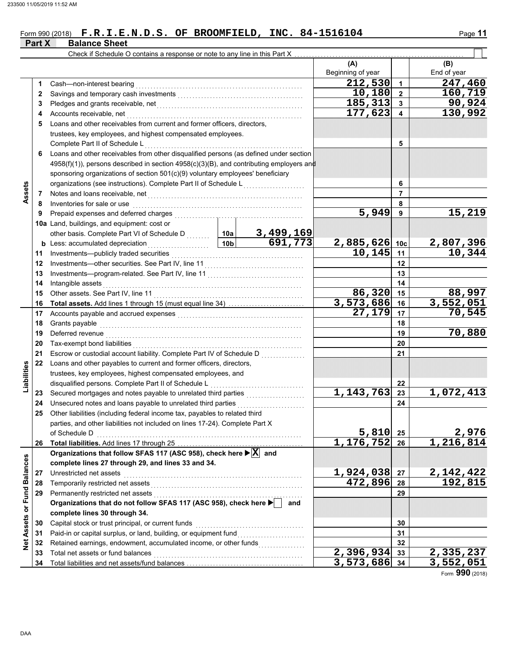## Form 990 (2018) Page **11 F.R.I.E.N.D.S. OF BROOMFIELD, INC. 84-1516104**

|                             | Part X | <b>Balance Sheet</b>                                                                                                                                                                                                                                                                   |                 |                             |                        |                         |                         |
|-----------------------------|--------|----------------------------------------------------------------------------------------------------------------------------------------------------------------------------------------------------------------------------------------------------------------------------------------|-----------------|-----------------------------|------------------------|-------------------------|-------------------------|
|                             |        | Check if Schedule O contains a response or note to any line in this Part X                                                                                                                                                                                                             |                 |                             |                        |                         |                         |
|                             |        |                                                                                                                                                                                                                                                                                        |                 |                             | (A)                    |                         | (B)                     |
|                             |        |                                                                                                                                                                                                                                                                                        |                 |                             | Beginning of year      |                         | End of year             |
|                             | 1      | Cash-non-interest bearing                                                                                                                                                                                                                                                              |                 |                             | $\overline{212,530}$   | $\blacksquare$ 1        | 247,460                 |
|                             | 2      |                                                                                                                                                                                                                                                                                        |                 |                             | $10,180$ 2             |                         | 160, 719                |
|                             | 3      |                                                                                                                                                                                                                                                                                        |                 |                             | 185, 313               | $\mathbf{3}$            | 90,924                  |
|                             | 4      | Accounts receivable, net                                                                                                                                                                                                                                                               |                 |                             | 177,623                | $\overline{\mathbf{4}}$ | 130,992                 |
|                             | 5      | Loans and other receivables from current and former officers, directors,                                                                                                                                                                                                               |                 |                             |                        |                         |                         |
|                             |        | trustees, key employees, and highest compensated employees.                                                                                                                                                                                                                            |                 |                             |                        |                         |                         |
|                             |        | Complete Part II of Schedule L                                                                                                                                                                                                                                                         |                 |                             |                        | 5                       |                         |
|                             | 6      | Loans and other receivables from other disqualified persons (as defined under section                                                                                                                                                                                                  |                 |                             |                        |                         |                         |
|                             |        | 4958(f)(1)), persons described in section 4958(c)(3)(B), and contributing employers and                                                                                                                                                                                                |                 |                             |                        |                         |                         |
|                             |        | sponsoring organizations of section 501(c)(9) voluntary employees' beneficiary                                                                                                                                                                                                         |                 |                             |                        |                         |                         |
|                             |        | organizations (see instructions). Complete Part II of Schedule L                                                                                                                                                                                                                       |                 |                             |                        | 6                       |                         |
| Assets                      | 7      | Notes and loans receivable, net <b>constrained</b> and <b>constrained</b> and <b>constrained</b> and <b>constrained</b> and <b>constrained</b> and <b>constrained</b> and <b>constrained</b> and <b>constrained</b> and <b>constrained</b> and <b>constrained</b> and <b>constrain</b> |                 |                             |                        | $\overline{7}$          |                         |
|                             | 8      | Inventories for sale or use                                                                                                                                                                                                                                                            |                 |                             |                        | 8                       |                         |
|                             | 9      | Prepaid expenses and deferred charges                                                                                                                                                                                                                                                  |                 |                             | 5,949                  | 9                       | 15,219                  |
|                             |        | 10a Land, buildings, and equipment: cost or                                                                                                                                                                                                                                            |                 |                             |                        |                         |                         |
|                             |        | other basis. Complete Part VI of Schedule D                                                                                                                                                                                                                                            | 10a             | $\frac{3,499,169}{691,773}$ |                        |                         |                         |
|                             |        | <b>b</b> Less: accumulated depreciation<br>.                                                                                                                                                                                                                                           | 10 <sub>b</sub> |                             | 2,885,626 10c          |                         | 2,807,396<br>10,344     |
|                             | 11     |                                                                                                                                                                                                                                                                                        |                 |                             | $10, 145$ 11           |                         |                         |
|                             | 12     | Investments-other securities. See Part IV, line 11                                                                                                                                                                                                                                     |                 |                             |                        | 12                      |                         |
|                             | 13     |                                                                                                                                                                                                                                                                                        |                 |                             |                        | 13                      |                         |
|                             | 14     | Intangible assets                                                                                                                                                                                                                                                                      |                 |                             |                        | 14                      |                         |
|                             | 15     | Other assets. See Part IV, line 11                                                                                                                                                                                                                                                     |                 |                             | $86,320$ 15            |                         | 88,997                  |
|                             | 16     | Total assets. Add lines 1 through 15 (must equal line 34)                                                                                                                                                                                                                              |                 |                             | 3,573,686 16           |                         | 3,552,051               |
|                             | 17     |                                                                                                                                                                                                                                                                                        |                 |                             | $27, 179$ 17           |                         | 70,545                  |
|                             | 18     | Grants payable                                                                                                                                                                                                                                                                         |                 |                             |                        | 18                      |                         |
|                             | 19     | Deferred revenue                                                                                                                                                                                                                                                                       |                 |                             |                        | 19                      | 70,880                  |
|                             | 20     | Tax-exempt bond liabilities                                                                                                                                                                                                                                                            |                 |                             |                        | 20                      |                         |
|                             | 21     | Escrow or custodial account liability. Complete Part IV of Schedule D                                                                                                                                                                                                                  |                 |                             |                        | 21                      |                         |
| Liabilities                 | 22     | Loans and other payables to current and former officers, directors,                                                                                                                                                                                                                    |                 |                             |                        |                         |                         |
|                             |        | trustees, key employees, highest compensated employees, and                                                                                                                                                                                                                            |                 |                             |                        |                         |                         |
|                             |        | disqualified persons. Complete Part II of Schedule L                                                                                                                                                                                                                                   |                 |                             |                        | 22                      |                         |
|                             | 23     |                                                                                                                                                                                                                                                                                        |                 |                             | 1, 143, 763            | 23                      | 1,072,413               |
|                             | 24     | Unsecured notes and loans payable to unrelated third parties                                                                                                                                                                                                                           |                 |                             |                        | 24                      |                         |
|                             | 25     | Other liabilities (including federal income tax, payables to related third                                                                                                                                                                                                             |                 |                             |                        |                         |                         |
|                             |        | parties, and other liabilities not included on lines 17-24). Complete Part X<br>of Schedule D                                                                                                                                                                                          |                 |                             | $5,810$ 25             |                         |                         |
|                             | 26     |                                                                                                                                                                                                                                                                                        |                 |                             | 1,176,752              | 26                      | 2,976<br>1,216,814      |
|                             |        | Organizations that follow SFAS 117 (ASC 958), check here $\blacktriangleright$ $\boxed{X}$ and                                                                                                                                                                                         |                 |                             |                        |                         |                         |
|                             |        | complete lines 27 through 29, and lines 33 and 34.                                                                                                                                                                                                                                     |                 |                             |                        |                         |                         |
|                             | 27     | Unrestricted net assets                                                                                                                                                                                                                                                                |                 |                             | 1,924,038              | 27                      |                         |
|                             | 28     | Temporarily restricted net assets                                                                                                                                                                                                                                                      |                 |                             | 472,896                | 28                      | 2, 142, 422<br>192, 815 |
|                             | 29     | Permanently restricted net assets                                                                                                                                                                                                                                                      |                 |                             |                        | 29                      |                         |
|                             |        | Organizations that do not follow SFAS 117 (ASC 958), check here                                                                                                                                                                                                                        |                 | and                         |                        |                         |                         |
| Net Assets or Fund Balances |        | complete lines 30 through 34.                                                                                                                                                                                                                                                          |                 |                             |                        |                         |                         |
|                             | 30     | Capital stock or trust principal, or current funds                                                                                                                                                                                                                                     |                 |                             |                        | 30                      |                         |
|                             | 31     | Paid-in or capital surplus, or land, building, or equipment fund                                                                                                                                                                                                                       |                 |                             |                        | 31                      |                         |
|                             | 32     | Retained earnings, endowment, accumulated income, or other funds                                                                                                                                                                                                                       |                 |                             |                        | 32                      |                         |
|                             | 33     | Total net assets or fund balances                                                                                                                                                                                                                                                      |                 |                             | $\overline{2,396,934}$ | 33                      | 2,335,237               |
|                             | 34     |                                                                                                                                                                                                                                                                                        |                 |                             | 3,573,686 34           |                         | 3,552,051               |

Form **990** (2018)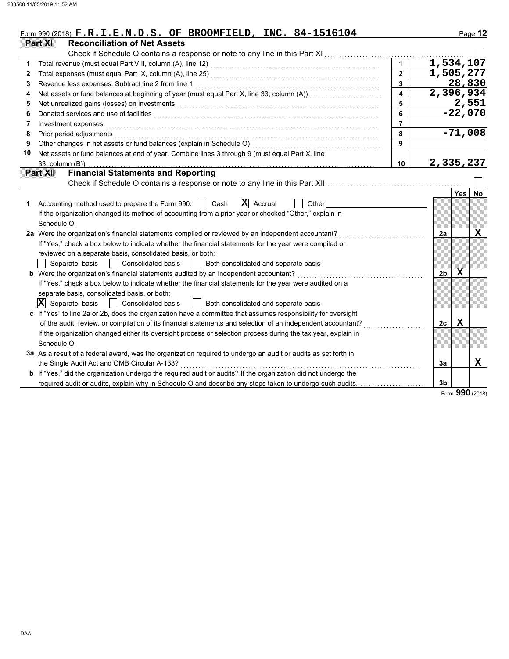|    | Form 990 (2018) $F.R.I.E.N.D.S.$ OF BROOMFIELD, INC. 84-1516104<br>Part XI<br><b>Reconciliation of Net Assets</b>                                                                                                              |                         |                |     | Page 12   |
|----|--------------------------------------------------------------------------------------------------------------------------------------------------------------------------------------------------------------------------------|-------------------------|----------------|-----|-----------|
|    |                                                                                                                                                                                                                                |                         |                |     |           |
|    |                                                                                                                                                                                                                                | $\mathbf{1}$            | 1,534,107      |     |           |
| 2  |                                                                                                                                                                                                                                | $\overline{2}$          | 1,505,277      |     |           |
| 3  | Revenue less expenses. Subtract line 2 from line 1                                                                                                                                                                             | $\overline{3}$          |                |     | 28,830    |
| 4  |                                                                                                                                                                                                                                | $\overline{\mathbf{4}}$ | 2,396,934      |     |           |
| 5  | Net unrealized gains (losses) on investments [11] with the content of the content of the content of the content of the content of the content of the content of the content of the content of the content of the content of th | 5                       |                |     | 2,551     |
| 6  |                                                                                                                                                                                                                                | 6                       |                |     | $-22,070$ |
| 7  |                                                                                                                                                                                                                                | $\overline{7}$          |                |     |           |
| 8  |                                                                                                                                                                                                                                | 8                       |                |     | $-71,008$ |
| 9  |                                                                                                                                                                                                                                | $\overline{9}$          |                |     |           |
| 10 | Net assets or fund balances at end of year. Combine lines 3 through 9 (must equal Part X, line                                                                                                                                 |                         |                |     |           |
|    | 33, column (B))                                                                                                                                                                                                                | 10                      | 2,335,237      |     |           |
|    | <b>Financial Statements and Reporting</b><br>Part XIII                                                                                                                                                                         |                         |                |     |           |
|    |                                                                                                                                                                                                                                |                         |                |     |           |
|    |                                                                                                                                                                                                                                |                         |                | Yes | No        |
|    | $\mathbf{X}$ Accrual<br>Accounting method used to prepare the Form 990:    <br>Cash<br>Other                                                                                                                                   |                         |                |     |           |
|    | If the organization changed its method of accounting from a prior year or checked "Other," explain in                                                                                                                          |                         |                |     |           |
|    | Schedule O.                                                                                                                                                                                                                    |                         |                |     |           |
|    | 2a Were the organization's financial statements compiled or reviewed by an independent accountant?                                                                                                                             |                         | 2a             |     | x         |
|    | If "Yes," check a box below to indicate whether the financial statements for the year were compiled or                                                                                                                         |                         |                |     |           |
|    | reviewed on a separate basis, consolidated basis, or both:                                                                                                                                                                     |                         |                |     |           |
|    | Separate basis<br>Consolidated basis<br>Both consolidated and separate basis                                                                                                                                                   |                         |                |     |           |
|    | b Were the organization's financial statements audited by an independent accountant?                                                                                                                                           |                         | 2b             | X   |           |
|    | If "Yes," check a box below to indicate whether the financial statements for the year were audited on a                                                                                                                        |                         |                |     |           |
|    | separate basis, consolidated basis, or both:                                                                                                                                                                                   |                         |                |     |           |
|    | $ \mathbf{X} $ Separate basis    <br>Consolidated basis<br>Both consolidated and separate basis                                                                                                                                |                         |                |     |           |
|    | c If "Yes" to line 2a or 2b, does the organization have a committee that assumes responsibility for oversight                                                                                                                  |                         |                |     |           |
|    | of the audit, review, or compilation of its financial statements and selection of an independent accountant?                                                                                                                   |                         | 2 <sub>c</sub> | X   |           |
|    | If the organization changed either its oversight process or selection process during the tax year, explain in                                                                                                                  |                         |                |     |           |
|    | Schedule O.                                                                                                                                                                                                                    |                         |                |     |           |
|    | 3a As a result of a federal award, was the organization required to undergo an audit or audits as set forth in                                                                                                                 |                         |                |     |           |
|    | the Single Audit Act and OMB Circular A-133?                                                                                                                                                                                   |                         | За             |     | X         |
|    | <b>b</b> If "Yes," did the organization undergo the required audit or audits? If the organization did not undergo the                                                                                                          |                         |                |     |           |
|    | required audit or audits, explain why in Schedule O and describe any steps taken to undergo such audits                                                                                                                        |                         | 3b             |     |           |

Form **990** (2018)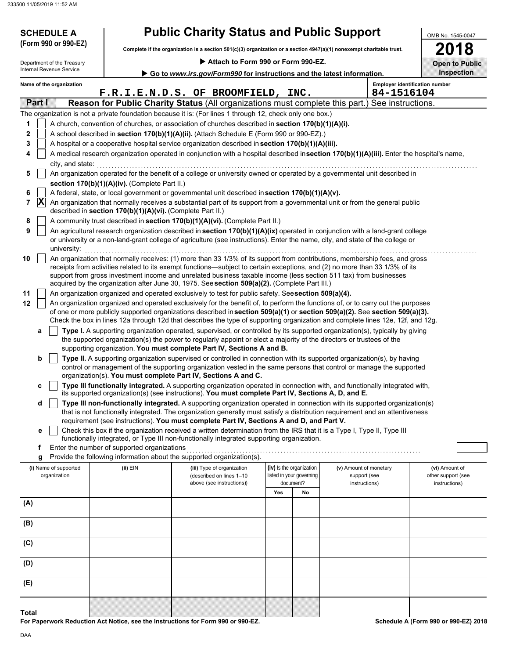| <b>SCHEDULE A</b>                                                                                                                                                                                                                                                                                                                                                                     |                                                                                                                                                                                                                                                                 | <b>Public Charity Status and Public Support</b>                                                                                                                                                                                                                |     |                                       |                               | OMB No. 1545-0047                     |  |  |
|---------------------------------------------------------------------------------------------------------------------------------------------------------------------------------------------------------------------------------------------------------------------------------------------------------------------------------------------------------------------------------------|-----------------------------------------------------------------------------------------------------------------------------------------------------------------------------------------------------------------------------------------------------------------|----------------------------------------------------------------------------------------------------------------------------------------------------------------------------------------------------------------------------------------------------------------|-----|---------------------------------------|-------------------------------|---------------------------------------|--|--|
| (Form 990 or 990-EZ)                                                                                                                                                                                                                                                                                                                                                                  |                                                                                                                                                                                                                                                                 | Complete if the organization is a section $501(c)(3)$ organization or a section $4947(a)(1)$ nonexempt charitable trust.                                                                                                                                       |     |                                       |                               | 2018                                  |  |  |
| Department of the Treasury                                                                                                                                                                                                                                                                                                                                                            |                                                                                                                                                                                                                                                                 | Attach to Form 990 or Form 990-EZ.                                                                                                                                                                                                                             |     |                                       |                               | <b>Open to Public</b>                 |  |  |
| Internal Revenue Service                                                                                                                                                                                                                                                                                                                                                              |                                                                                                                                                                                                                                                                 | Go to www.irs.gov/Form990 for instructions and the latest information.                                                                                                                                                                                         |     |                                       |                               | Inspection                            |  |  |
| Name of the organization                                                                                                                                                                                                                                                                                                                                                              |                                                                                                                                                                                                                                                                 |                                                                                                                                                                                                                                                                |     |                                       |                               | <b>Employer identification number</b> |  |  |
|                                                                                                                                                                                                                                                                                                                                                                                       |                                                                                                                                                                                                                                                                 | F.R.I.E.N.D.S. OF BROOMFIELD, INC.                                                                                                                                                                                                                             |     |                                       | 84-1516104                    |                                       |  |  |
| <b>Partil</b>                                                                                                                                                                                                                                                                                                                                                                         |                                                                                                                                                                                                                                                                 | Reason for Public Charity Status (All organizations must complete this part.) See instructions.                                                                                                                                                                |     |                                       |                               |                                       |  |  |
|                                                                                                                                                                                                                                                                                                                                                                                       |                                                                                                                                                                                                                                                                 | The organization is not a private foundation because it is: (For lines 1 through 12, check only one box.)                                                                                                                                                      |     |                                       |                               |                                       |  |  |
| 1                                                                                                                                                                                                                                                                                                                                                                                     |                                                                                                                                                                                                                                                                 | A church, convention of churches, or association of churches described in section 170(b)(1)(A)(i).                                                                                                                                                             |     |                                       |                               |                                       |  |  |
| 2                                                                                                                                                                                                                                                                                                                                                                                     |                                                                                                                                                                                                                                                                 | A school described in section 170(b)(1)(A)(ii). (Attach Schedule E (Form 990 or 990-EZ).)                                                                                                                                                                      |     |                                       |                               |                                       |  |  |
| 3<br>4                                                                                                                                                                                                                                                                                                                                                                                |                                                                                                                                                                                                                                                                 | A hospital or a cooperative hospital service organization described in section 170(b)(1)(A)(iii).<br>A medical research organization operated in conjunction with a hospital described insection 170(b)(1)(A)(iii). Enter the hospital's name,                 |     |                                       |                               |                                       |  |  |
| city, and state:                                                                                                                                                                                                                                                                                                                                                                      |                                                                                                                                                                                                                                                                 |                                                                                                                                                                                                                                                                |     |                                       |                               |                                       |  |  |
| 5                                                                                                                                                                                                                                                                                                                                                                                     |                                                                                                                                                                                                                                                                 | An organization operated for the benefit of a college or university owned or operated by a governmental unit described in                                                                                                                                      |     |                                       |                               |                                       |  |  |
|                                                                                                                                                                                                                                                                                                                                                                                       | section 170(b)(1)(A)(iv). (Complete Part II.)                                                                                                                                                                                                                   |                                                                                                                                                                                                                                                                |     |                                       |                               |                                       |  |  |
| 6                                                                                                                                                                                                                                                                                                                                                                                     |                                                                                                                                                                                                                                                                 | A federal, state, or local government or governmental unit described in section 170(b)(1)(A)(v).                                                                                                                                                               |     |                                       |                               |                                       |  |  |
| $ \mathbf{X} $<br>7                                                                                                                                                                                                                                                                                                                                                                   | described in section 170(b)(1)(A)(vi). (Complete Part II.)                                                                                                                                                                                                      | An organization that normally receives a substantial part of its support from a governmental unit or from the general public                                                                                                                                   |     |                                       |                               |                                       |  |  |
| 8                                                                                                                                                                                                                                                                                                                                                                                     |                                                                                                                                                                                                                                                                 | A community trust described in section 170(b)(1)(A)(vi). (Complete Part II.)                                                                                                                                                                                   |     |                                       |                               |                                       |  |  |
| 9<br>university:                                                                                                                                                                                                                                                                                                                                                                      | An agricultural research organization described in section 170(b)(1)(A)(ix) operated in conjunction with a land-grant college<br>or university or a non-land-grant college of agriculture (see instructions). Enter the name, city, and state of the college or |                                                                                                                                                                                                                                                                |     |                                       |                               |                                       |  |  |
| 10<br>An organization that normally receives: (1) more than 33 1/3% of its support from contributions, membership fees, and gross<br>receipts from activities related to its exempt functions—subject to certain exceptions, and (2) no more than 33 1/3% of its<br>support from gross investment income and unrelated business taxable income (less section 511 tax) from businesses |                                                                                                                                                                                                                                                                 |                                                                                                                                                                                                                                                                |     |                                       |                               |                                       |  |  |
|                                                                                                                                                                                                                                                                                                                                                                                       |                                                                                                                                                                                                                                                                 | acquired by the organization after June 30, 1975. See section 509(a)(2). (Complete Part III.)                                                                                                                                                                  |     |                                       |                               |                                       |  |  |
| 11                                                                                                                                                                                                                                                                                                                                                                                    |                                                                                                                                                                                                                                                                 | An organization organized and operated exclusively to test for public safety. Seesection 509(a)(4).                                                                                                                                                            |     |                                       |                               |                                       |  |  |
| 12                                                                                                                                                                                                                                                                                                                                                                                    |                                                                                                                                                                                                                                                                 | An organization organized and operated exclusively for the benefit of, to perform the functions of, or to carry out the purposes                                                                                                                               |     |                                       |                               |                                       |  |  |
|                                                                                                                                                                                                                                                                                                                                                                                       |                                                                                                                                                                                                                                                                 | of one or more publicly supported organizations described in section 509(a)(1) or section 509(a)(2). See section 509(a)(3).<br>Check the box in lines 12a through 12d that describes the type of supporting organization and complete lines 12e, 12f, and 12g. |     |                                       |                               |                                       |  |  |
| a                                                                                                                                                                                                                                                                                                                                                                                     |                                                                                                                                                                                                                                                                 | Type I. A supporting organization operated, supervised, or controlled by its supported organization(s), typically by giving                                                                                                                                    |     |                                       |                               |                                       |  |  |
|                                                                                                                                                                                                                                                                                                                                                                                       |                                                                                                                                                                                                                                                                 | the supported organization(s) the power to regularly appoint or elect a majority of the directors or trustees of the<br>supporting organization. You must complete Part IV, Sections A and B.                                                                  |     |                                       |                               |                                       |  |  |
| b                                                                                                                                                                                                                                                                                                                                                                                     |                                                                                                                                                                                                                                                                 | Type II. A supporting organization supervised or controlled in connection with its supported organization(s), by having                                                                                                                                        |     |                                       |                               |                                       |  |  |
|                                                                                                                                                                                                                                                                                                                                                                                       |                                                                                                                                                                                                                                                                 | control or management of the supporting organization vested in the same persons that control or manage the supported                                                                                                                                           |     |                                       |                               |                                       |  |  |
|                                                                                                                                                                                                                                                                                                                                                                                       |                                                                                                                                                                                                                                                                 | organization(s). You must complete Part IV, Sections A and C.                                                                                                                                                                                                  |     |                                       |                               |                                       |  |  |
| c                                                                                                                                                                                                                                                                                                                                                                                     |                                                                                                                                                                                                                                                                 | Type III functionally integrated. A supporting organization operated in connection with, and functionally integrated with,<br>its supported organization(s) (see instructions). You must complete Part IV, Sections A, D, and E.                               |     |                                       |                               |                                       |  |  |
| d                                                                                                                                                                                                                                                                                                                                                                                     |                                                                                                                                                                                                                                                                 | Type III non-functionally integrated. A supporting organization operated in connection with its supported organization(s)<br>that is not functionally integrated. The organization generally must satisfy a distribution requirement and an attentiveness      |     |                                       |                               |                                       |  |  |
|                                                                                                                                                                                                                                                                                                                                                                                       |                                                                                                                                                                                                                                                                 | requirement (see instructions). You must complete Part IV, Sections A and D, and Part V.<br>Check this box if the organization received a written determination from the IRS that it is a Type I, Type II, Type III                                            |     |                                       |                               |                                       |  |  |
| е                                                                                                                                                                                                                                                                                                                                                                                     |                                                                                                                                                                                                                                                                 | functionally integrated, or Type III non-functionally integrated supporting organization.                                                                                                                                                                      |     |                                       |                               |                                       |  |  |
| f                                                                                                                                                                                                                                                                                                                                                                                     | Enter the number of supported organizations                                                                                                                                                                                                                     |                                                                                                                                                                                                                                                                |     |                                       |                               |                                       |  |  |
| g                                                                                                                                                                                                                                                                                                                                                                                     |                                                                                                                                                                                                                                                                 | Provide the following information about the supported organization(s).                                                                                                                                                                                         |     |                                       |                               |                                       |  |  |
| (i) Name of supported                                                                                                                                                                                                                                                                                                                                                                 | (ii) EIN                                                                                                                                                                                                                                                        | (iii) Type of organization                                                                                                                                                                                                                                     |     | (iv) Is the organization              | (v) Amount of monetary        | (vi) Amount of                        |  |  |
| organization                                                                                                                                                                                                                                                                                                                                                                          |                                                                                                                                                                                                                                                                 | (described on lines 1-10<br>above (see instructions))                                                                                                                                                                                                          |     | listed in your governing<br>document? | support (see<br>instructions) | other support (see<br>instructions)   |  |  |
|                                                                                                                                                                                                                                                                                                                                                                                       |                                                                                                                                                                                                                                                                 |                                                                                                                                                                                                                                                                | Yes | No                                    |                               |                                       |  |  |
| (A)                                                                                                                                                                                                                                                                                                                                                                                   |                                                                                                                                                                                                                                                                 |                                                                                                                                                                                                                                                                |     |                                       |                               |                                       |  |  |
|                                                                                                                                                                                                                                                                                                                                                                                       |                                                                                                                                                                                                                                                                 |                                                                                                                                                                                                                                                                |     |                                       |                               |                                       |  |  |
| (B)                                                                                                                                                                                                                                                                                                                                                                                   |                                                                                                                                                                                                                                                                 |                                                                                                                                                                                                                                                                |     |                                       |                               |                                       |  |  |
| (C)                                                                                                                                                                                                                                                                                                                                                                                   |                                                                                                                                                                                                                                                                 |                                                                                                                                                                                                                                                                |     |                                       |                               |                                       |  |  |
| (D)                                                                                                                                                                                                                                                                                                                                                                                   |                                                                                                                                                                                                                                                                 |                                                                                                                                                                                                                                                                |     |                                       |                               |                                       |  |  |
| (E)                                                                                                                                                                                                                                                                                                                                                                                   |                                                                                                                                                                                                                                                                 |                                                                                                                                                                                                                                                                |     |                                       |                               |                                       |  |  |
|                                                                                                                                                                                                                                                                                                                                                                                       |                                                                                                                                                                                                                                                                 |                                                                                                                                                                                                                                                                |     |                                       |                               |                                       |  |  |
| <b>Total</b>                                                                                                                                                                                                                                                                                                                                                                          |                                                                                                                                                                                                                                                                 |                                                                                                                                                                                                                                                                |     |                                       |                               |                                       |  |  |
|                                                                                                                                                                                                                                                                                                                                                                                       |                                                                                                                                                                                                                                                                 |                                                                                                                                                                                                                                                                |     |                                       |                               |                                       |  |  |

**For Paperwork Reduction Act Notice, see the Instructions for Form 990 or 990-EZ.**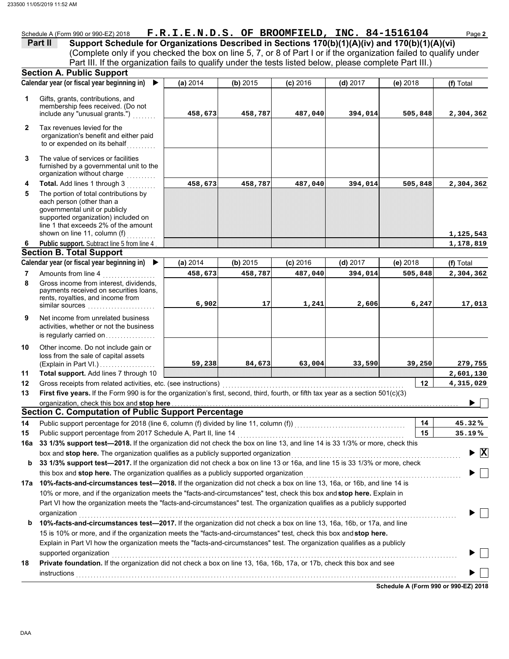|              | Schedule A (Form 990 or 990-EZ) 2018                                                                                               | F.R.I.E.N.D.S. OF BROOMFIELD, INC. 84-1516104 |          |            |            |          | Page 2                             |
|--------------|------------------------------------------------------------------------------------------------------------------------------------|-----------------------------------------------|----------|------------|------------|----------|------------------------------------|
|              | Support Schedule for Organizations Described in Sections 170(b)(1)(A)(iv) and 170(b)(1)(A)(vi)<br>Partii                           |                                               |          |            |            |          |                                    |
|              | (Complete only if you checked the box on line 5, 7, or 8 of Part I or if the organization failed to qualify under                  |                                               |          |            |            |          |                                    |
|              | Part III. If the organization fails to qualify under the tests listed below, please complete Part III.)                            |                                               |          |            |            |          |                                    |
|              | <b>Section A. Public Support</b>                                                                                                   |                                               |          |            |            |          |                                    |
|              | Calendar year (or fiscal year beginning in)                                                                                        | (a) 2014                                      | (b) 2015 | $(c)$ 2016 | $(d)$ 2017 | (e) 2018 | (f) Total                          |
| 1            | Gifts, grants, contributions, and                                                                                                  |                                               |          |            |            |          |                                    |
|              | membership fees received. (Do not                                                                                                  |                                               |          |            |            |          |                                    |
|              | include any "unusual grants.")                                                                                                     | 458,673                                       | 458,787  | 487,040    | 394,014    | 505,848  | 2,304,362                          |
| $\mathbf{2}$ | Tax revenues levied for the                                                                                                        |                                               |          |            |            |          |                                    |
|              | organization's benefit and either paid                                                                                             |                                               |          |            |            |          |                                    |
|              | to or expended on its behalf<br>.                                                                                                  |                                               |          |            |            |          |                                    |
| 3            | The value of services or facilities                                                                                                |                                               |          |            |            |          |                                    |
|              | furnished by a governmental unit to the                                                                                            |                                               |          |            |            |          |                                    |
|              | organization without charge<br>.                                                                                                   |                                               |          |            |            |          |                                    |
| 4            | Total. Add lines 1 through 3                                                                                                       | 458,673                                       | 458,787  | 487,040    | 394,014    | 505,848  | 2,304,362                          |
| 5            | The portion of total contributions by                                                                                              |                                               |          |            |            |          |                                    |
|              | each person (other than a<br>governmental unit or publicly                                                                         |                                               |          |            |            |          |                                    |
|              | supported organization) included on                                                                                                |                                               |          |            |            |          |                                    |
|              | line 1 that exceeds 2% of the amount                                                                                               |                                               |          |            |            |          |                                    |
|              | shown on line 11, column $(f)$                                                                                                     |                                               |          |            |            |          | 1,125,543                          |
| 6            | Public support. Subtract line 5 from line 4                                                                                        |                                               |          |            |            |          | 1,178,819                          |
|              | <b>Section B. Total Support</b>                                                                                                    |                                               |          |            |            |          |                                    |
|              | Calendar year (or fiscal year beginning in)                                                                                        | (a) 2014                                      | (b) 2015 | $(c)$ 2016 | $(d)$ 2017 | (e) 2018 | (f) Total                          |
| 7            | Amounts from line 4                                                                                                                | 458,673                                       | 458,787  | 487,040    | 394,014    | 505,848  | 2,304,362                          |
| 8            | Gross income from interest, dividends,<br>payments received on securities loans,                                                   |                                               |          |            |            |          |                                    |
|              | rents, royalties, and income from                                                                                                  |                                               |          |            |            |          |                                    |
|              | similar sources                                                                                                                    | 6,902                                         | 17       | 1,241      | 2,606      | 6,247    | 17,013                             |
| 9            | Net income from unrelated business                                                                                                 |                                               |          |            |            |          |                                    |
|              | activities, whether or not the business                                                                                            |                                               |          |            |            |          |                                    |
|              | is regularly carried on                                                                                                            |                                               |          |            |            |          |                                    |
| 10           | Other income. Do not include gain or                                                                                               |                                               |          |            |            |          |                                    |
|              | loss from the sale of capital assets                                                                                               | 59,238                                        | 84,673   | 63,004     | 33,590     | 39,250   | 279,755                            |
| 11           | (Explain in Part VI.)<br>Total support. Add lines 7 through 10                                                                     |                                               |          |            |            |          | 2,601,130                          |
| 12           | Gross receipts from related activities, etc. (see instructions)                                                                    |                                               |          |            |            | 12       | 4,315,029                          |
| 13           | First five years. If the Form 990 is for the organization's first, second, third, fourth, or fifth tax year as a section 501(c)(3) |                                               |          |            |            |          |                                    |
|              | organization, check this box and <b>stop here</b>                                                                                  |                                               |          |            |            |          | $\blacktriangleright \Box$         |
|              | <b>Section C. Computation of Public Support Percentage</b>                                                                         |                                               |          |            |            |          |                                    |
| 14           |                                                                                                                                    |                                               |          |            |            | 14       | 45.32%                             |
| 15           | Public support percentage from 2017 Schedule A, Part II, line 14                                                                   |                                               |          |            |            | 15       | 35.19%                             |
| 16a          | 33 1/3% support test-2018. If the organization did not check the box on line 13, and line 14 is 33 1/3% or more, check this        |                                               |          |            |            |          |                                    |
|              | box and stop here. The organization qualifies as a publicly supported organization                                                 |                                               |          |            |            |          | $\blacktriangleright \overline{X}$ |
| b            | 33 1/3% support test-2017. If the organization did not check a box on line 13 or 16a, and line 15 is 33 1/3% or more, check        |                                               |          |            |            |          |                                    |
|              | this box and stop here. The organization qualifies as a publicly supported organization                                            |                                               |          |            |            |          |                                    |
|              | 17a 10%-facts-and-circumstances test-2018. If the organization did not check a box on line 13, 16a, or 16b, and line 14 is         |                                               |          |            |            |          |                                    |
|              | 10% or more, and if the organization meets the "facts-and-circumstances" test, check this box and stop here. Explain in            |                                               |          |            |            |          |                                    |
|              | Part VI how the organization meets the "facts-and-circumstances" test. The organization qualifies as a publicly supported          |                                               |          |            |            |          |                                    |
|              | organization                                                                                                                       |                                               |          |            |            |          |                                    |
| b            | 10%-facts-and-circumstances test-2017. If the organization did not check a box on line 13, 16a, 16b, or 17a, and line              |                                               |          |            |            |          |                                    |
|              | 15 is 10% or more, and if the organization meets the "facts-and-circumstances" test, check this box and stop here.                 |                                               |          |            |            |          |                                    |
|              | Explain in Part VI how the organization meets the "facts-and-circumstances" test. The organization qualifies as a publicly         |                                               |          |            |            |          |                                    |
|              | supported organization                                                                                                             |                                               |          |            |            |          |                                    |
| 18           | Private foundation. If the organization did not check a box on line 13, 16a, 16b, 17a, or 17b, check this box and see              |                                               |          |            |            |          |                                    |
|              | instructions                                                                                                                       |                                               |          |            |            |          |                                    |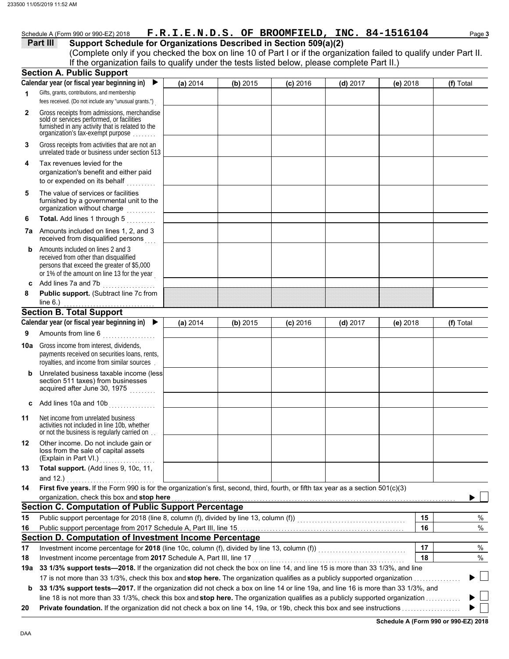|     | Schedule A (Form 990 or 990-EZ) 2018 $\qquad$ F.R.I.E.N.D.S. OF BROOMFIELD, INC. 84-1516104                                                                                       |          |          |            |            |            | Page 3    |
|-----|-----------------------------------------------------------------------------------------------------------------------------------------------------------------------------------|----------|----------|------------|------------|------------|-----------|
|     | Support Schedule for Organizations Described in Section 509(a)(2)<br>Part III                                                                                                     |          |          |            |            |            |           |
|     | (Complete only if you checked the box on line 10 of Part I or if the organization failed to qualify under Part II.                                                                |          |          |            |            |            |           |
|     | If the organization fails to qualify under the tests listed below, please complete Part II.)                                                                                      |          |          |            |            |            |           |
|     | <b>Section A. Public Support</b>                                                                                                                                                  |          |          |            |            |            |           |
|     | Calendar year (or fiscal year beginning in)                                                                                                                                       | (a) 2014 | (b) 2015 | $(c)$ 2016 | $(d)$ 2017 | $(e)$ 2018 | (f) Total |
| 1   | Gifts, grants, contributions, and membership<br>fees received. (Do not include any "unusual grants.")                                                                             |          |          |            |            |            |           |
| 2   | Gross receipts from admissions, merchandise<br>sold or services performed, or facilities<br>furnished in any activity that is related to the<br>organization's fax-exempt purpose |          |          |            |            |            |           |
| 3   | Gross receipts from activities that are not an<br>unrelated trade or business under section 513                                                                                   |          |          |            |            |            |           |
| 4   | Tax revenues levied for the<br>organization's benefit and either paid<br>to or expended on its behalf                                                                             |          |          |            |            |            |           |
| 5   | The value of services or facilities<br>furnished by a governmental unit to the<br>organization without charge                                                                     |          |          |            |            |            |           |
| 6   | Total. Add lines 1 through 5                                                                                                                                                      |          |          |            |            |            |           |
|     | <b>7a</b> Amounts included on lines 1, 2, and 3<br>received from disqualified persons                                                                                             |          |          |            |            |            |           |
| b   | Amounts included on lines 2 and 3<br>received from other than disqualified<br>persons that exceed the greater of \$5,000<br>or 1% of the amount on line 13 for the year           |          |          |            |            |            |           |
| c   | Add lines 7a and 7b                                                                                                                                                               |          |          |            |            |            |           |
| 8   | Public support. (Subtract line 7c from                                                                                                                                            |          |          |            |            |            |           |
|     | line $6.$ )                                                                                                                                                                       |          |          |            |            |            |           |
|     | <b>Section B. Total Support</b>                                                                                                                                                   |          |          |            |            |            |           |
|     | Calendar year (or fiscal year beginning in) $\blacktriangleright$                                                                                                                 | (a) 2014 | (b) 2015 | $(c)$ 2016 | $(d)$ 2017 | $(e)$ 2018 | (f) Total |
| 9   | Amounts from line 6                                                                                                                                                               |          |          |            |            |            |           |
|     | <b>10a</b> Gross income from interest, dividends,<br>payments received on securities loans, rents,<br>royalties, and income from similar sources.                                 |          |          |            |            |            |           |
| b   | Unrelated business taxable income (less<br>section 511 taxes) from businesses<br>acquired after June 30, 1975                                                                     |          |          |            |            |            |           |
| c   | Add lines 10a and 10b<br>.                                                                                                                                                        |          |          |            |            |            |           |
| 11  | Net income from unrelated business<br>activities not included in line 10b, whether<br>or not the business is regularly carried on.                                                |          |          |            |            |            |           |
| 12  | Other income. Do not include gain or<br>loss from the sale of capital assets<br>(Explain in Part VI.)                                                                             |          |          |            |            |            |           |
| 13  | Total support. (Add lines 9, 10c, 11,<br>and 12.) $\qquad \qquad$                                                                                                                 |          |          |            |            |            |           |
| 14  | First five years. If the Form 990 is for the organization's first, second, third, fourth, or fifth tax year as a section 501(c)(3)<br>organization, check this box and stop here  |          |          |            |            |            |           |
|     | <b>Section C. Computation of Public Support Percentage</b>                                                                                                                        |          |          |            |            |            |           |
| 15  |                                                                                                                                                                                   |          |          |            |            | 15         | %         |
| 16  |                                                                                                                                                                                   |          |          |            |            | 16         | $\%$      |
|     | Section D. Computation of Investment Income Percentage                                                                                                                            |          |          |            |            |            |           |
| 17  |                                                                                                                                                                                   |          |          |            |            | 17         | %         |
| 18  |                                                                                                                                                                                   |          |          |            |            | 18         | %         |
| 19a | 33 1/3% support tests-2018. If the organization did not check the box on line 14, and line 15 is more than 33 1/3%, and line                                                      |          |          |            |            |            |           |
|     |                                                                                                                                                                                   |          |          |            |            |            |           |
| b   | 33 1/3% support tests-2017. If the organization did not check a box on line 14 or line 19a, and line 16 is more than 33 1/3%, and                                                 |          |          |            |            |            |           |
|     | line 18 is not more than 33 1/3%, check this box and stop here. The organization qualifies as a publicly supported organization                                                   |          |          |            |            |            |           |
| 20  |                                                                                                                                                                                   |          |          |            |            |            |           |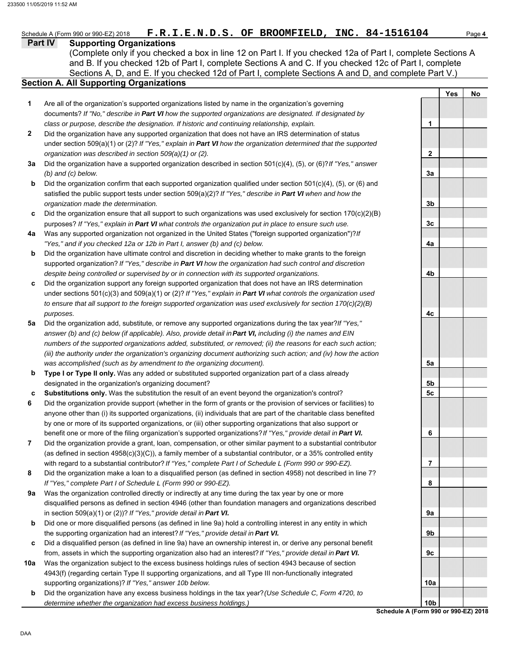## Schedule A (Form 990 or 990-EZ) 2018 **F.R.I.E.N.D.S. OF BROOMFIELD, INC. 84-1516104** Page 4

|     | Part IV<br><b>Supporting Organizations</b>                                                                          |                 |     |    |
|-----|---------------------------------------------------------------------------------------------------------------------|-----------------|-----|----|
|     | (Complete only if you checked a box in line 12 on Part I. If you checked 12a of Part I, complete Sections A         |                 |     |    |
|     | and B. If you checked 12b of Part I, complete Sections A and C. If you checked 12c of Part I, complete              |                 |     |    |
|     | Sections A, D, and E. If you checked 12d of Part I, complete Sections A and D, and complete Part V.)                |                 |     |    |
|     | <b>Section A. All Supporting Organizations</b>                                                                      |                 |     |    |
|     |                                                                                                                     |                 | Yes |    |
|     |                                                                                                                     |                 |     | No |
| 1   | Are all of the organization's supported organizations listed by name in the organization's governing                |                 |     |    |
|     | documents? If "No," describe in Part VI how the supported organizations are designated. If designated by            |                 |     |    |
|     | class or purpose, describe the designation. If historic and continuing relationship, explain.                       | 1               |     |    |
| 2   | Did the organization have any supported organization that does not have an IRS determination of status              |                 |     |    |
|     | under section 509(a)(1) or (2)? If "Yes," explain in Part VI how the organization determined that the supported     |                 |     |    |
|     | organization was described in section 509(a)(1) or (2).                                                             | $\mathbf{2}$    |     |    |
| За  | Did the organization have a supported organization described in section 501(c)(4), (5), or (6)? If "Yes," answer    |                 |     |    |
|     | $(b)$ and $(c)$ below.                                                                                              | 3a              |     |    |
| b   | Did the organization confirm that each supported organization qualified under section 501(c)(4), (5), or (6) and    |                 |     |    |
|     | satisfied the public support tests under section $509(a)(2)?$ If "Yes," describe in Part VI when and how the        |                 |     |    |
|     | organization made the determination.                                                                                | 3b              |     |    |
|     |                                                                                                                     |                 |     |    |
| c   | Did the organization ensure that all support to such organizations was used exclusively for section $170(c)(2)(B)$  |                 |     |    |
|     | purposes? If "Yes," explain in Part VI what controls the organization put in place to ensure such use.              | 3c              |     |    |
| 4a  | Was any supported organization not organized in the United States ("foreign supported organization")? If            |                 |     |    |
|     | "Yes," and if you checked 12a or 12b in Part I, answer (b) and (c) below.                                           | 4a              |     |    |
| b   | Did the organization have ultimate control and discretion in deciding whether to make grants to the foreign         |                 |     |    |
|     | supported organization? If "Yes," describe in Part VI how the organization had such control and discretion          |                 |     |    |
|     | despite being controlled or supervised by or in connection with its supported organizations.                        | 4b              |     |    |
| c   | Did the organization support any foreign supported organization that does not have an IRS determination             |                 |     |    |
|     | under sections 501(c)(3) and 509(a)(1) or (2)? If "Yes," explain in Part VI what controls the organization used     |                 |     |    |
|     | to ensure that all support to the foreign supported organization was used exclusively for section $170(c)(2)(B)$    |                 |     |    |
|     | purposes.                                                                                                           | 4c              |     |    |
| 5a  | Did the organization add, substitute, or remove any supported organizations during the tax year? If "Yes,"          |                 |     |    |
|     | answer (b) and (c) below (if applicable). Also, provide detail in Part VI, including (i) the names and EIN          |                 |     |    |
|     | numbers of the supported organizations added, substituted, or removed; (ii) the reasons for each such action;       |                 |     |    |
|     | (iii) the authority under the organization's organizing document authorizing such action; and (iv) how the action   |                 |     |    |
|     | was accomplished (such as by amendment to the organizing document).                                                 | 5a              |     |    |
|     |                                                                                                                     |                 |     |    |
| b   | Type I or Type II only. Was any added or substituted supported organization part of a class already                 |                 |     |    |
|     | designated in the organization's organizing document?                                                               | 5b              |     |    |
| c   | Substitutions only. Was the substitution the result of an event beyond the organization's control?                  | 5c              |     |    |
| 6   | Did the organization provide support (whether in the form of grants or the provision of services or facilities) to  |                 |     |    |
|     | anyone other than (i) its supported organizations, (ii) individuals that are part of the charitable class benefited |                 |     |    |
|     | by one or more of its supported organizations, or (iii) other supporting organizations that also support or         |                 |     |    |
|     | benefit one or more of the filing organization's supported organizations? If "Yes," provide detail in Part VI.      | 6               |     |    |
| 7   | Did the organization provide a grant, loan, compensation, or other similar payment to a substantial contributor     |                 |     |    |
|     | (as defined in section $4958(c)(3)(C)$ ), a family member of a substantial contributor, or a 35% controlled entity  |                 |     |    |
|     | with regard to a substantial contributor? If "Yes," complete Part I of Schedule L (Form 990 or 990-EZ).             | 7               |     |    |
| 8   | Did the organization make a loan to a disqualified person (as defined in section 4958) not described in line 7?     |                 |     |    |
|     | If "Yes," complete Part I of Schedule L (Form 990 or 990-EZ).                                                       | 8               |     |    |
| 9a  | Was the organization controlled directly or indirectly at any time during the tax year by one or more               |                 |     |    |
|     | disqualified persons as defined in section 4946 (other than foundation managers and organizations described         |                 |     |    |
|     | in section $509(a)(1)$ or (2))? If "Yes," provide detail in Part VI.                                                | 9a              |     |    |
| b   | Did one or more disqualified persons (as defined in line 9a) hold a controlling interest in any entity in which     |                 |     |    |
|     |                                                                                                                     |                 |     |    |
|     | the supporting organization had an interest? If "Yes," provide detail in Part VI.                                   | 9b              |     |    |
| c   | Did a disqualified person (as defined in line 9a) have an ownership interest in, or derive any personal benefit     |                 |     |    |
|     | from, assets in which the supporting organization also had an interest? If "Yes," provide detail in Part VI.        | 9c              |     |    |
| 10a | Was the organization subject to the excess business holdings rules of section 4943 because of section               |                 |     |    |
|     | 4943(f) (regarding certain Type II supporting organizations, and all Type III non-functionally integrated           |                 |     |    |
|     | supporting organizations)? If "Yes," answer 10b below.                                                              | 10a             |     |    |
| b   | Did the organization have any excess business holdings in the tax year? (Use Schedule C, Form 4720, to              |                 |     |    |
|     | determine whether the organization had excess business holdings.)                                                   | 10 <sub>b</sub> |     |    |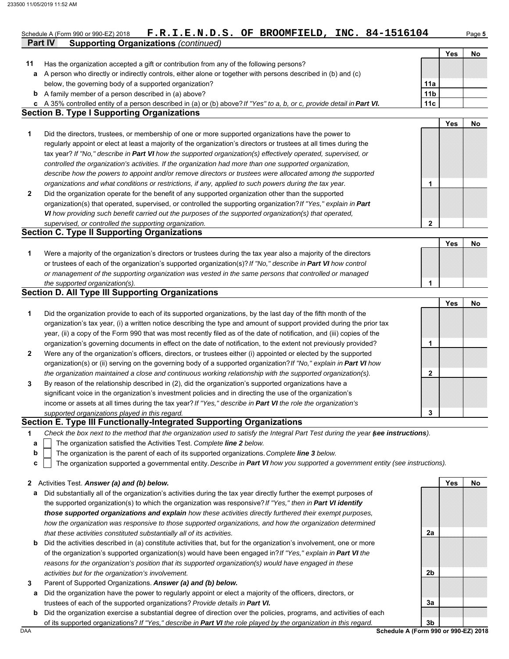|    | <b>Supporting Organizations (continued)</b><br>Part IV                                                                                                                                                              |                |     |    |
|----|---------------------------------------------------------------------------------------------------------------------------------------------------------------------------------------------------------------------|----------------|-----|----|
|    |                                                                                                                                                                                                                     |                | Yes | No |
| 11 | Has the organization accepted a gift or contribution from any of the following persons?                                                                                                                             |                |     |    |
| a  | A person who directly or indirectly controls, either alone or together with persons described in (b) and (c)                                                                                                        |                |     |    |
|    | below, the governing body of a supported organization?                                                                                                                                                              | 11a            |     |    |
|    | <b>b</b> A family member of a person described in (a) above?                                                                                                                                                        | 11b            |     |    |
|    | c A 35% controlled entity of a person described in (a) or (b) above? If "Yes" to a, b, or c, provide detail in Part VI.                                                                                             | 11c            |     |    |
|    | <b>Section B. Type I Supporting Organizations</b>                                                                                                                                                                   |                |     |    |
|    |                                                                                                                                                                                                                     |                | Yes | No |
| 1  | Did the directors, trustees, or membership of one or more supported organizations have the power to                                                                                                                 |                |     |    |
|    | regularly appoint or elect at least a majority of the organization's directors or trustees at all times during the                                                                                                  |                |     |    |
|    | tax year? If "No," describe in Part VI how the supported organization(s) effectively operated, supervised, or                                                                                                       |                |     |    |
|    | controlled the organization's activities. If the organization had more than one supported organization,                                                                                                             |                |     |    |
|    | describe how the powers to appoint and/or remove directors or trustees were allocated among the supported                                                                                                           |                |     |    |
|    | organizations and what conditions or restrictions, if any, applied to such powers during the tax year.                                                                                                              | 1              |     |    |
| 2  |                                                                                                                                                                                                                     |                |     |    |
|    | Did the organization operate for the benefit of any supported organization other than the supported                                                                                                                 |                |     |    |
|    | organization(s) that operated, supervised, or controlled the supporting organization? If "Yes," explain in Part                                                                                                     |                |     |    |
|    | <b>VI</b> how providing such benefit carried out the purposes of the supported organization(s) that operated,                                                                                                       |                |     |    |
|    | supervised, or controlled the supporting organization.                                                                                                                                                              | $\overline{2}$ |     |    |
|    | <b>Section C. Type II Supporting Organizations</b>                                                                                                                                                                  |                |     |    |
|    |                                                                                                                                                                                                                     |                | Yes | No |
| 1  | Were a majority of the organization's directors or trustees during the tax year also a majority of the directors                                                                                                    |                |     |    |
|    | or trustees of each of the organization's supported organization(s)? If "No," describe in <b>Part VI</b> how control                                                                                                |                |     |    |
|    | or management of the supporting organization was vested in the same persons that controlled or managed                                                                                                              |                |     |    |
|    | the supported organization(s).                                                                                                                                                                                      | 1              |     |    |
|    | <b>Section D. All Type III Supporting Organizations</b>                                                                                                                                                             |                |     |    |
|    |                                                                                                                                                                                                                     |                | Yes | No |
| 1  | Did the organization provide to each of its supported organizations, by the last day of the fifth month of the                                                                                                      |                |     |    |
|    | organization's tax year, (i) a written notice describing the type and amount of support provided during the prior tax                                                                                               |                |     |    |
|    | year, (ii) a copy of the Form 990 that was most recently filed as of the date of notification, and (iii) copies of the                                                                                              |                |     |    |
|    | organization's governing documents in effect on the date of notification, to the extent not previously provided?                                                                                                    | 1              |     |    |
| 2  | Were any of the organization's officers, directors, or trustees either (i) appointed or elected by the supported                                                                                                    |                |     |    |
|    | organization(s) or (ii) serving on the governing body of a supported organization? If "No," explain in Part VI how                                                                                                  |                |     |    |
|    | the organization maintained a close and continuous working relationship with the supported organization(s).                                                                                                         | $\mathbf{2}$   |     |    |
|    |                                                                                                                                                                                                                     |                |     |    |
|    |                                                                                                                                                                                                                     |                |     |    |
| 3  | By reason of the relationship described in (2), did the organization's supported organizations have a<br>significant voice in the organization's investment policies and in directing the use of the organization's |                |     |    |
|    |                                                                                                                                                                                                                     |                |     |    |
|    | income or assets at all times during the tax year? If "Yes," describe in Part VI the role the organization's<br>supported organizations played in this regard.                                                      | 3              |     |    |

- The organization is the parent of each of its supported organizations. *Complete line 3 below.* **b**
- The organization supported a governmental entity. *Describe in Part VI how you supported a government entity (see instructions).* **c**

|  | 2 Activities Test. Answer (a) and (b) below. |  |  |  |  |  |  |  |
|--|----------------------------------------------|--|--|--|--|--|--|--|
|--|----------------------------------------------|--|--|--|--|--|--|--|

- **a** Did substantially all of the organization's activities during the tax year directly further the exempt purposes of the supported organization(s) to which the organization was responsive? *If "Yes," then in Part VI identify those supported organizations and explain how these activities directly furthered their exempt purposes, how the organization was responsive to those supported organizations, and how the organization determined that these activities constituted substantially all of its activities.*
- **b** Did the activities described in (a) constitute activities that, but for the organization's involvement, one or more of the organization's supported organization(s) would have been engaged in? *If "Yes," explain in Part VI the reasons for the organization's position that its supported organization(s) would have engaged in these activities but for the organization's involvement.*
- **3** Parent of Supported Organizations. *Answer (a) and (b) below.*
- **a** Did the organization have the power to regularly appoint or elect a majority of the officers, directors, or trustees of each of the supported organizations? *Provide details in Part VI.*
- **b** Did the organization exercise a substantial degree of direction over the policies, programs, and activities of each of its supported organizations? *If "Yes," describe in Part VI the role played by the organization in this regard.*

**Yes No 2a 2b 3a 3b**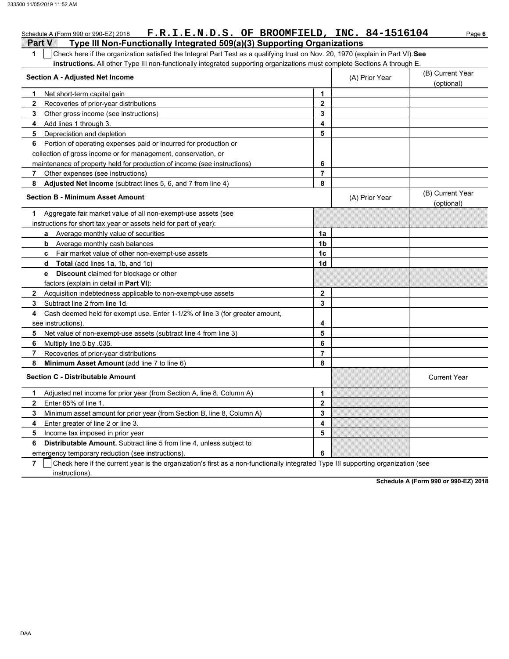|                                                                                   |                |  |  | Schedule A (Form 990 or 990-EZ) 2018 $\mathbf{F} \cdot \mathbf{R} \cdot \mathbf{I} \cdot \mathbf{E} \cdot \mathbf{N} \cdot \mathbf{D} \cdot \mathbf{S}$ . OF BROOMFIELD, INC. 84-1516104 | Page 6 |  |
|-----------------------------------------------------------------------------------|----------------|--|--|------------------------------------------------------------------------------------------------------------------------------------------------------------------------------------------|--------|--|
| Part V<br>Type III Non-Functionally Integrated 509(a)(3) Supporting Organizations |                |  |  |                                                                                                                                                                                          |        |  |
|                                                                                   | المعادي الماضي |  |  |                                                                                                                                                                                          |        |  |

**1** Check here if the organization satisfied the Integral Part Test as a qualifying trust on Nov. 20, 1970 (explain in Part VI). **See instructions.** All other Type III non-functionally integrated supporting organizations must complete Sections A through E.

| <b>Section A - Adjusted Net Income</b>                                            |                | (A) Prior Year                 | (B) Current Year<br>(optional) |
|-----------------------------------------------------------------------------------|----------------|--------------------------------|--------------------------------|
| Net short-term capital gain<br>1                                                  | 1              |                                |                                |
| $\mathbf{2}$<br>Recoveries of prior-year distributions                            | $\mathbf{2}$   |                                |                                |
| Other gross income (see instructions)<br>3                                        | 3              |                                |                                |
| Add lines 1 through 3.<br>4                                                       | 4              |                                |                                |
| Depreciation and depletion<br>5.                                                  | 5              |                                |                                |
| Portion of operating expenses paid or incurred for production or<br>6             |                |                                |                                |
| collection of gross income or for management, conservation, or                    |                |                                |                                |
| maintenance of property held for production of income (see instructions)          | 6              |                                |                                |
| $\overline{7}$<br>Other expenses (see instructions)                               | $\overline{7}$ |                                |                                |
| Adjusted Net Income (subtract lines 5, 6, and 7 from line 4)<br>8                 | 8              |                                |                                |
| <b>Section B - Minimum Asset Amount</b>                                           | (A) Prior Year | (B) Current Year<br>(optional) |                                |
| Aggregate fair market value of all non-exempt-use assets (see<br>1.               |                |                                |                                |
| instructions for short tax year or assets held for part of year):                 |                |                                |                                |
| a Average monthly value of securities                                             | 1a             |                                |                                |
| <b>b</b> Average monthly cash balances                                            | 1 <sub>b</sub> |                                |                                |
| c Fair market value of other non-exempt-use assets                                | 1c             |                                |                                |
| <b>d</b> Total (add lines 1a, 1b, and 1c)                                         | 1d             |                                |                                |
| Discount claimed for blockage or other<br>е                                       |                |                                |                                |
| factors (explain in detail in <b>Part VI)</b> :                                   |                |                                |                                |
| $\mathbf{2}$<br>Acquisition indebtedness applicable to non-exempt-use assets      | $\mathbf{2}$   |                                |                                |
| Subtract line 2 from line 1d.<br>3                                                | 3              |                                |                                |
| Cash deemed held for exempt use. Enter 1-1/2% of line 3 (for greater amount,<br>4 |                |                                |                                |
| see instructions).                                                                | 4              |                                |                                |
| Net value of non-exempt-use assets (subtract line 4 from line 3)<br>5             | 5              |                                |                                |
| 6<br>Multiply line 5 by .035.                                                     | 6              |                                |                                |
| Recoveries of prior-year distributions<br>7                                       | 7              |                                |                                |
| Minimum Asset Amount (add line 7 to line 6)<br>8                                  | 8              |                                |                                |
| <b>Section C - Distributable Amount</b>                                           |                |                                | <b>Current Year</b>            |
| Adjusted net income for prior year (from Section A, line 8, Column A)<br>1.       | 1              |                                |                                |
| Enter 85% of line 1.<br>$\mathbf{2}$                                              | $\mathbf{2}$   |                                |                                |
| Minimum asset amount for prior year (from Section B, line 8, Column A)<br>3       | 3              |                                |                                |
| Enter greater of line 2 or line 3.<br>4                                           | 4              |                                |                                |
| Income tax imposed in prior year<br>5                                             | 5              |                                |                                |
| 6<br>Distributable Amount. Subtract line 5 from line 4, unless subject to         |                |                                |                                |
| emergency temporary reduction (see instructions).                                 | 6              |                                |                                |
|                                                                                   |                |                                |                                |

**7**  $\,$   $\,$   $\,$   $\,$   $\,$   $\,$  Check here if the current year is the organization's first as a non-functionally integrated Type III supporting organization (see instructions).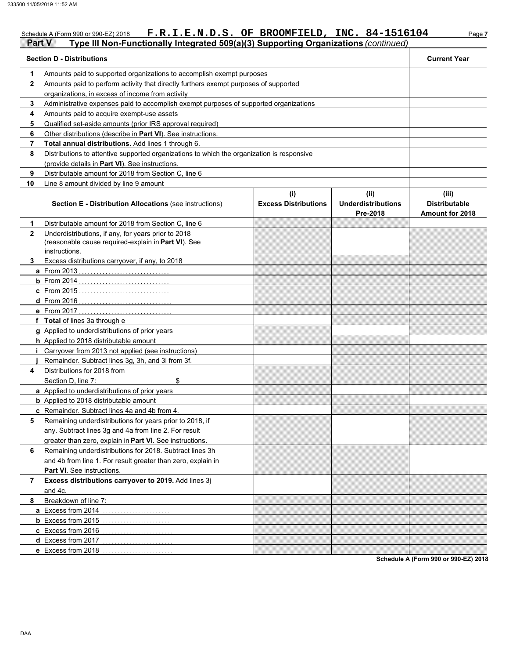## Schedule A (Form 990 or 990-EZ) 2018 **F.R.I.E.N.D.S. OF BROOMFIELD, INC. 84-1516104** Page 7

| PantV                            | Type III Non-Functionally Integrated 509(a)(3) Supporting Organizations (continued)        |                             |                           |                        |  |  |  |
|----------------------------------|--------------------------------------------------------------------------------------------|-----------------------------|---------------------------|------------------------|--|--|--|
| <b>Section D - Distributions</b> | <b>Current Year</b>                                                                        |                             |                           |                        |  |  |  |
| 1                                | Amounts paid to supported organizations to accomplish exempt purposes                      |                             |                           |                        |  |  |  |
| $\mathbf{2}$                     | Amounts paid to perform activity that directly furthers exempt purposes of supported       |                             |                           |                        |  |  |  |
|                                  | organizations, in excess of income from activity                                           |                             |                           |                        |  |  |  |
| 3                                | Administrative expenses paid to accomplish exempt purposes of supported organizations      |                             |                           |                        |  |  |  |
| 4                                | Amounts paid to acquire exempt-use assets                                                  |                             |                           |                        |  |  |  |
| 5                                | Qualified set-aside amounts (prior IRS approval required)                                  |                             |                           |                        |  |  |  |
| 6                                | Other distributions (describe in Part VI). See instructions.                               |                             |                           |                        |  |  |  |
| 7                                | Total annual distributions. Add lines 1 through 6.                                         |                             |                           |                        |  |  |  |
| 8                                | Distributions to attentive supported organizations to which the organization is responsive |                             |                           |                        |  |  |  |
|                                  | (provide details in Part VI). See instructions.                                            |                             |                           |                        |  |  |  |
| 9                                | Distributable amount for 2018 from Section C, line 6                                       |                             |                           |                        |  |  |  |
| 10                               | Line 8 amount divided by line 9 amount                                                     |                             |                           |                        |  |  |  |
|                                  |                                                                                            | (i)                         | (iii)                     | (iii)                  |  |  |  |
|                                  | <b>Section E - Distribution Allocations (see instructions)</b>                             | <b>Excess Distributions</b> | <b>Underdistributions</b> | <b>Distributable</b>   |  |  |  |
|                                  |                                                                                            |                             | Pre-2018                  | <b>Amount for 2018</b> |  |  |  |
| 1                                | Distributable amount for 2018 from Section C, line 6                                       |                             |                           |                        |  |  |  |
| $\mathbf{2}$                     | Underdistributions, if any, for years prior to 2018                                        |                             |                           |                        |  |  |  |
|                                  | (reasonable cause required-explain in Part VI). See                                        |                             |                           |                        |  |  |  |
| 3.                               | instructions.<br>Excess distributions carryover, if any, to 2018                           |                             |                           |                        |  |  |  |
|                                  |                                                                                            |                             |                           |                        |  |  |  |
|                                  |                                                                                            |                             |                           |                        |  |  |  |
|                                  | <b>c</b> From 2015                                                                         |                             |                           |                        |  |  |  |
|                                  |                                                                                            |                             |                           |                        |  |  |  |
|                                  |                                                                                            |                             |                           |                        |  |  |  |
|                                  | f Total of lines 3a through e                                                              |                             |                           |                        |  |  |  |
|                                  | g Applied to underdistributions of prior years                                             |                             |                           |                        |  |  |  |
|                                  | h Applied to 2018 distributable amount                                                     |                             |                           |                        |  |  |  |
|                                  | Carryover from 2013 not applied (see instructions)                                         |                             |                           |                        |  |  |  |
|                                  | Remainder. Subtract lines 3g, 3h, and 3i from 3f.                                          |                             |                           |                        |  |  |  |
| 4                                | Distributions for 2018 from                                                                |                             |                           |                        |  |  |  |
|                                  | Section D, line 7:<br>\$                                                                   |                             |                           |                        |  |  |  |
|                                  | a Applied to underdistributions of prior years                                             |                             |                           |                        |  |  |  |
|                                  | <b>b</b> Applied to 2018 distributable amount                                              |                             |                           |                        |  |  |  |
|                                  | <b>c</b> Remainder. Subtract lines 4a and 4b from 4.                                       |                             |                           |                        |  |  |  |
| 5                                | Remaining underdistributions for years prior to 2018, if                                   |                             |                           |                        |  |  |  |
|                                  | any. Subtract lines 3g and 4a from line 2. For result                                      |                             |                           |                        |  |  |  |
|                                  | greater than zero, explain in Part VI. See instructions.                                   |                             |                           |                        |  |  |  |
| 6                                | Remaining underdistributions for 2018. Subtract lines 3h                                   |                             |                           |                        |  |  |  |
|                                  | and 4b from line 1. For result greater than zero, explain in                               |                             |                           |                        |  |  |  |
|                                  | <b>Part VI</b> . See instructions.                                                         |                             |                           |                        |  |  |  |
| 7                                | Excess distributions carryover to 2019. Add lines 3j                                       |                             |                           |                        |  |  |  |
|                                  | and 4c.                                                                                    |                             |                           |                        |  |  |  |
| 8                                | Breakdown of line 7:                                                                       |                             |                           |                        |  |  |  |
|                                  | a Excess from 2014                                                                         |                             |                           |                        |  |  |  |
|                                  | <b>b</b> Excess from 2015                                                                  |                             |                           |                        |  |  |  |
|                                  | c Excess from 2016                                                                         |                             |                           |                        |  |  |  |
|                                  | d Excess from 2017                                                                         |                             |                           |                        |  |  |  |
|                                  | e Excess from 2018                                                                         |                             |                           |                        |  |  |  |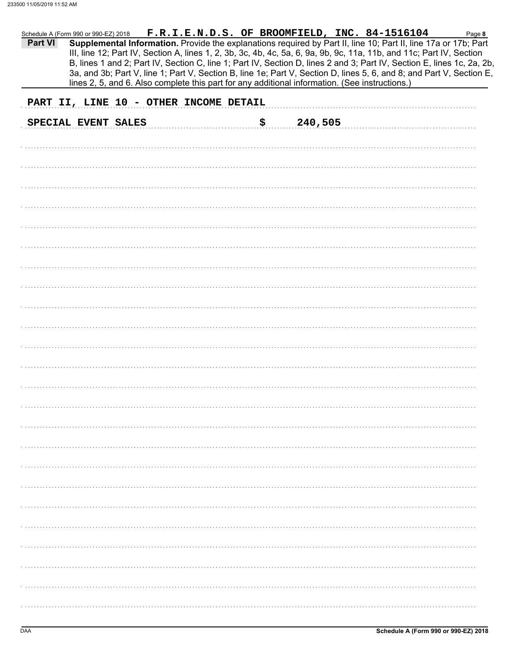|         | Schedule A (Form 990 or 990-EZ) 2018 F.R.I.E.N.D.S. OF BROOMFIELD, INC. 84-1516104             |    |         |                                                                                                                                                                                                                                                                                                                                                                   | Page 8 |
|---------|------------------------------------------------------------------------------------------------|----|---------|-------------------------------------------------------------------------------------------------------------------------------------------------------------------------------------------------------------------------------------------------------------------------------------------------------------------------------------------------------------------|--------|
| Part VI |                                                                                                |    |         | Supplemental Information. Provide the explanations required by Part II, line 10; Part II, line 17a or 17b; Part<br>III, line 12; Part IV, Section A, lines 1, 2, 3b, 3c, 4b, 4c, 5a, 6, 9a, 9b, 9c, 11a, 11b, and 11c; Part IV, Section<br>B, lines 1 and 2; Part IV, Section C, line 1; Part IV, Section D, lines 2 and 3; Part IV, Section E, lines 1c, 2a, 2b, |        |
|         | lines 2, 5, and 6. Also complete this part for any additional information. (See instructions.) |    |         | 3a, and 3b; Part V, line 1; Part V, Section B, line 1e; Part V, Section D, lines 5, 6, and 8; and Part V, Section E,                                                                                                                                                                                                                                              |        |
|         | PART II, LINE 10 - OTHER INCOME DETAIL                                                         |    |         |                                                                                                                                                                                                                                                                                                                                                                   |        |
|         | SPECIAL EVENT SALES                                                                            | \$ | 240,505 |                                                                                                                                                                                                                                                                                                                                                                   |        |
|         |                                                                                                |    |         |                                                                                                                                                                                                                                                                                                                                                                   |        |
|         |                                                                                                |    |         |                                                                                                                                                                                                                                                                                                                                                                   |        |
|         |                                                                                                |    |         |                                                                                                                                                                                                                                                                                                                                                                   |        |
|         |                                                                                                |    |         |                                                                                                                                                                                                                                                                                                                                                                   |        |
|         |                                                                                                |    |         |                                                                                                                                                                                                                                                                                                                                                                   |        |
|         |                                                                                                |    |         |                                                                                                                                                                                                                                                                                                                                                                   |        |
|         |                                                                                                |    |         |                                                                                                                                                                                                                                                                                                                                                                   |        |
|         |                                                                                                |    |         |                                                                                                                                                                                                                                                                                                                                                                   |        |
|         |                                                                                                |    |         |                                                                                                                                                                                                                                                                                                                                                                   |        |
|         |                                                                                                |    |         |                                                                                                                                                                                                                                                                                                                                                                   |        |
|         |                                                                                                |    |         |                                                                                                                                                                                                                                                                                                                                                                   |        |
|         |                                                                                                |    |         |                                                                                                                                                                                                                                                                                                                                                                   |        |
|         |                                                                                                |    |         |                                                                                                                                                                                                                                                                                                                                                                   |        |
|         |                                                                                                |    |         |                                                                                                                                                                                                                                                                                                                                                                   |        |
|         |                                                                                                |    |         |                                                                                                                                                                                                                                                                                                                                                                   |        |
|         |                                                                                                |    |         |                                                                                                                                                                                                                                                                                                                                                                   |        |
|         |                                                                                                |    |         |                                                                                                                                                                                                                                                                                                                                                                   |        |
|         |                                                                                                |    |         |                                                                                                                                                                                                                                                                                                                                                                   |        |
|         |                                                                                                |    |         |                                                                                                                                                                                                                                                                                                                                                                   |        |
|         |                                                                                                |    |         |                                                                                                                                                                                                                                                                                                                                                                   |        |
|         |                                                                                                |    |         |                                                                                                                                                                                                                                                                                                                                                                   |        |
|         |                                                                                                |    |         |                                                                                                                                                                                                                                                                                                                                                                   |        |
|         |                                                                                                |    |         |                                                                                                                                                                                                                                                                                                                                                                   |        |
|         |                                                                                                |    |         |                                                                                                                                                                                                                                                                                                                                                                   |        |
|         |                                                                                                |    |         |                                                                                                                                                                                                                                                                                                                                                                   |        |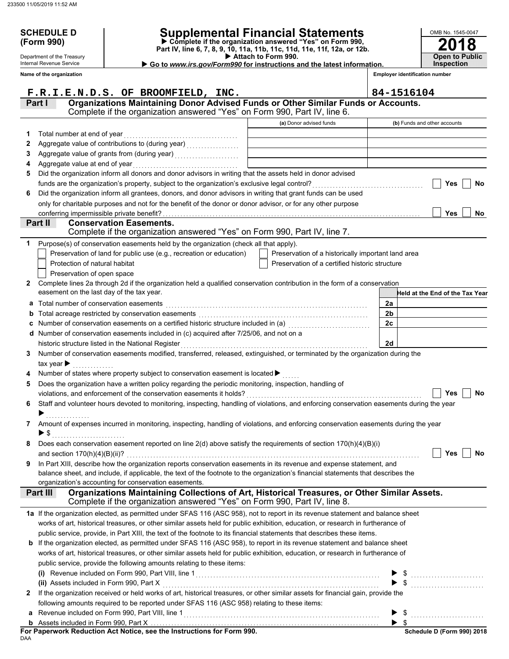|        | <b>SCHEDULE D</b>                         |                                                                                                                                                                           |                                                                                                                       |                                | OMB No. 1545-0047               |
|--------|-------------------------------------------|---------------------------------------------------------------------------------------------------------------------------------------------------------------------------|-----------------------------------------------------------------------------------------------------------------------|--------------------------------|---------------------------------|
|        | (Form 990)                                |                                                                                                                                                                           | Supplemental Financial Statements<br>$\triangleright$ Complete if the organization answered "Yes" on Form 990,        |                                |                                 |
|        | Department of the Treasury                |                                                                                                                                                                           | Part IV, line 6, 7, 8, 9, 10, 11a, 11b, 11c, 11d, 11e, 11f, 12a, or 12b.<br>Attach to Form 990.                       |                                | <b>Open to Public</b>           |
|        | Internal Revenue Service                  |                                                                                                                                                                           | Go to www.irs.gov/Form990 for instructions and the latest information.                                                |                                | <b>Inspection</b>               |
|        | Name of the organization                  |                                                                                                                                                                           |                                                                                                                       | Employer identification number |                                 |
|        |                                           | F.R.I.E.N.D.S. OF BROOMFIELD, INC.                                                                                                                                        |                                                                                                                       | 84-1516104                     |                                 |
|        | <b>Earth</b>                              | Organizations Maintaining Donor Advised Funds or Other Similar Funds or Accounts.                                                                                         |                                                                                                                       |                                |                                 |
|        |                                           | Complete if the organization answered "Yes" on Form 990, Part IV, line 6.                                                                                                 |                                                                                                                       |                                |                                 |
|        |                                           |                                                                                                                                                                           | (a) Donor advised funds                                                                                               |                                | (b) Funds and other accounts    |
|        |                                           |                                                                                                                                                                           |                                                                                                                       |                                |                                 |
| 2      |                                           |                                                                                                                                                                           |                                                                                                                       |                                |                                 |
| 3<br>4 |                                           |                                                                                                                                                                           | <u> 1989 - John Stein, mars and de Brandenberg and de Brandenberg and de Brandenberg and de Brandenberg and de Br</u> |                                |                                 |
| 5      | Aggregate value at end of year            | Did the organization inform all donors and donor advisors in writing that the assets held in donor advised                                                                |                                                                                                                       |                                |                                 |
|        |                                           |                                                                                                                                                                           |                                                                                                                       |                                | Yes<br>No                       |
| 6      |                                           | Did the organization inform all grantees, donors, and donor advisors in writing that grant funds can be used                                                              |                                                                                                                       |                                |                                 |
|        |                                           | only for charitable purposes and not for the benefit of the donor or donor advisor, or for any other purpose                                                              |                                                                                                                       |                                |                                 |
|        | conferring impermissible private benefit? |                                                                                                                                                                           |                                                                                                                       |                                | Yes<br>No.                      |
|        | Part II                                   | <b>Conservation Easements.</b><br>Complete if the organization answered "Yes" on Form 990, Part IV, line 7.                                                               |                                                                                                                       |                                |                                 |
|        |                                           | Purpose(s) of conservation easements held by the organization (check all that apply).                                                                                     |                                                                                                                       |                                |                                 |
|        |                                           | Preservation of land for public use (e.g., recreation or education)                                                                                                       | Preservation of a historically important land area                                                                    |                                |                                 |
|        | Protection of natural habitat             |                                                                                                                                                                           | Preservation of a certified historic structure                                                                        |                                |                                 |
|        | Preservation of open space                |                                                                                                                                                                           |                                                                                                                       |                                |                                 |
| 2      | easement on the last day of the tax year. | Complete lines 2a through 2d if the organization held a qualified conservation contribution in the form of a conservation                                                 |                                                                                                                       |                                | Held at the End of the Tax Year |
| а      | Total number of conservation easements    |                                                                                                                                                                           |                                                                                                                       | 2a                             |                                 |
|        |                                           |                                                                                                                                                                           |                                                                                                                       | 2 <sub>b</sub>                 |                                 |
|        |                                           | Number of conservation easements on a certified historic structure included in (a) [11] Number of conservation                                                            |                                                                                                                       | 2c                             |                                 |
|        |                                           | d Number of conservation easements included in (c) acquired after 7/25/06, and not on a                                                                                   |                                                                                                                       |                                |                                 |
|        |                                           | historic structure listed in the National Register                                                                                                                        |                                                                                                                       | 2d                             |                                 |
| 3      |                                           | Number of conservation easements modified, transferred, released, extinguished, or terminated by the organization during the                                              |                                                                                                                       |                                |                                 |
|        | tax year $\blacktriangleright$            |                                                                                                                                                                           |                                                                                                                       |                                |                                 |
|        |                                           | Number of states where property subject to conservation easement is located ▶                                                                                             |                                                                                                                       |                                |                                 |
| 5      |                                           | Does the organization have a written policy regarding the periodic monitoring, inspection, handling of                                                                    |                                                                                                                       |                                |                                 |
|        |                                           | violations, and enforcement of the conservation easements it holds?                                                                                                       |                                                                                                                       |                                | $\Box$ Yes<br>No                |
| 6      |                                           | Staff and volunteer hours devoted to monitoring, inspecting, handling of violations, and enforcing conservation easements during the year                                 |                                                                                                                       |                                |                                 |
| 7      | .                                         | Amount of expenses incurred in monitoring, inspecting, handling of violations, and enforcing conservation easements during the year                                       |                                                                                                                       |                                |                                 |
|        | ▶ \$                                      |                                                                                                                                                                           |                                                                                                                       |                                |                                 |
| 8      |                                           | Does each conservation easement reported on line 2(d) above satisfy the requirements of section 170(h)(4)(B)(i)                                                           |                                                                                                                       |                                |                                 |
|        |                                           |                                                                                                                                                                           |                                                                                                                       |                                | <b>Yes</b><br>No                |
| 9      |                                           | In Part XIII, describe how the organization reports conservation easements in its revenue and expense statement, and                                                      |                                                                                                                       |                                |                                 |
|        |                                           | balance sheet, and include, if applicable, the text of the footnote to the organization's financial statements that describes the                                         |                                                                                                                       |                                |                                 |
|        |                                           | organization's accounting for conservation easements.                                                                                                                     |                                                                                                                       |                                |                                 |
|        | Part III                                  | Organizations Maintaining Collections of Art, Historical Treasures, or Other Similar Assets.<br>Complete if the organization answered "Yes" on Form 990, Part IV, line 8. |                                                                                                                       |                                |                                 |
|        |                                           | 1a If the organization elected, as permitted under SFAS 116 (ASC 958), not to report in its revenue statement and balance sheet                                           |                                                                                                                       |                                |                                 |
|        |                                           | works of art, historical treasures, or other similar assets held for public exhibition, education, or research in furtherance of                                          |                                                                                                                       |                                |                                 |
|        |                                           | public service, provide, in Part XIII, the text of the footnote to its financial statements that describes these items.                                                   |                                                                                                                       |                                |                                 |
|        |                                           | <b>b</b> If the organization elected, as permitted under SFAS 116 (ASC 958), to report in its revenue statement and balance sheet                                         |                                                                                                                       |                                |                                 |
|        |                                           | works of art, historical treasures, or other similar assets held for public exhibition, education, or research in furtherance of                                          |                                                                                                                       |                                |                                 |
|        |                                           | public service, provide the following amounts relating to these items:                                                                                                    |                                                                                                                       |                                |                                 |
|        |                                           | (i) Revenue included on Form 990, Part VIII, line 1 [2010] CONDITIONAL CONDUCT A REVENUE ON REVENUE A REPORT A                                                            |                                                                                                                       |                                |                                 |
|        | (ii) Assets included in Form 990, Part X  |                                                                                                                                                                           |                                                                                                                       |                                |                                 |
| 2      |                                           | If the organization received or held works of art, historical treasures, or other similar assets for financial gain, provide the                                          |                                                                                                                       |                                |                                 |
|        |                                           | following amounts required to be reported under SFAS 116 (ASC 958) relating to these items:                                                                               |                                                                                                                       |                                |                                 |
|        |                                           |                                                                                                                                                                           |                                                                                                                       |                                |                                 |
|        |                                           |                                                                                                                                                                           |                                                                                                                       |                                |                                 |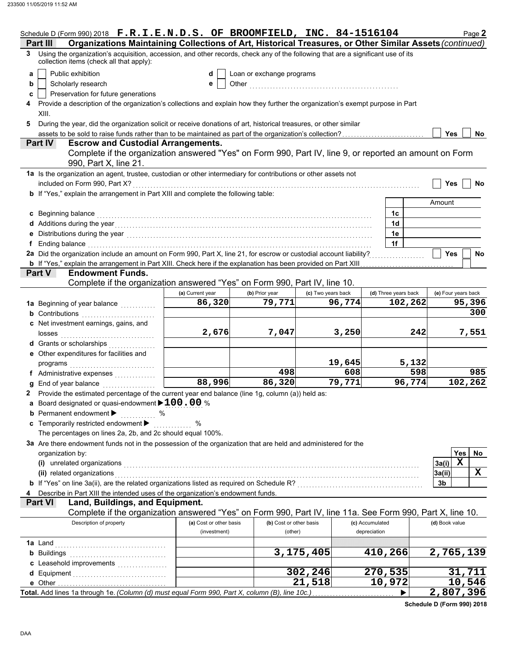|   | Schedule D (Form 990) 2018 $\mathbf{F.R. I. E.N.D.S.}$ OF BROOMFIELD, INC. 84-1516104                                                                                                                                            |                                         |                                    |                    |                                 |        |                     | Page 2   |
|---|----------------------------------------------------------------------------------------------------------------------------------------------------------------------------------------------------------------------------------|-----------------------------------------|------------------------------------|--------------------|---------------------------------|--------|---------------------|----------|
|   | Organizations Maintaining Collections of Art, Historical Treasures, or Other Similar Assets (continued)<br>earun                                                                                                                 |                                         |                                    |                    |                                 |        |                     |          |
| 3 | Using the organization's acquisition, accession, and other records, check any of the following that are a significant use of its<br>collection items (check all that apply):                                                     |                                         |                                    |                    |                                 |        |                     |          |
| a | Public exhibition<br>Loan or exchange programs<br>d                                                                                                                                                                              |                                         |                                    |                    |                                 |        |                     |          |
| b | Scholarly research                                                                                                                                                                                                               | е                                       |                                    |                    |                                 |        |                     |          |
| c | Preservation for future generations                                                                                                                                                                                              |                                         |                                    |                    |                                 |        |                     |          |
| 4 | Provide a description of the organization's collections and explain how they further the organization's exempt purpose in Part                                                                                                   |                                         |                                    |                    |                                 |        |                     |          |
| 5 | XIII.                                                                                                                                                                                                                            |                                         |                                    |                    |                                 |        |                     |          |
|   | During the year, did the organization solicit or receive donations of art, historical treasures, or other similar                                                                                                                |                                         |                                    |                    |                                 |        |                     |          |
|   | <b>Escrow and Custodial Arrangements.</b>                                                                                                                                                                                        |                                         |                                    |                    |                                 |        | Yes                 | No       |
|   | <b>Part IV</b><br>Complete if the organization answered "Yes" on Form 990, Part IV, line 9, or reported an amount on Form                                                                                                        |                                         |                                    |                    |                                 |        |                     |          |
|   | 990, Part X, line 21.                                                                                                                                                                                                            |                                         |                                    |                    |                                 |        |                     |          |
|   | 1a Is the organization an agent, trustee, custodian or other intermediary for contributions or other assets not                                                                                                                  |                                         |                                    |                    |                                 |        |                     |          |
|   | included on Form 990, Part X?                                                                                                                                                                                                    |                                         |                                    |                    |                                 |        | Yes                 | No       |
|   | b If "Yes," explain the arrangement in Part XIII and complete the following table:                                                                                                                                               |                                         |                                    |                    |                                 |        |                     |          |
|   |                                                                                                                                                                                                                                  |                                         |                                    |                    |                                 |        | Amount              |          |
|   | c Beginning balance                                                                                                                                                                                                              |                                         |                                    |                    | 1c                              |        |                     |          |
|   | d Additions during the year<br>interaction continuous continuous continuous during the year of the year of the set of the set of the set of the set of the set of the set of the set of the set of the set of the set of the set |                                         |                                    |                    | 1d                              |        |                     |          |
|   |                                                                                                                                                                                                                                  |                                         |                                    |                    | 1e                              |        |                     |          |
|   | Ending balance with a construction of the construction of the construction of the construction of the construction of the construction of the construction of the construction of the construction of the construction of the    |                                         |                                    |                    | 1f                              |        |                     |          |
|   | 2a Did the organization include an amount on Form 990, Part X, line 21, for escrow or custodial account liability?                                                                                                               |                                         |                                    |                    |                                 |        | Yes                 | No       |
|   | b If "Yes," explain the arrangement in Part XIII. Check here if the explanation has been provided on Part XIII                                                                                                                   |                                         |                                    |                    |                                 |        |                     |          |
|   | Part V<br><b>Endowment Funds.</b>                                                                                                                                                                                                |                                         |                                    |                    |                                 |        |                     |          |
|   | Complete if the organization answered "Yes" on Form 990, Part IV, line 10.                                                                                                                                                       |                                         |                                    |                    |                                 |        |                     |          |
|   |                                                                                                                                                                                                                                  | (a) Current year                        | (b) Prior year                     | (c) Two years back | (d) Three years back            |        | (e) Four years back |          |
|   | 1a Beginning of year balance <i>minimizing</i>                                                                                                                                                                                   | 86,320                                  | 79,771                             | 96,774             | 102,262                         |        |                     | 95,396   |
|   | <b>b</b> Contributions <b>contributions</b>                                                                                                                                                                                      |                                         |                                    |                    |                                 |        |                     | 300      |
|   | c Net investment earnings, gains, and                                                                                                                                                                                            |                                         |                                    |                    |                                 |        |                     |          |
|   |                                                                                                                                                                                                                                  | 2,676                                   | 7,047                              | 3,250              |                                 | 242    |                     | 7,551    |
|   | d Grants or scholarships                                                                                                                                                                                                         |                                         |                                    |                    |                                 |        |                     |          |
|   | e Other expenditures for facilities and                                                                                                                                                                                          |                                         |                                    |                    |                                 |        |                     |          |
|   |                                                                                                                                                                                                                                  |                                         |                                    | 19,645             |                                 | 5,132  |                     |          |
|   | f Administrative expenses                                                                                                                                                                                                        |                                         | 498                                |                    | 608                             | 598    |                     | 985      |
|   | g End of year balance <i>minimum</i>                                                                                                                                                                                             | 88,996                                  | 86,320                             | 79,771             |                                 | 96,774 |                     | 102, 262 |
|   | 2 Provide the estimated percentage of the current year end balance (line 1g, column (a)) held as:                                                                                                                                |                                         |                                    |                    |                                 |        |                     |          |
|   | <b>a</b> Board designated or quasi-endowment $\blacktriangleright$ 100 $\centerdot$ 00 %                                                                                                                                         |                                         |                                    |                    |                                 |        |                     |          |
|   | <b>b</b> Permanent endowment<br>$\%$                                                                                                                                                                                             |                                         |                                    |                    |                                 |        |                     |          |
|   | c Temporarily restricted endowment                                                                                                                                                                                               | %                                       |                                    |                    |                                 |        |                     |          |
|   | The percentages on lines 2a, 2b, and 2c should equal 100%.                                                                                                                                                                       |                                         |                                    |                    |                                 |        |                     |          |
|   | 3a Are there endowment funds not in the possession of the organization that are held and administered for the                                                                                                                    |                                         |                                    |                    |                                 |        |                     |          |
|   | organization by:                                                                                                                                                                                                                 |                                         |                                    |                    |                                 |        | Yes                 | No       |
|   |                                                                                                                                                                                                                                  |                                         |                                    |                    |                                 |        | х<br>3a(i)          |          |
|   |                                                                                                                                                                                                                                  |                                         |                                    |                    |                                 |        | 3a(ii)              | X        |
|   |                                                                                                                                                                                                                                  |                                         |                                    |                    |                                 |        | 3b                  |          |
|   |                                                                                                                                                                                                                                  |                                         |                                    |                    |                                 |        |                     |          |
|   | Describe in Part XIII the intended uses of the organization's endowment funds.<br>Land, Buildings, and Equipment.<br><b>Patevi</b>                                                                                               |                                         |                                    |                    |                                 |        |                     |          |
|   | Complete if the organization answered "Yes" on Form 990, Part IV, line 11a. See Form 990, Part X, line 10.                                                                                                                       |                                         |                                    |                    |                                 |        |                     |          |
|   |                                                                                                                                                                                                                                  |                                         |                                    |                    |                                 |        |                     |          |
|   | Description of property                                                                                                                                                                                                          | (a) Cost or other basis<br>(investment) | (b) Cost or other basis<br>(other) |                    | (c) Accumulated<br>depreciation |        | (d) Book value      |          |
|   |                                                                                                                                                                                                                                  |                                         |                                    |                    |                                 |        |                     |          |
|   |                                                                                                                                                                                                                                  |                                         |                                    |                    |                                 |        |                     |          |
|   |                                                                                                                                                                                                                                  |                                         |                                    | 3,175,405          | 410,266                         |        | 2,765,139           |          |
|   | c Leasehold improvements                                                                                                                                                                                                         |                                         |                                    |                    |                                 |        |                     |          |
|   | d Equipment                                                                                                                                                                                                                      |                                         |                                    | 302,246            | 270,535                         |        |                     | 31,711   |
|   |                                                                                                                                                                                                                                  |                                         |                                    | 21,518             | 10,972                          |        |                     | 10,546   |
|   | Total. Add lines 1a through 1e. (Column (d) must equal Form 990, Part X, column (B), line 10c.)                                                                                                                                  |                                         |                                    |                    |                                 |        | 2,807,396           |          |

**Schedule D (Form 990) 2018**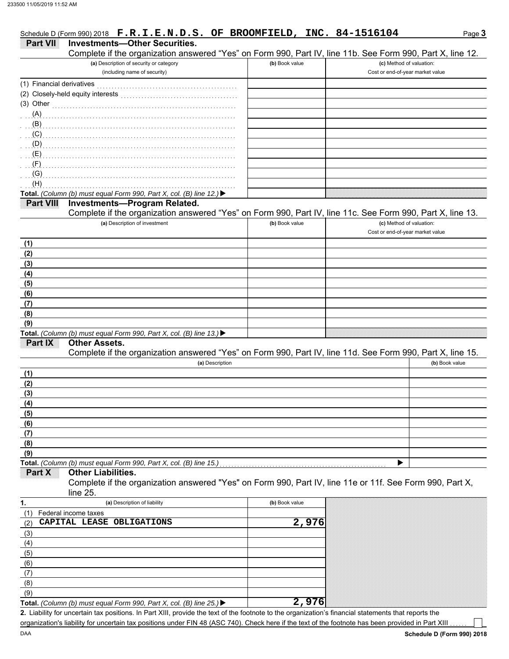|                           | Schedule D (Form 990) 2018 F.R.I.E.N.D.S. OF BROOMFIELD, INC. 84-1516104                                   |                |                                                              | Page 3         |
|---------------------------|------------------------------------------------------------------------------------------------------------|----------------|--------------------------------------------------------------|----------------|
| Part VII                  | <b>Investments-Other Securities.</b>                                                                       |                |                                                              |                |
|                           | Complete if the organization answered "Yes" on Form 990, Part IV, line 11b. See Form 990, Part X, line 12. |                |                                                              |                |
|                           | (a) Description of security or category<br>(including name of security)                                    | (b) Book value | (c) Method of valuation:<br>Cost or end-of-year market value |                |
| (1) Financial derivatives |                                                                                                            |                |                                                              |                |
|                           |                                                                                                            |                |                                                              |                |
| $(3)$ Other               |                                                                                                            |                |                                                              |                |
| (A)                       |                                                                                                            |                |                                                              |                |
|                           |                                                                                                            |                |                                                              |                |
|                           |                                                                                                            |                |                                                              |                |
|                           |                                                                                                            |                |                                                              |                |
|                           |                                                                                                            |                |                                                              |                |
|                           |                                                                                                            |                |                                                              |                |
| (G)                       |                                                                                                            |                |                                                              |                |
| (H)                       |                                                                                                            |                |                                                              |                |
| <b>Part VIII</b>          | Total. (Column (b) must equal Form 990, Part X, col. (B) line 12.)▶<br><b>Investments-Program Related.</b> |                |                                                              |                |
|                           | Complete if the organization answered "Yes" on Form 990, Part IV, line 11c. See Form 990, Part X, line 13. |                |                                                              |                |
|                           | (a) Description of investment                                                                              | (b) Book value | (c) Method of valuation:                                     |                |
|                           |                                                                                                            |                | Cost or end-of-year market value                             |                |
| (1)                       |                                                                                                            |                |                                                              |                |
| (2)                       |                                                                                                            |                |                                                              |                |
| (3)                       |                                                                                                            |                |                                                              |                |
| (4)                       |                                                                                                            |                |                                                              |                |
| (5)                       |                                                                                                            |                |                                                              |                |
| (6)                       |                                                                                                            |                |                                                              |                |
| (7)                       |                                                                                                            |                |                                                              |                |
| (8)                       |                                                                                                            |                |                                                              |                |
| (9)                       |                                                                                                            |                |                                                              |                |
| <b>Part IX</b>            | Total. (Column (b) must equal Form 990, Part X, col. (B) line 13.)<br><b>Other Assets.</b>                 |                |                                                              |                |
|                           | Complete if the organization answered "Yes" on Form 990, Part IV, line 11d. See Form 990, Part X, line 15. |                |                                                              |                |
|                           | (a) Description                                                                                            |                |                                                              | (b) Book value |
| (1)                       |                                                                                                            |                |                                                              |                |
| (2)                       |                                                                                                            |                |                                                              |                |
| (3)                       |                                                                                                            |                |                                                              |                |
| (4)                       |                                                                                                            |                |                                                              |                |
| (5)                       |                                                                                                            |                |                                                              |                |
| (6)                       |                                                                                                            |                |                                                              |                |
| (7)                       |                                                                                                            |                |                                                              |                |
| (8)                       |                                                                                                            |                |                                                              |                |
| (9)                       |                                                                                                            |                |                                                              |                |
| <b>Part</b> X             | Total. (Column (b) must equal Form 990, Part X, col. (B) line 15.)<br><b>Other Liabilities.</b>            |                |                                                              |                |
|                           | Complete if the organization answered "Yes" on Form 990, Part IV, line 11e or 11f. See Form 990, Part X,   |                |                                                              |                |
|                           | line 25.                                                                                                   |                |                                                              |                |
| 1.                        | (a) Description of liability                                                                               | (b) Book value |                                                              |                |
| (1)                       | Federal income taxes                                                                                       |                |                                                              |                |
| (2)                       | CAPITAL LEASE OBLIGATIONS                                                                                  | 2,976          |                                                              |                |
| (3)                       |                                                                                                            |                |                                                              |                |
| (4)                       |                                                                                                            |                |                                                              |                |
| (5)                       |                                                                                                            |                |                                                              |                |
| (6)                       |                                                                                                            |                |                                                              |                |
| (7)                       |                                                                                                            |                |                                                              |                |
| (8)                       |                                                                                                            |                |                                                              |                |
| (9)                       |                                                                                                            |                |                                                              |                |
|                           | Total. (Column (b) must equal Form 990, Part X, col. (B) line $25.$ )                                      | 2,976          |                                                              |                |

Liability for uncertain tax positions. In Part XIII, provide the text of the footnote to the organization's financial statements that reports the **2.** organization's liability for uncertain tax positions under FIN 48 (ASC 740). Check here if the text of the footnote has been provided in Part XIII

٦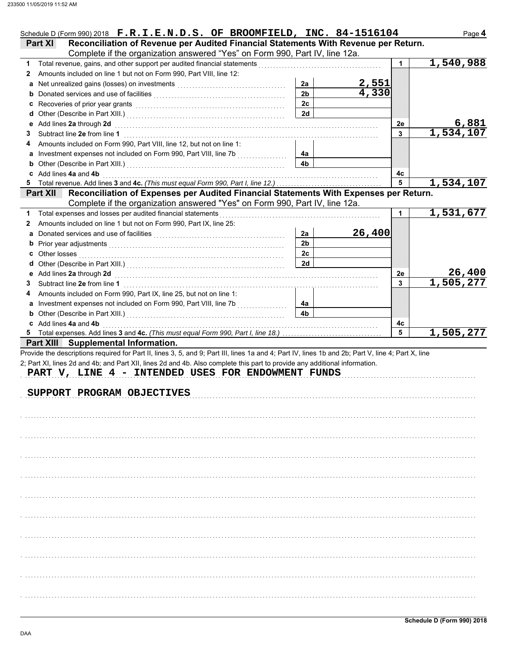|              |                                                                                                                                                                                                                                      |                | Schedule D (Form 990) 2018 F.R.I.E.N.D.S. OF BROOMFIELD, INC. 84-1516104 |              | Page 4                 |
|--------------|--------------------------------------------------------------------------------------------------------------------------------------------------------------------------------------------------------------------------------------|----------------|--------------------------------------------------------------------------|--------------|------------------------|
|              | Reconciliation of Revenue per Audited Financial Statements With Revenue per Return.<br>Part XI                                                                                                                                       |                |                                                                          |              |                        |
|              | Complete if the organization answered "Yes" on Form 990, Part IV, line 12a.                                                                                                                                                          |                |                                                                          |              |                        |
| 1            | Total revenue, gains, and other support per audited financial statements                                                                                                                                                             |                |                                                                          | $\mathbf{1}$ | 1,540,988              |
| $\mathbf{2}$ | Amounts included on line 1 but not on Form 990, Part VIII, line 12:                                                                                                                                                                  |                |                                                                          |              |                        |
|              |                                                                                                                                                                                                                                      | 2a             | $\frac{2,551}{4,330}$                                                    |              |                        |
| b            |                                                                                                                                                                                                                                      | 2 <sub>b</sub> |                                                                          |              |                        |
|              |                                                                                                                                                                                                                                      | 2c             |                                                                          |              |                        |
|              |                                                                                                                                                                                                                                      | 2d             |                                                                          |              |                        |
| е            | Add lines 2a through 2d <b>contained a contained a contained a contained a contained a contained a contained a contained a contained a contained a contained a contained a contained a contained a contained a contained a conta</b> |                |                                                                          | 2e           | <u>6,881</u>           |
| 3            | Subtract line 2e from line 1                                                                                                                                                                                                         |                |                                                                          | 3            | 1,534,107              |
| 4            | Amounts included on Form 990, Part VIII, line 12, but not on line 1:                                                                                                                                                                 |                |                                                                          |              |                        |
| а            |                                                                                                                                                                                                                                      | 4а             |                                                                          |              |                        |
|              | <b>b</b> Other (Describe in Part XIII.) <b>CONSIDENT DESCRIPTION DESCRIPTION DESCRIPTION DESCRIPTION DESCRIPTION DESCRIPTION DESCRIPTION DESCRIPTION DESCRIPTION DESCRIPTION DESCRIPTION DESCRIPTION DESCRI</b>                      | 4 <sub>b</sub> |                                                                          |              |                        |
|              | c Add lines 4a and 4b                                                                                                                                                                                                                |                |                                                                          | 4c           |                        |
|              |                                                                                                                                                                                                                                      |                |                                                                          | 5            | 1,534,107              |
|              | Part XII Reconciliation of Expenses per Audited Financial Statements With Expenses per Return.                                                                                                                                       |                |                                                                          |              |                        |
|              | Complete if the organization answered "Yes" on Form 990, Part IV, line 12a.                                                                                                                                                          |                |                                                                          |              |                        |
| 1            | Total expenses and losses per audited financial statements                                                                                                                                                                           |                |                                                                          | $\mathbf 1$  | 1,531,677              |
| 2            | Amounts included on line 1 but not on Form 990, Part IX, line 25:                                                                                                                                                                    |                |                                                                          |              |                        |
| a            |                                                                                                                                                                                                                                      | 2a             | 26,400                                                                   |              |                        |
| b            |                                                                                                                                                                                                                                      | 2 <sub>b</sub> |                                                                          |              |                        |
| c            | Other losses                                                                                                                                                                                                                         | 2c             |                                                                          |              |                        |
| d            |                                                                                                                                                                                                                                      | 2d             |                                                                          |              |                        |
| е            | Add lines 2a through 2d <b>contained a contained a contained a contained a contained a contained a contained a</b>                                                                                                                   |                |                                                                          | 2е           | 26,400                 |
| З            |                                                                                                                                                                                                                                      |                |                                                                          | 3            | $\overline{1,505,277}$ |
| 4            | Amounts included on Form 990, Part IX, line 25, but not on line 1:                                                                                                                                                                   |                |                                                                          |              |                        |
|              |                                                                                                                                                                                                                                      | 4а             |                                                                          |              |                        |
|              | <b>b</b> Other (Describe in Part XIII.) <b>CONSIDENT DESCRIPTION DESCRIPTION DESCRIPTION DESCRIPTION DESCRIPTION DESCRIPTION DESCRIPTION DESCRIPTION DESCRIPTION DESCRIPTION DESCRIPTION DESCRIPTION DESCRI</b>                      | 4 <sub>b</sub> |                                                                          |              |                        |
|              | c Add lines 4a and 4b                                                                                                                                                                                                                |                |                                                                          | 4c<br>5      | 1,505,277              |
|              | <b>Part XIII</b> Supplemental Information.                                                                                                                                                                                           |                |                                                                          |              |                        |
|              | Provide the descriptions required for Part II, lines 3, 5, and 9; Part III, lines 1a and 4; Part IV, lines 1b and 2b; Part V, line 4; Part X, line                                                                                   |                |                                                                          |              |                        |
|              | 2; Part XI, lines 2d and 4b; and Part XII, lines 2d and 4b. Also complete this part to provide any additional information.<br>PART V, LINE 4 - INTENDED USES FOR ENDOWMENT FUNDS<br>SUPPORT PROGRAM OBJECTIVES                       |                |                                                                          |              |                        |
|              |                                                                                                                                                                                                                                      |                |                                                                          |              |                        |
|              |                                                                                                                                                                                                                                      |                |                                                                          |              |                        |
|              |                                                                                                                                                                                                                                      |                |                                                                          |              |                        |
|              |                                                                                                                                                                                                                                      |                |                                                                          |              |                        |
|              |                                                                                                                                                                                                                                      |                |                                                                          |              |                        |
|              |                                                                                                                                                                                                                                      |                |                                                                          |              |                        |
|              |                                                                                                                                                                                                                                      |                |                                                                          |              |                        |
|              |                                                                                                                                                                                                                                      |                |                                                                          |              |                        |
|              |                                                                                                                                                                                                                                      |                |                                                                          |              |                        |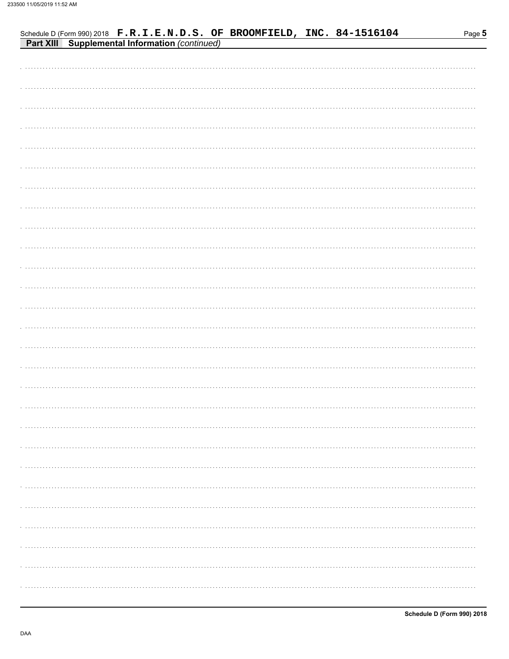| <b>Part XIII</b> Supplemental Information (continued) |
|-------------------------------------------------------|
|                                                       |
|                                                       |
|                                                       |
|                                                       |
|                                                       |
|                                                       |
|                                                       |
|                                                       |
|                                                       |
|                                                       |
|                                                       |
|                                                       |
|                                                       |
|                                                       |
|                                                       |
|                                                       |
|                                                       |
|                                                       |
|                                                       |
|                                                       |
|                                                       |
|                                                       |
|                                                       |
|                                                       |
|                                                       |
|                                                       |
|                                                       |
|                                                       |

Schedule D (Form 990) 2018 F.R.I.E.N.D.S. OF BROOMFIELD, INC. 84-1516104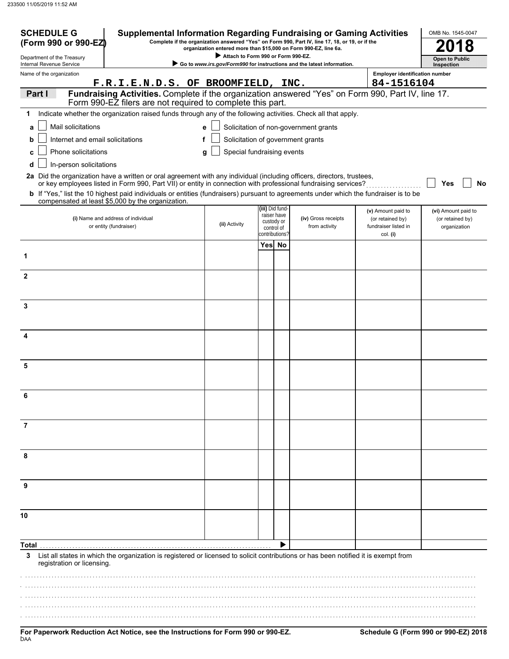| <b>SCHEDULE G</b><br><b>Supplemental Information Regarding Fundraising or Gaming Activities</b><br>(Form 990 or 990-EZ)                                                                                                                  | organization entered more than \$15,000 on Form 990-EZ, line 6a. |                           | Complete if the organization answered "Yes" on Form 990, Part IV, line 17, 18, or 19, or if the |                                        | OMB No. 1545-0047                       |
|------------------------------------------------------------------------------------------------------------------------------------------------------------------------------------------------------------------------------------------|------------------------------------------------------------------|---------------------------|-------------------------------------------------------------------------------------------------|----------------------------------------|-----------------------------------------|
| Department of the Treasury<br>Internal Revenue Service                                                                                                                                                                                   | Attach to Form 990 or Form 990-EZ.                               |                           | Go to www.irs.gov/Form990 for instructions and the latest information.                          |                                        | Open to Public<br>Inspection            |
| Name of the organization                                                                                                                                                                                                                 |                                                                  |                           |                                                                                                 | <b>Employer identification number</b>  |                                         |
| F.R.I.E.N.D.S. OF BROOMFIELD, INC.                                                                                                                                                                                                       |                                                                  |                           |                                                                                                 | 84-1516104                             |                                         |
| Fundraising Activities. Complete if the organization answered "Yes" on Form 990, Part IV, line 17.<br>Pariti<br>Form 990-EZ filers are not required to complete this part.                                                               |                                                                  |                           |                                                                                                 |                                        |                                         |
| Indicate whether the organization raised funds through any of the following activities. Check all that apply.<br>1.                                                                                                                      |                                                                  |                           |                                                                                                 |                                        |                                         |
| Mail solicitations<br>a                                                                                                                                                                                                                  | e                                                                |                           | Solicitation of non-government grants                                                           |                                        |                                         |
| Internet and email solicitations<br>b                                                                                                                                                                                                    | f                                                                |                           | Solicitation of government grants                                                               |                                        |                                         |
| Phone solicitations<br>с                                                                                                                                                                                                                 | Special fundraising events<br>g                                  |                           |                                                                                                 |                                        |                                         |
| In-person solicitations<br>d                                                                                                                                                                                                             |                                                                  |                           |                                                                                                 |                                        |                                         |
| 2a Did the organization have a written or oral agreement with any individual (including officers, directors, trustees,<br>or key employees listed in Form 990, Part VII) or entity in connection with professional fundraising services? |                                                                  |                           |                                                                                                 |                                        |                                         |
| <b>b</b> If "Yes," list the 10 highest paid individuals or entities (fundraisers) pursuant to agreements under which the fundraiser is to be                                                                                             |                                                                  |                           |                                                                                                 |                                        | Yes<br>No                               |
| compensated at least \$5,000 by the organization.                                                                                                                                                                                        |                                                                  | (iii) Did fund-           |                                                                                                 |                                        |                                         |
| (i) Name and address of individual                                                                                                                                                                                                       |                                                                  | raiser have<br>custody or | (iv) Gross receipts                                                                             | (v) Amount paid to<br>(or retained by) | (vi) Amount paid to<br>(or retained by) |
| or entity (fundraiser)                                                                                                                                                                                                                   | (ii) Activity                                                    | control of                | from activity                                                                                   | fundraiser listed in                   | organization                            |
|                                                                                                                                                                                                                                          |                                                                  | contributions?<br>Yes No  |                                                                                                 | col. (i)                               |                                         |
| 1                                                                                                                                                                                                                                        |                                                                  |                           |                                                                                                 |                                        |                                         |
|                                                                                                                                                                                                                                          |                                                                  |                           |                                                                                                 |                                        |                                         |
| $\mathbf{2}$                                                                                                                                                                                                                             |                                                                  |                           |                                                                                                 |                                        |                                         |
|                                                                                                                                                                                                                                          |                                                                  |                           |                                                                                                 |                                        |                                         |
| 3                                                                                                                                                                                                                                        |                                                                  |                           |                                                                                                 |                                        |                                         |
|                                                                                                                                                                                                                                          |                                                                  |                           |                                                                                                 |                                        |                                         |
| 4                                                                                                                                                                                                                                        |                                                                  |                           |                                                                                                 |                                        |                                         |
|                                                                                                                                                                                                                                          |                                                                  |                           |                                                                                                 |                                        |                                         |
|                                                                                                                                                                                                                                          |                                                                  |                           |                                                                                                 |                                        |                                         |
| 5                                                                                                                                                                                                                                        |                                                                  |                           |                                                                                                 |                                        |                                         |
|                                                                                                                                                                                                                                          |                                                                  |                           |                                                                                                 |                                        |                                         |
| 6                                                                                                                                                                                                                                        |                                                                  |                           |                                                                                                 |                                        |                                         |
|                                                                                                                                                                                                                                          |                                                                  |                           |                                                                                                 |                                        |                                         |
| 7                                                                                                                                                                                                                                        |                                                                  |                           |                                                                                                 |                                        |                                         |
|                                                                                                                                                                                                                                          |                                                                  |                           |                                                                                                 |                                        |                                         |
|                                                                                                                                                                                                                                          |                                                                  |                           |                                                                                                 |                                        |                                         |
| 8                                                                                                                                                                                                                                        |                                                                  |                           |                                                                                                 |                                        |                                         |
|                                                                                                                                                                                                                                          |                                                                  |                           |                                                                                                 |                                        |                                         |
| 9                                                                                                                                                                                                                                        |                                                                  |                           |                                                                                                 |                                        |                                         |
|                                                                                                                                                                                                                                          |                                                                  |                           |                                                                                                 |                                        |                                         |
| 10                                                                                                                                                                                                                                       |                                                                  |                           |                                                                                                 |                                        |                                         |
|                                                                                                                                                                                                                                          |                                                                  |                           |                                                                                                 |                                        |                                         |
| Total                                                                                                                                                                                                                                    |                                                                  |                           |                                                                                                 |                                        |                                         |
| List all states in which the organization is registered or licensed to solicit contributions or has been notified it is exempt from<br>3                                                                                                 |                                                                  |                           |                                                                                                 |                                        |                                         |
| registration or licensing.                                                                                                                                                                                                               |                                                                  |                           |                                                                                                 |                                        |                                         |
|                                                                                                                                                                                                                                          |                                                                  |                           |                                                                                                 |                                        |                                         |
|                                                                                                                                                                                                                                          |                                                                  |                           |                                                                                                 |                                        |                                         |
|                                                                                                                                                                                                                                          |                                                                  |                           |                                                                                                 |                                        |                                         |
|                                                                                                                                                                                                                                          |                                                                  |                           |                                                                                                 |                                        |                                         |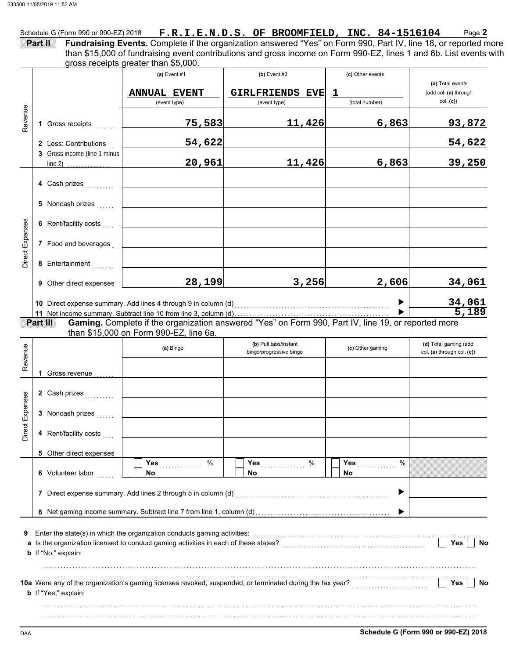| gross receipts greater than \$5,000.      | (a) Event $#1$                                                                                                                                                   | $(b)$ Event #2                                                                                                                                          | (c) Other events              | (d) Total events                                    |
|-------------------------------------------|------------------------------------------------------------------------------------------------------------------------------------------------------------------|---------------------------------------------------------------------------------------------------------------------------------------------------------|-------------------------------|-----------------------------------------------------|
|                                           | <b>ANNUAL EVENT</b><br>(event type)                                                                                                                              | <b>GIRLFRIENDS EVE</b><br>(event type)                                                                                                                  | $\mathbf 1$<br>(total number) | (add col. (a) through<br>col. (c)                   |
| 1 Gross receipts                          | 75,583                                                                                                                                                           | 11,426                                                                                                                                                  | 6,863                         | 93,872                                              |
| 2 Less: Contributions                     | 54,622                                                                                                                                                           |                                                                                                                                                         |                               | 54,622                                              |
| 3 Gross income (line 1 minus<br>$line 2)$ | 20,961                                                                                                                                                           | 11,426                                                                                                                                                  | 6,863                         | 39,250                                              |
| 4 Cash prizes                             |                                                                                                                                                                  |                                                                                                                                                         |                               |                                                     |
| 5 Noncash prizes                          |                                                                                                                                                                  |                                                                                                                                                         |                               |                                                     |
| 6 Rent/facility costs                     |                                                                                                                                                                  |                                                                                                                                                         |                               |                                                     |
| 7 Food and beverages                      |                                                                                                                                                                  |                                                                                                                                                         |                               |                                                     |
| 8 Entertainment                           |                                                                                                                                                                  |                                                                                                                                                         |                               |                                                     |
| 9 Other direct expenses                   | 28,199                                                                                                                                                           | 3,256                                                                                                                                                   | 2,606                         | 34,061                                              |
|                                           |                                                                                                                                                                  |                                                                                                                                                         |                               |                                                     |
| Part III                                  | than \$15,000 on Form 990-EZ, line 6a.<br>(a) Bingo                                                                                                              | Gaming. Complete if the organization answered "Yes" on Form 990, Part IV, line 19, or reported more<br>(b) Pull tabs/instant<br>bingo/progressive bingo | (c) Other gaming              | (d) Total gaming (add<br>col. (a) through col. (c)) |
| 1 Gross revenue                           |                                                                                                                                                                  |                                                                                                                                                         |                               |                                                     |
|                                           |                                                                                                                                                                  |                                                                                                                                                         |                               |                                                     |
| 3 Noncash prizes                          |                                                                                                                                                                  |                                                                                                                                                         |                               |                                                     |
| 4 Rent/facility costs                     |                                                                                                                                                                  |                                                                                                                                                         |                               | $\frac{34,061}{5,189}$                              |
| 5 Other direct expenses                   |                                                                                                                                                                  |                                                                                                                                                         |                               |                                                     |
| 6 Volunteer labor                         | Yes<br>%<br>No                                                                                                                                                   | Yes<br>%<br><b>No</b>                                                                                                                                   | ℅<br>Yes<br><b>No</b>         |                                                     |
|                                           | 7 Direct expense summary. Add lines 2 through 5 in column (d)                                                                                                    | <u> 1986 - Jan Berlin Standard Berlin (d. 1986)</u>                                                                                                     |                               |                                                     |
|                                           |                                                                                                                                                                  |                                                                                                                                                         |                               |                                                     |
| b If "No," explain:                       | Enter the state(s) in which the organization conducts gaming activities:<br>a Is the organization licensed to conduct gaming activities in each of these states? |                                                                                                                                                         |                               | Yes<br>No                                           |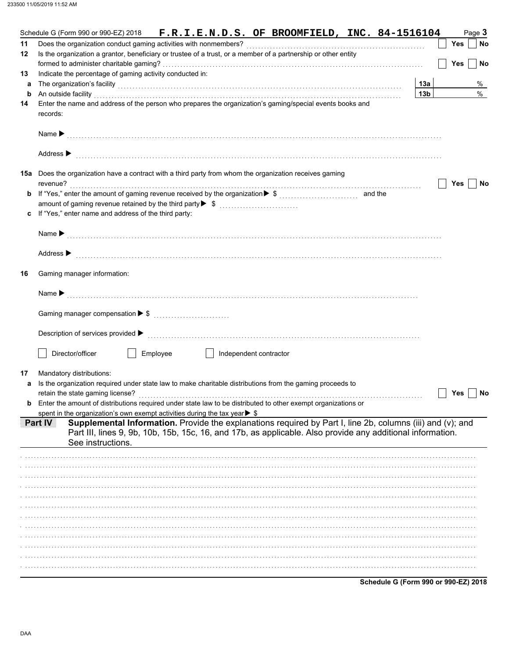|    | F.R.I.E.N.D.S. OF BROOMFIELD, INC. 84-1516104<br>Schedule G (Form 990 or 990-EZ) 2018                                                                                                                                                                                                                                                     |                 | Page 3                  |
|----|-------------------------------------------------------------------------------------------------------------------------------------------------------------------------------------------------------------------------------------------------------------------------------------------------------------------------------------------|-----------------|-------------------------|
| 11 | Does the organization conduct gaming activities with nonmembers?                                                                                                                                                                                                                                                                          |                 | <b>Yes</b><br><b>No</b> |
| 12 | Is the organization a grantor, beneficiary or trustee of a trust, or a member of a partnership or other entity                                                                                                                                                                                                                            |                 |                         |
|    |                                                                                                                                                                                                                                                                                                                                           |                 | Yes<br>No               |
| 13 | Indicate the percentage of gaming activity conducted in:                                                                                                                                                                                                                                                                                  |                 |                         |
| а  | The organization's facility with the contract of the contract of the contract of the contract of the contract of the contract of the contract of the contract of the contract of the contract of the contract of the contract                                                                                                             | 13а             | %                       |
| b  |                                                                                                                                                                                                                                                                                                                                           | 13 <sub>b</sub> | %                       |
| 14 | An outside facility with an account of the set of a control of the set of an account of the set of an account of the set of an account of the set of an account of the set of the set of the set of the set of the set of the<br>Enter the name and address of the person who prepares the organization's gaming/special events books and |                 |                         |
|    | records:                                                                                                                                                                                                                                                                                                                                  |                 |                         |
|    |                                                                                                                                                                                                                                                                                                                                           |                 |                         |
|    |                                                                                                                                                                                                                                                                                                                                           |                 |                         |
|    |                                                                                                                                                                                                                                                                                                                                           |                 |                         |
|    |                                                                                                                                                                                                                                                                                                                                           |                 |                         |
|    | Address $\blacktriangleright$                                                                                                                                                                                                                                                                                                             |                 |                         |
|    |                                                                                                                                                                                                                                                                                                                                           |                 |                         |
|    | 15a Does the organization have a contract with a third party from whom the organization receives gaming                                                                                                                                                                                                                                   |                 |                         |
|    | revenue?                                                                                                                                                                                                                                                                                                                                  |                 | Yes<br>No               |
|    |                                                                                                                                                                                                                                                                                                                                           |                 |                         |
|    |                                                                                                                                                                                                                                                                                                                                           |                 |                         |
|    | c If "Yes," enter name and address of the third party:                                                                                                                                                                                                                                                                                    |                 |                         |
|    |                                                                                                                                                                                                                                                                                                                                           |                 |                         |
|    |                                                                                                                                                                                                                                                                                                                                           |                 |                         |
|    |                                                                                                                                                                                                                                                                                                                                           |                 |                         |
|    | Address $\blacktriangleright$                                                                                                                                                                                                                                                                                                             |                 |                         |
|    |                                                                                                                                                                                                                                                                                                                                           |                 |                         |
| 16 | Gaming manager information:                                                                                                                                                                                                                                                                                                               |                 |                         |
|    |                                                                                                                                                                                                                                                                                                                                           |                 |                         |
|    | Name <b>Definition of the contract of the contract of the contract of the contract of the contract of the contract of the contract of the contract of the contract of the contract of the contract of the contract of the contra</b>                                                                                                      |                 |                         |
|    |                                                                                                                                                                                                                                                                                                                                           |                 |                         |
|    |                                                                                                                                                                                                                                                                                                                                           |                 |                         |
|    |                                                                                                                                                                                                                                                                                                                                           |                 |                         |
|    |                                                                                                                                                                                                                                                                                                                                           |                 |                         |
|    |                                                                                                                                                                                                                                                                                                                                           |                 |                         |
|    | Director/officer<br>Employee<br>Independent contractor                                                                                                                                                                                                                                                                                    |                 |                         |
|    |                                                                                                                                                                                                                                                                                                                                           |                 |                         |
| 17 | Mandatory distributions:                                                                                                                                                                                                                                                                                                                  |                 |                         |
| a  | Is the organization required under state law to make charitable distributions from the gaming proceeds to                                                                                                                                                                                                                                 |                 |                         |
|    |                                                                                                                                                                                                                                                                                                                                           |                 | <b>Yes</b><br>No        |
|    | <b>b</b> Enter the amount of distributions required under state law to be distributed to other exempt organizations or                                                                                                                                                                                                                    |                 |                         |
|    | spent in the organization's own exempt activities during the tax year > \$                                                                                                                                                                                                                                                                |                 |                         |
|    | Supplemental Information. Provide the explanations required by Part I, line 2b, columns (iii) and (v); and<br>Part IV                                                                                                                                                                                                                     |                 |                         |
|    | Part III, lines 9, 9b, 10b, 15b, 15c, 16, and 17b, as applicable. Also provide any additional information.                                                                                                                                                                                                                                |                 |                         |
|    | See instructions.                                                                                                                                                                                                                                                                                                                         |                 |                         |
|    |                                                                                                                                                                                                                                                                                                                                           |                 |                         |
|    |                                                                                                                                                                                                                                                                                                                                           |                 |                         |
|    |                                                                                                                                                                                                                                                                                                                                           |                 |                         |
|    |                                                                                                                                                                                                                                                                                                                                           |                 |                         |
|    |                                                                                                                                                                                                                                                                                                                                           |                 |                         |
|    |                                                                                                                                                                                                                                                                                                                                           |                 |                         |
|    |                                                                                                                                                                                                                                                                                                                                           |                 |                         |
|    |                                                                                                                                                                                                                                                                                                                                           |                 |                         |
|    |                                                                                                                                                                                                                                                                                                                                           |                 |                         |
|    |                                                                                                                                                                                                                                                                                                                                           |                 |                         |
|    |                                                                                                                                                                                                                                                                                                                                           |                 |                         |
|    |                                                                                                                                                                                                                                                                                                                                           |                 |                         |
|    |                                                                                                                                                                                                                                                                                                                                           |                 |                         |
|    | Schedule G (Form 990 or 990-EZ) 2018                                                                                                                                                                                                                                                                                                      |                 |                         |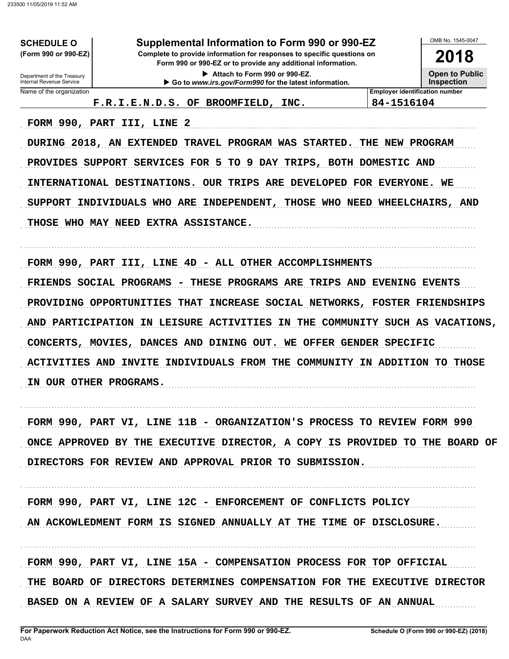**SCHEDULE O** (Form 990 or 990-EZ)

#### Supplemental Information to Form 990 or 990-EZ

Complete to provide information for responses to specific questions on Form 990 or 990-EZ or to provide any additional information.

> Attach to Form 990 or 990-EZ. Go to www.irs.gov/Form990 for the latest information.

> > INC.

OMB No. 1545-0047

2018 **Open to Public Inspection** 

Department of the Treasury<br>Internal Revenue Service Name of the organization

**Employer identification number** 

84-1516104

FORM 990, PART III, LINE 2

F.R.I.E.N.D.S. OF BROOMFIELD,

DURING 2018, AN EXTENDED TRAVEL PROGRAM WAS STARTED. THE NEW PROGRAM PROVIDES SUPPORT SERVICES FOR 5 TO 9 DAY TRIPS, BOTH DOMESTIC AND INTERNATIONAL DESTINATIONS. OUR TRIPS ARE DEVELOPED FOR EVERYONE. WE SUPPORT INDIVIDUALS WHO ARE INDEPENDENT, THOSE WHO NEED WHEELCHAIRS, AND THOSE WHO MAY NEED EXTRA ASSISTANCE.

FORM 990, PART III, LINE 4D - ALL OTHER ACCOMPLISHMENTS FRIENDS SOCIAL PROGRAMS - THESE PROGRAMS ARE TRIPS AND EVENING EVENTS PROVIDING OPPORTUNITIES THAT INCREASE SOCIAL NETWORKS, FOSTER FRIENDSHIPS AND PARTICIPATION IN LEISURE ACTIVITIES IN THE COMMUNITY SUCH AS VACATIONS, CONCERTS, MOVIES, DANCES AND DINING OUT. WE OFFER GENDER SPECIFIC ACTIVITIES AND INVITE INDIVIDUALS FROM THE COMMUNITY IN ADDITION TO THOSE IN OUR OTHER PROGRAMS.

FORM 990, PART VI, LINE 11B - ORGANIZATION'S PROCESS TO REVIEW FORM 990 ONCE APPROVED BY THE EXECUTIVE DIRECTOR, A COPY IS PROVIDED TO THE BOARD OF DIRECTORS FOR REVIEW AND APPROVAL PRIOR TO SUBMISSION.

FORM 990, PART VI, LINE 12C - ENFORCEMENT OF CONFLICTS POLICY AN ACKOWLEDMENT FORM IS SIGNED ANNUALLY AT THE TIME OF DISCLOSURE.

FORM 990, PART VI, LINE 15A - COMPENSATION PROCESS FOR TOP OFFICIAL THE BOARD OF DIRECTORS DETERMINES COMPENSATION FOR THE EXECUTIVE DIRECTOR BASED ON A REVIEW OF A SALARY SURVEY AND THE RESULTS OF AN ANNUAL